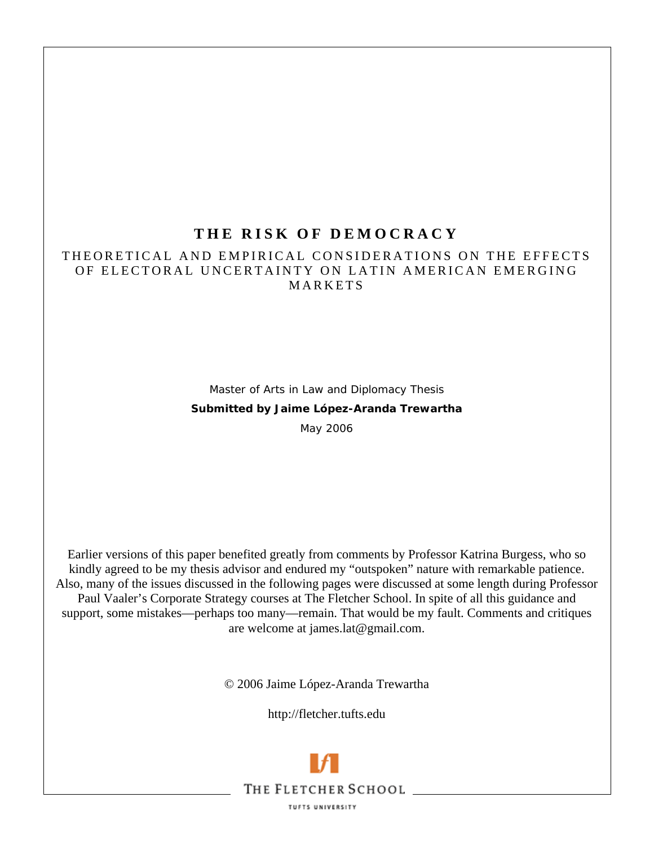# **T H E RISK O F DEM O CRACY**

# THEORETICAL AND EMPIRICAL CONSIDERATIONS ON THE EFFECTS OF ELECTORAL UNCERTAINTY ON LATIN AMERICAN EMERGING MARKETS

Master of Arts in Law and Diplomacy Thesis **Submitted by Jaime López-Aranda Trewartha** 

May 2006

Earlier versions of this paper benefited greatly from comments by Professor Katrina Burgess, who so kindly agreed to be my thesis advisor and endured my "outspoken" nature with remarkable patience. Also, many of the issues discussed in the following pages were discussed at some length during Professor Paul Vaaler's Corporate Strategy courses at The Fletcher School. In spite of all this guidance and support, some mistakes—perhaps too many—remain. That would be my fault. Comments and critiques are welcome at james.lat@gmail.com.

© 2006 Jaime López-Aranda Trewartha

http://fletcher.tufts.edu

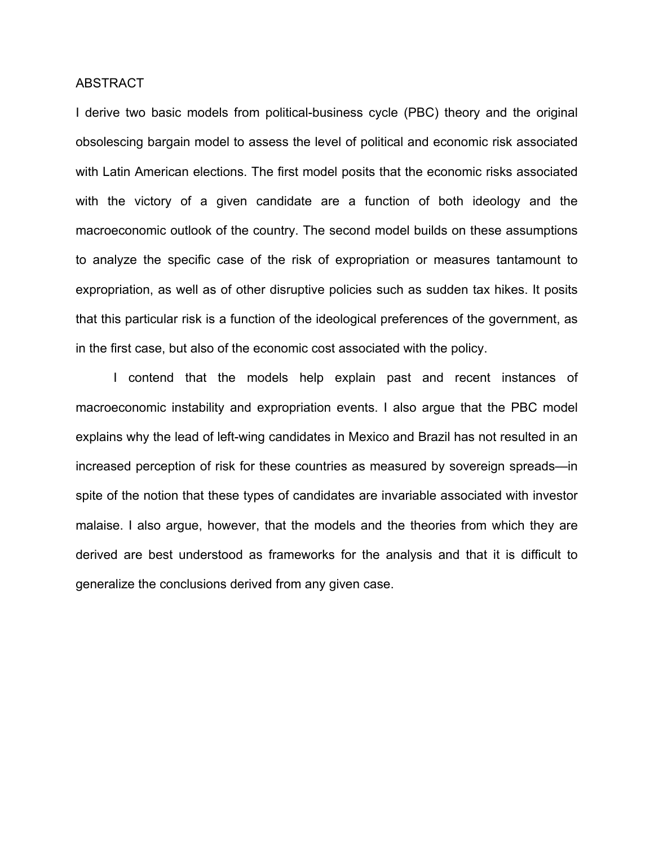### ABSTRACT

I derive two basic models from political-business cycle (PBC) theory and the original obsolescing bargain model to assess the level of political and economic risk associated with Latin American elections. The first model posits that the economic risks associated with the victory of a given candidate are a function of both ideology and the macroeconomic outlook of the country. The second model builds on these assumptions to analyze the specific case of the risk of expropriation or measures tantamount to expropriation, as well as of other disruptive policies such as sudden tax hikes. It posits that this particular risk is a function of the ideological preferences of the government, as in the first case, but also of the economic cost associated with the policy.

I contend that the models help explain past and recent instances of macroeconomic instability and expropriation events. I also argue that the PBC model explains why the lead of left-wing candidates in Mexico and Brazil has not resulted in an increased perception of risk for these countries as measured by sovereign spreads—in spite of the notion that these types of candidates are invariable associated with investor malaise. I also argue, however, that the models and the theories from which they are derived are best understood as frameworks for the analysis and that it is difficult to generalize the conclusions derived from any given case.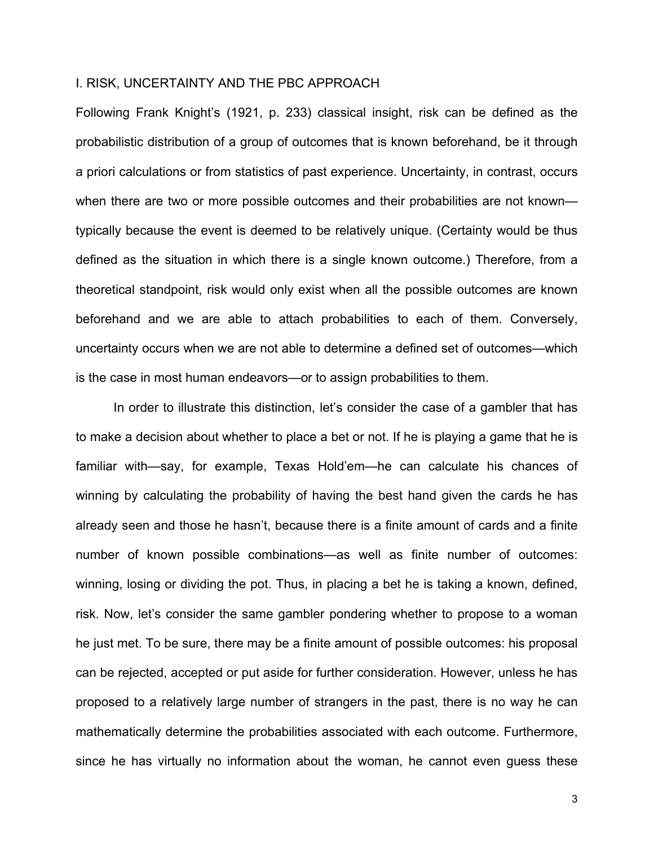### I. RISK, UNCERTAINTY AND THE PBC APPROACH

Following Frank Knight's (1921, p. 233) classical insight, risk can be defined as the probabilistic distribution of a group of outcomes that is known beforehand, be it through a priori calculations or from statistics of past experience. Uncertainty, in contrast, occurs when there are two or more possible outcomes and their probabilities are not known typically because the event is deemed to be relatively unique. (Certainty would be thus defined as the situation in which there is a single known outcome.) Therefore, from a theoretical standpoint, risk would only exist when all the possible outcomes are known beforehand and we are able to attach probabilities to each of them. Conversely, uncertainty occurs when we are not able to determine a defined set of outcomes—which is the case in most human endeavors—or to assign probabilities to them.

In order to illustrate this distinction, let's consider the case of a gambler that has to make a decision about whether to place a bet or not. If he is playing a game that he is familiar with—say, for example, Texas Hold'em—he can calculate his chances of winning by calculating the probability of having the best hand given the cards he has already seen and those he hasn't, because there is a finite amount of cards and a finite number of known possible combinations—as well as finite number of outcomes: winning, losing or dividing the pot. Thus, in placing a bet he is taking a known, defined, risk. Now, let's consider the same gambler pondering whether to propose to a woman he just met. To be sure, there may be a finite amount of possible outcomes: his proposal can be rejected, accepted or put aside for further consideration. However, unless he has proposed to a relatively large number of strangers in the past, there is no way he can mathematically determine the probabilities associated with each outcome. Furthermore, since he has virtually no information about the woman, he cannot even guess these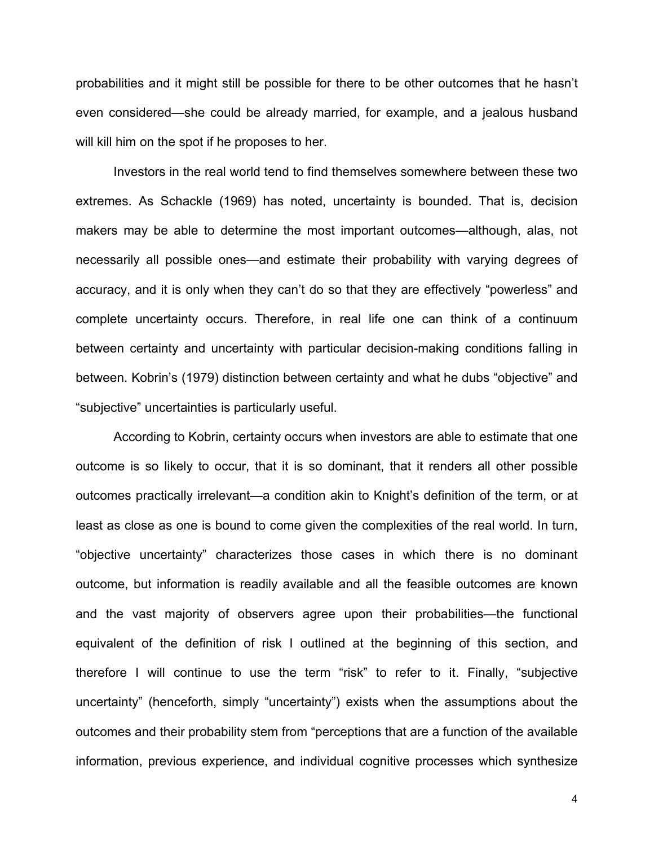probabilities and it might still be possible for there to be other outcomes that he hasn't even considered—she could be already married, for example, and a jealous husband will kill him on the spot if he proposes to her.

Investors in the real world tend to find themselves somewhere between these two extremes. As Schackle (1969) has noted, uncertainty is bounded. That is, decision makers may be able to determine the most important outcomes—although, alas, not necessarily all possible ones—and estimate their probability with varying degrees of accuracy, and it is only when they can't do so that they are effectively "powerless" and complete uncertainty occurs. Therefore, in real life one can think of a continuum between certainty and uncertainty with particular decision-making conditions falling in between. Kobrin's (1979) distinction between certainty and what he dubs "objective" and "subjective" uncertainties is particularly useful.

According to Kobrin, certainty occurs when investors are able to estimate that one outcome is so likely to occur, that it is so dominant, that it renders all other possible outcomes practically irrelevant—a condition akin to Knight's definition of the term, or at least as close as one is bound to come given the complexities of the real world. In turn, "objective uncertainty" characterizes those cases in which there is no dominant outcome, but information is readily available and all the feasible outcomes are known and the vast majority of observers agree upon their probabilities—the functional equivalent of the definition of risk I outlined at the beginning of this section, and therefore I will continue to use the term "risk" to refer to it. Finally, "subjective uncertainty" (henceforth, simply "uncertainty") exists when the assumptions about the outcomes and their probability stem from "perceptions that are a function of the available information, previous experience, and individual cognitive processes which synthesize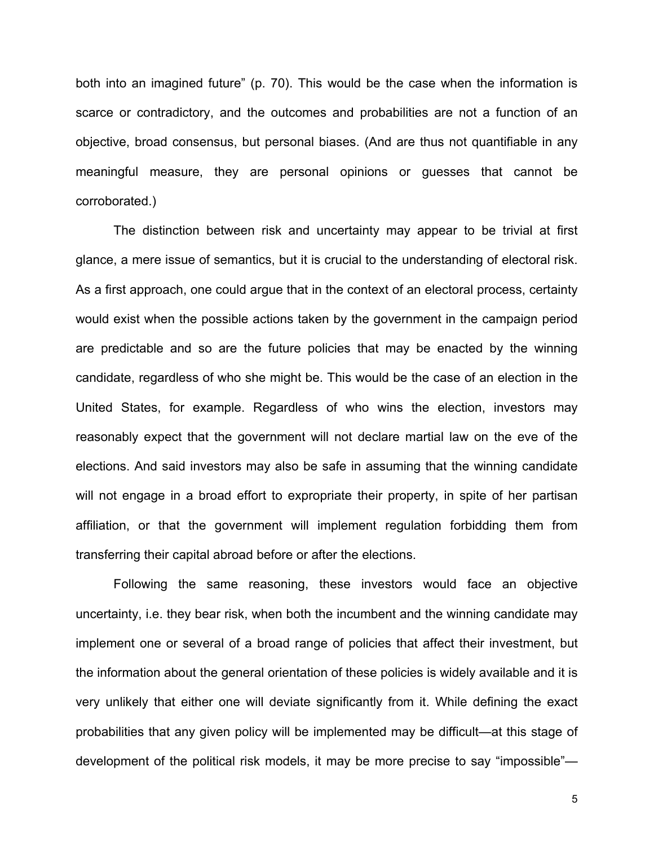both into an imagined future" (p. 70). This would be the case when the information is scarce or contradictory, and the outcomes and probabilities are not a function of an objective, broad consensus, but personal biases. (And are thus not quantifiable in any meaningful measure, they are personal opinions or guesses that cannot be corroborated.)

The distinction between risk and uncertainty may appear to be trivial at first glance, a mere issue of semantics, but it is crucial to the understanding of electoral risk. As a first approach, one could argue that in the context of an electoral process, certainty would exist when the possible actions taken by the government in the campaign period are predictable and so are the future policies that may be enacted by the winning candidate, regardless of who she might be. This would be the case of an election in the United States, for example. Regardless of who wins the election, investors may reasonably expect that the government will not declare martial law on the eve of the elections. And said investors may also be safe in assuming that the winning candidate will not engage in a broad effort to expropriate their property, in spite of her partisan affiliation, or that the government will implement regulation forbidding them from transferring their capital abroad before or after the elections.

Following the same reasoning, these investors would face an objective uncertainty, i.e. they bear risk, when both the incumbent and the winning candidate may implement one or several of a broad range of policies that affect their investment, but the information about the general orientation of these policies is widely available and it is very unlikely that either one will deviate significantly from it. While defining the exact probabilities that any given policy will be implemented may be difficult—at this stage of development of the political risk models, it may be more precise to say "impossible"—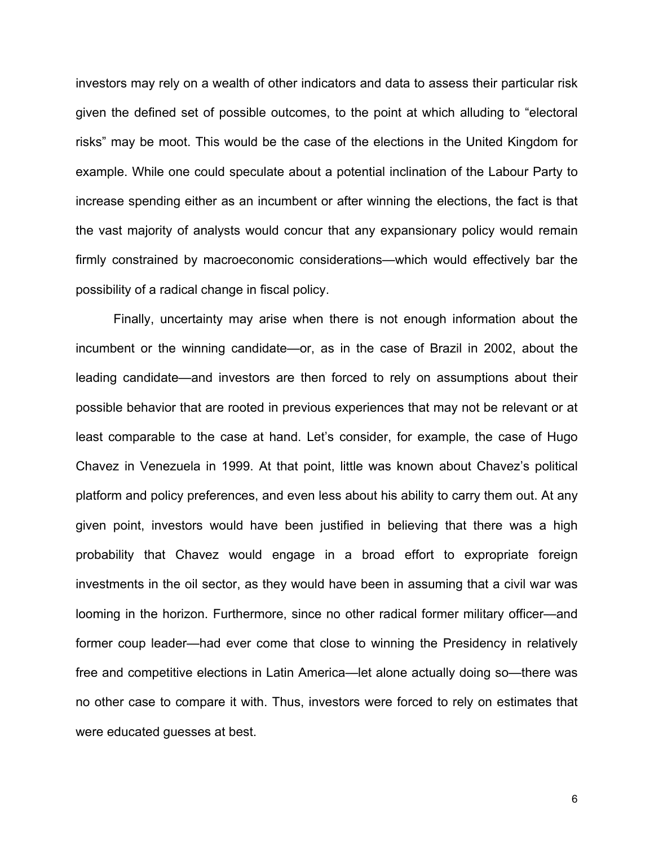investors may rely on a wealth of other indicators and data to assess their particular risk given the defined set of possible outcomes, to the point at which alluding to "electoral risks" may be moot. This would be the case of the elections in the United Kingdom for example. While one could speculate about a potential inclination of the Labour Party to increase spending either as an incumbent or after winning the elections, the fact is that the vast majority of analysts would concur that any expansionary policy would remain firmly constrained by macroeconomic considerations—which would effectively bar the possibility of a radical change in fiscal policy.

Finally, uncertainty may arise when there is not enough information about the incumbent or the winning candidate—or, as in the case of Brazil in 2002, about the leading candidate—and investors are then forced to rely on assumptions about their possible behavior that are rooted in previous experiences that may not be relevant or at least comparable to the case at hand. Let's consider, for example, the case of Hugo Chavez in Venezuela in 1999. At that point, little was known about Chavez's political platform and policy preferences, and even less about his ability to carry them out. At any given point, investors would have been justified in believing that there was a high probability that Chavez would engage in a broad effort to expropriate foreign investments in the oil sector, as they would have been in assuming that a civil war was looming in the horizon. Furthermore, since no other radical former military officer—and former coup leader—had ever come that close to winning the Presidency in relatively free and competitive elections in Latin America—let alone actually doing so—there was no other case to compare it with. Thus, investors were forced to rely on estimates that were educated guesses at best.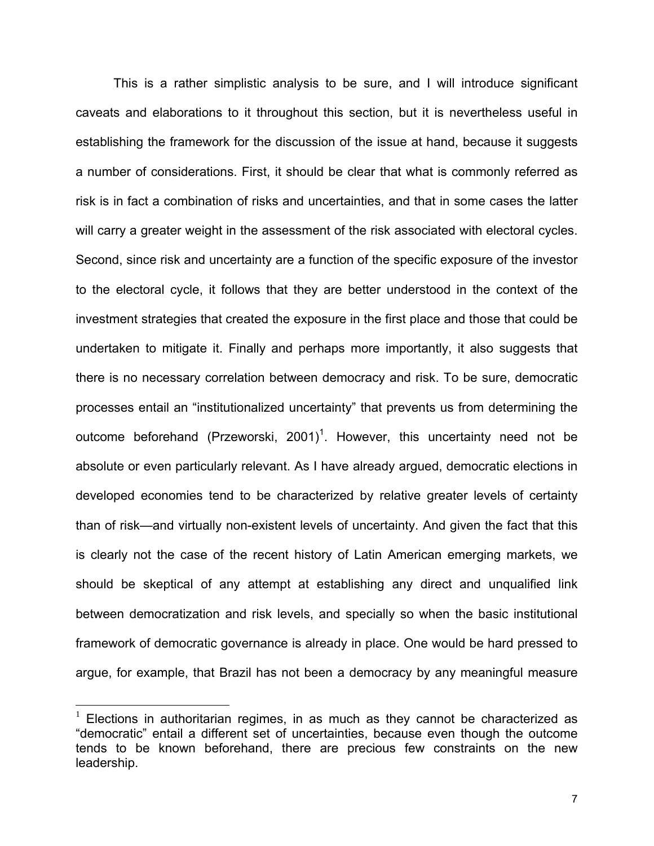This is a rather simplistic analysis to be sure, and I will introduce significant caveats and elaborations to it throughout this section, but it is nevertheless useful in establishing the framework for the discussion of the issue at hand, because it suggests a number of considerations. First, it should be clear that what is commonly referred as risk is in fact a combination of risks and uncertainties, and that in some cases the latter will carry a greater weight in the assessment of the risk associated with electoral cycles. Second, since risk and uncertainty are a function of the specific exposure of the investor to the electoral cycle, it follows that they are better understood in the context of the investment strategies that created the exposure in the first place and those that could be undertaken to mitigate it. Finally and perhaps more importantly, it also suggests that there is no necessary correlation between democracy and risk. To be sure, democratic processes entail an "institutionalized uncertainty" that prevents us from determining the outcome beforehand (Przeworski, 200[1](#page-6-0))<sup>1</sup>. However, this uncertainty need not be absolute or even particularly relevant. As I have already argued, democratic elections in developed economies tend to be characterized by relative greater levels of certainty than of risk—and virtually non-existent levels of uncertainty. And given the fact that this is clearly not the case of the recent history of Latin American emerging markets, we should be skeptical of any attempt at establishing any direct and unqualified link between democratization and risk levels, and specially so when the basic institutional framework of democratic governance is already in place. One would be hard pressed to argue, for example, that Brazil has not been a democracy by any meaningful measure

 $\overline{a}$ 

<span id="page-6-0"></span> $1$  Elections in authoritarian regimes, in as much as they cannot be characterized as "democratic" entail a different set of uncertainties, because even though the outcome tends to be known beforehand, there are precious few constraints on the new leadership.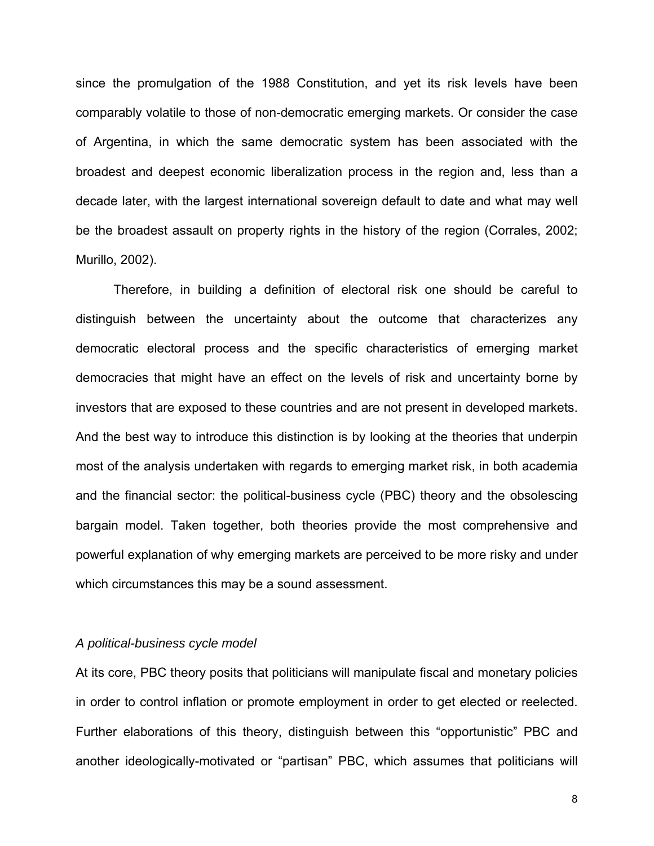since the promulgation of the 1988 Constitution, and yet its risk levels have been comparably volatile to those of non-democratic emerging markets. Or consider the case of Argentina, in which the same democratic system has been associated with the broadest and deepest economic liberalization process in the region and, less than a decade later, with the largest international sovereign default to date and what may well be the broadest assault on property rights in the history of the region (Corrales, 2002; Murillo, 2002).

Therefore, in building a definition of electoral risk one should be careful to distinguish between the uncertainty about the outcome that characterizes any democratic electoral process and the specific characteristics of emerging market democracies that might have an effect on the levels of risk and uncertainty borne by investors that are exposed to these countries and are not present in developed markets. And the best way to introduce this distinction is by looking at the theories that underpin most of the analysis undertaken with regards to emerging market risk, in both academia and the financial sector: the political-business cycle (PBC) theory and the obsolescing bargain model. Taken together, both theories provide the most comprehensive and powerful explanation of why emerging markets are perceived to be more risky and under which circumstances this may be a sound assessment.

#### *A political-business cycle model*

At its core, PBC theory posits that politicians will manipulate fiscal and monetary policies in order to control inflation or promote employment in order to get elected or reelected. Further elaborations of this theory, distinguish between this "opportunistic" PBC and another ideologically-motivated or "partisan" PBC, which assumes that politicians will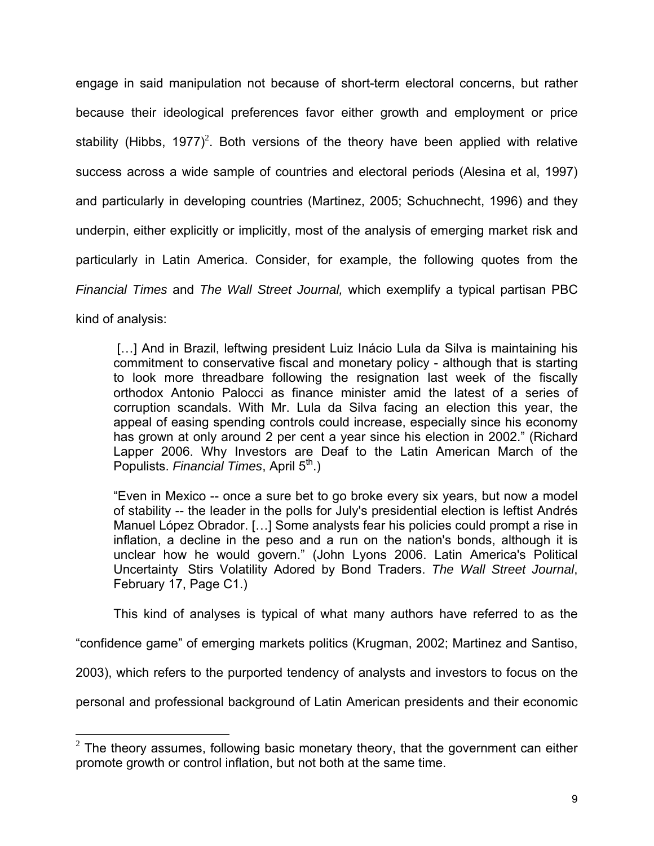engage in said manipulation not because of short-term electoral concerns, but rather because their ideological preferences favor either growth and employment or price stability (Hibbs, 1977)<sup>[2](#page-8-0)</sup>. Both versions of the theory have been applied with relative success across a wide sample of countries and electoral periods (Alesina et al, 1997) and particularly in developing countries (Martinez, 2005; Schuchnecht, 1996) and they underpin, either explicitly or implicitly, most of the analysis of emerging market risk and particularly in Latin America. Consider, for example, the following quotes from the *Financial Times* and *The Wall Street Journal,* which exemplify a typical partisan PBC

kind of analysis:

[...] And in Brazil, leftwing president Luiz Inácio Lula da Silva is maintaining his commitment to conservative fiscal and monetary policy - although that is starting to look more threadbare following the resignation last week of the fiscally orthodox Antonio Palocci as finance minister amid the latest of a series of corruption scandals. With Mr. Lula da Silva facing an election this year, the appeal of easing spending controls could increase, especially since his economy has grown at only around 2 per cent a year since his election in 2002." (Richard Lapper 2006. Why Investors are Deaf to the Latin American March of the Populists. *Financial Times*, April 5<sup>th</sup>.)

"Even in Mexico -- once a sure bet to go broke every six years, but now a model of stability -- the leader in the polls for July's presidential election is leftist Andrés Manuel López Obrador. […] Some analysts fear his policies could prompt a rise in inflation, a decline in the peso and a run on the nation's bonds, although it is unclear how he would govern." (John Lyons 2006. Latin America's Political Uncertainty Stirs Volatility Adored by Bond Traders. The Wall Street Journal, February 17, Page C1.)

This kind of analyses is typical of what many authors have referred to as the

"confidence game" of emerging markets politics (Krugman, 2002; Martinez and Santiso,

2003), which refers to the purported tendency of analysts and investors to focus on the

personal and professional background of Latin American presidents and their economic

<span id="page-8-0"></span> $\overline{a}$  $2$  The theory assumes, following basic monetary theory, that the government can either promote growth or control inflation, but not both at the same time.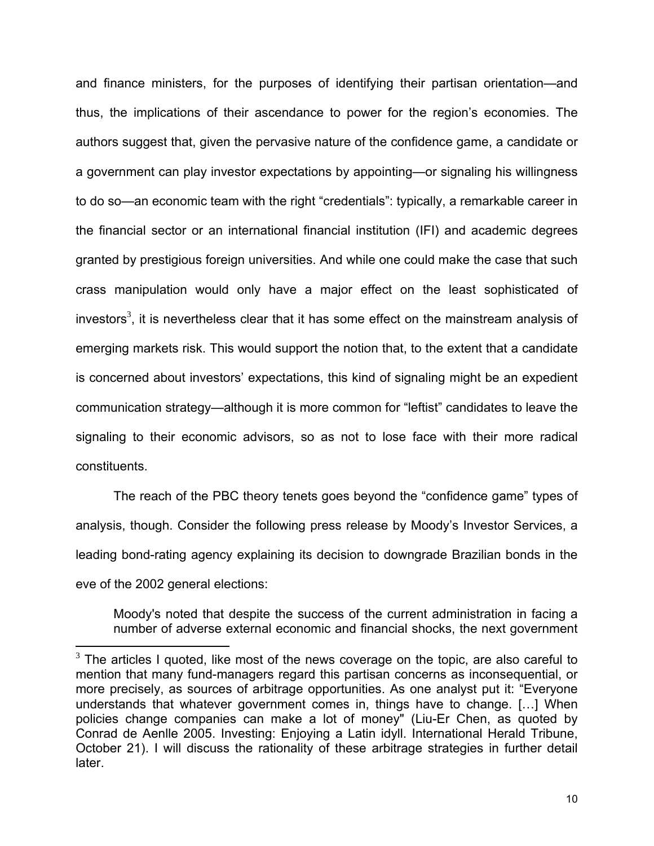and finance ministers, for the purposes of identifying their partisan orientation—and thus, the implications of their ascendance to power for the region's economies. The authors suggest that, given the pervasive nature of the confidence game, a candidate or a government can play investor expectations by appointing—or signaling his willingness to do so—an economic team with the right "credentials": typically, a remarkable career in the financial sector or an international financial institution (IFI) and academic degrees granted by prestigious foreign universities. And while one could make the case that such crass manipulation would only have a major effect on the least sophisticated of investors<sup>[3](#page-9-0)</sup>, it is nevertheless clear that it has some effect on the mainstream analysis of emerging markets risk. This would support the notion that, to the extent that a candidate is concerned about investors' expectations, this kind of signaling might be an expedient communication strategy—although it is more common for "leftist" candidates to leave the signaling to their economic advisors, so as not to lose face with their more radical constituents.

The reach of the PBC theory tenets goes beyond the "confidence game" types of analysis, though. Consider the following press release by Moody's Investor Services, a leading bond-rating agency explaining its decision to downgrade Brazilian bonds in the eve of the 2002 general elections:

Moody's noted that despite the success of the current administration in facing a number of adverse external economic and financial shocks, the next government

 $\overline{a}$ 

<span id="page-9-0"></span> $3$  The articles I quoted, like most of the news coverage on the topic, are also careful to mention that many fund-managers regard this partisan concerns as inconsequential, or more precisely, as sources of arbitrage opportunities. As one analyst put it: "Everyone understands that whatever government comes in, things have to change. […] When policies change companies can make a lot of money" [\(Liu-Er Chen, as quoted by](http://www.iht.com/cgi-bin/search.cgi?query=By%20Conrad%20de%20Aenlle&sort=swishrank) [Conrad de Aenlle](http://www.iht.com/cgi-bin/search.cgi?query=By%20Conrad%20de%20Aenlle&sort=swishrank) 2005. Investing: Enjoying a Latin idyll. International Herald Tribune, October 21). I will discuss the rationality of these arbitrage strategies in further detail later.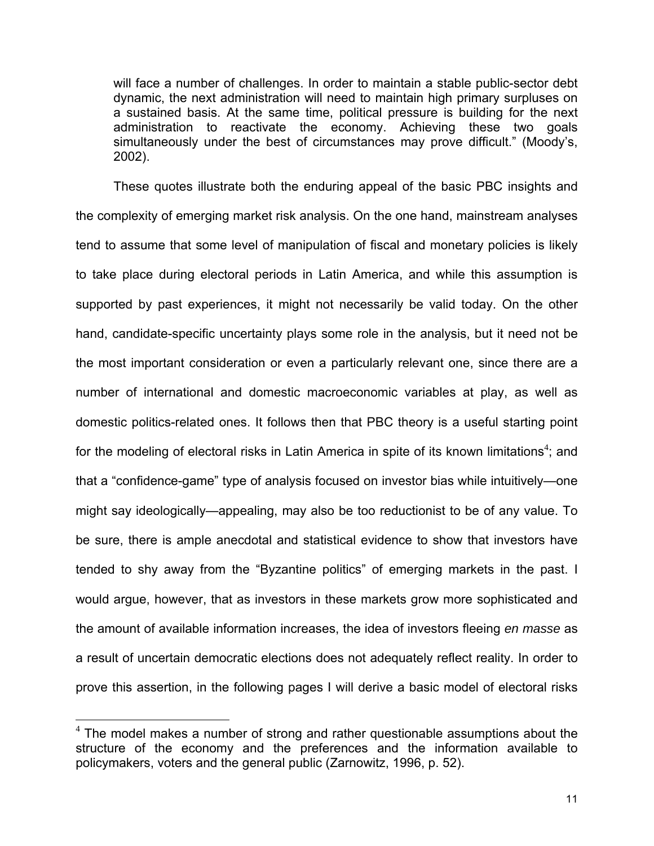will face a number of challenges. In order to maintain a stable public-sector debt dynamic, the next administration will need to maintain high primary surpluses on a sustained basis. At the same time, political pressure is building for the next administration to reactivate the economy. Achieving these two goals simultaneously under the best of circumstances may prove difficult." (Moody's, 2002).

These quotes illustrate both the enduring appeal of the basic PBC insights and the complexity of emerging market risk analysis. On the one hand, mainstream analyses tend to assume that some level of manipulation of fiscal and monetary policies is likely to take place during electoral periods in Latin America, and while this assumption is supported by past experiences, it might not necessarily be valid today. On the other hand, candidate-specific uncertainty plays some role in the analysis, but it need not be the most important consideration or even a particularly relevant one, since there are a number of international and domestic macroeconomic variables at play, as well as domestic politics-related ones. It follows then that PBC theory is a useful starting point for the modeling of electoral risks in Latin America in spite of its known limitations<sup>4</sup>[;](#page-10-0) and that a "confidence-game" type of analysis focused on investor bias while intuitively—one might say ideologically—appealing, may also be too reductionist to be of any value. To be sure, there is ample anecdotal and statistical evidence to show that investors have tended to shy away from the "Byzantine politics" of emerging markets in the past. I would argue, however, that as investors in these markets grow more sophisticated and the amount of available information increases, the idea of investors fleeing *en masse* as a result of uncertain democratic elections does not adequately reflect reality. In order to prove this assertion, in the following pages I will derive a basic model of electoral risks

<span id="page-10-0"></span> 4 The model makes a number of strong and rather questionable assumptions about the structure of the economy and the preferences and the information available to policymakers, voters and the general public (Zarnowitz, 1996, p. 52).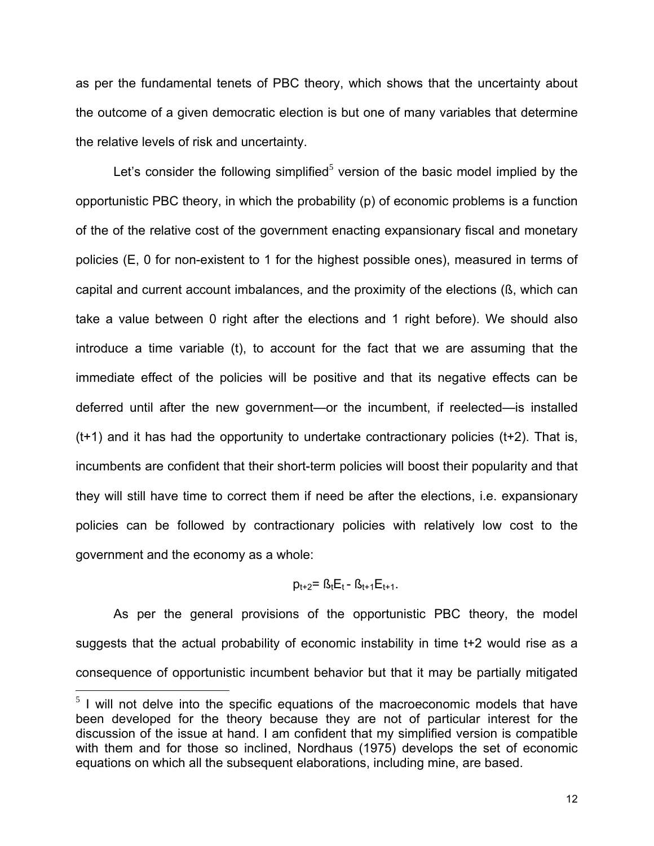as per the fundamental tenets of PBC theory, which shows that the uncertainty about the outcome of a given democratic election is but one of many variables that determine the relative levels of risk and uncertainty.

Let's consider the following simplified<sup>[5](#page-11-0)</sup> version of the basic model implied by the opportunistic PBC theory, in which the probability (p) of economic problems is a function of the of the relative cost of the government enacting expansionary fiscal and monetary policies (E, 0 for non-existent to 1 for the highest possible ones), measured in terms of capital and current account imbalances, and the proximity of the elections (ß, which can take a value between 0 right after the elections and 1 right before). We should also introduce a time variable (t), to account for the fact that we are assuming that the immediate effect of the policies will be positive and that its negative effects can be deferred until after the new government—or the incumbent, if reelected—is installed  $(t+1)$  and it has had the opportunity to undertake contractionary policies  $(t+2)$ . That is, incumbents are confident that their short-term policies will boost their popularity and that they will still have time to correct them if need be after the elections, i.e. expansionary policies can be followed by contractionary policies with relatively low cost to the government and the economy as a whole:

# $p_{t+2} = B_t E_t - B_{t+1} E_{t+1}$ .

As per the general provisions of the opportunistic PBC theory, the model suggests that the actual probability of economic instability in time t+2 would rise as a consequence of opportunistic incumbent behavior but that it may be partially mitigated

 $\overline{a}$ 

<span id="page-11-0"></span> $5$  I will not delve into the specific equations of the macroeconomic models that have been developed for the theory because they are not of particular interest for the discussion of the issue at hand. I am confident that my simplified version is compatible with them and for those so inclined, Nordhaus (1975) develops the set of economic equations on which all the subsequent elaborations, including mine, are based.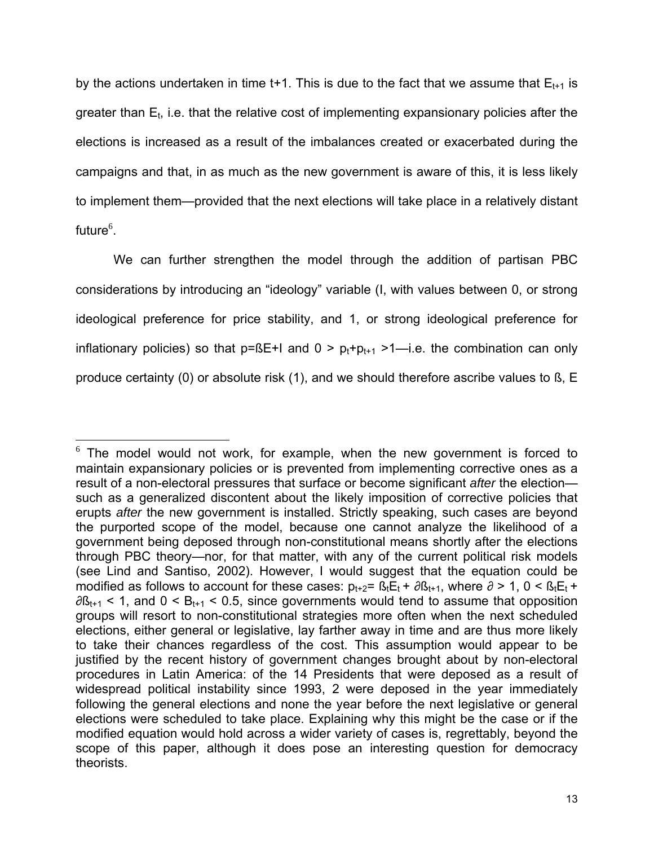by the actions undertaken in time t+1. This is due to the fact that we assume that  $E_{t+1}$  is greater than  $E_t$ , i.e. that the relative cost of implementing expansionary policies after the elections is increased as a result of the imbalances created or exacerbated during the campaigns and that, in as much as the new government is aware of this, it is less likely to implement them—provided that the next elections will take place in a relatively distant future $^6$  $^6$ .

We can further strengthen the model through the addition of partisan PBC considerations by introducing an "ideology" variable (I, with values between 0, or strong ideological preference for price stability, and 1, or strong ideological preference for inflationary policies) so that  $p=BE+1$  and  $0 \ge p_t+p_{t+1} \ge 1$ —i.e. the combination can only produce certainty (0) or absolute risk (1), and we should therefore ascribe values to ß, E

<span id="page-12-0"></span> $\overline{a}$  $6$  The model would not work, for example, when the new government is forced to maintain expansionary policies or is prevented from implementing corrective ones as a result of a non-electoral pressures that surface or become significant *after* the election such as a generalized discontent about the likely imposition of corrective policies that erupts *after* the new government is installed. Strictly speaking, such cases are beyond the purported scope of the model, because one cannot analyze the likelihood of a government being deposed through non-constitutional means shortly after the elections through PBC theory—nor, for that matter, with any of the current political risk models (see Lind and Santiso, 2002). However, I would suggest that the equation could be modified as follows to account for these cases:  $p_{t+2} = B_t E_t + \partial B_{t+1}$ , where  $\partial > 1$ ,  $0 < B_t E_t +$  $\partial B_{t+1}$  < 1, and 0 < B<sub>t+1</sub> < 0.5, since governments would tend to assume that opposition groups will resort to non-constitutional strategies more often when the next scheduled elections, either general or legislative, lay farther away in time and are thus more likely to take their chances regardless of the cost. This assumption would appear to be justified by the recent history of government changes brought about by non-electoral procedures in Latin America: of the 14 Presidents that were deposed as a result of widespread political instability since 1993, 2 were deposed in the year immediately following the general elections and none the year before the next legislative or general elections were scheduled to take place. Explaining why this might be the case or if the modified equation would hold across a wider variety of cases is, regrettably, beyond the scope of this paper, although it does pose an interesting question for democracy theorists.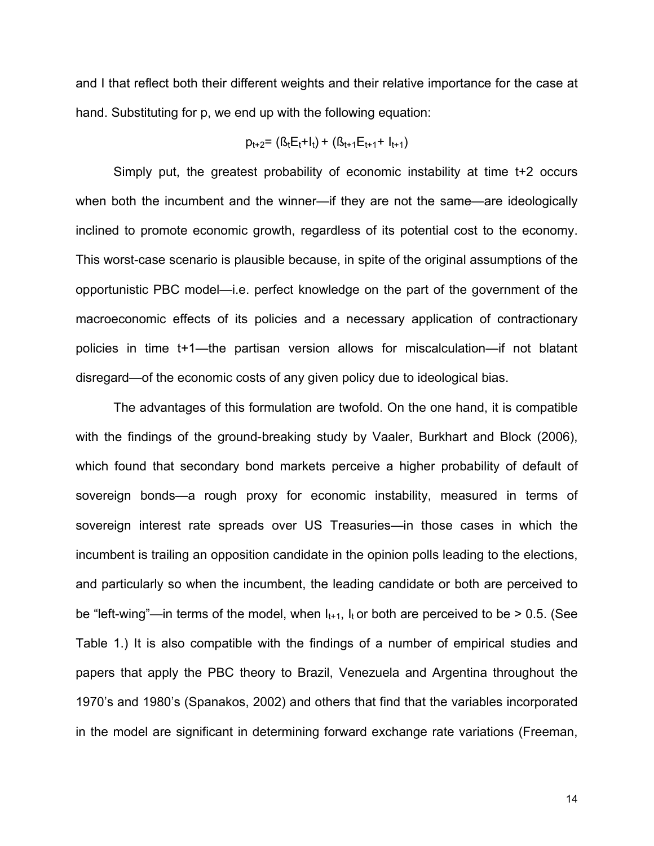and I that reflect both their different weights and their relative importance for the case at hand. Substituting for p, we end up with the following equation:

$$
p_{t+2} = (B_t E_t + I_t) + (B_{t+1} E_{t+1} + I_{t+1})
$$

Simply put, the greatest probability of economic instability at time t+2 occurs when both the incumbent and the winner—if they are not the same—are ideologically inclined to promote economic growth, regardless of its potential cost to the economy. This worst-case scenario is plausible because, in spite of the original assumptions of the opportunistic PBC model—i.e. perfect knowledge on the part of the government of the macroeconomic effects of its policies and a necessary application of contractionary policies in time t+1—the partisan version allows for miscalculation—if not blatant disregard—of the economic costs of any given policy due to ideological bias.

The advantages of this formulation are twofold. On the one hand, it is compatible with the findings of the ground-breaking study by Vaaler, Burkhart and Block (2006), which found that secondary bond markets perceive a higher probability of default of sovereign bonds—a rough proxy for economic instability, measured in terms of sovereign interest rate spreads over US Treasuries—in those cases in which the incumbent is trailing an opposition candidate in the opinion polls leading to the elections, and particularly so when the incumbent, the leading candidate or both are perceived to be "left-wing"—in terms of the model, when  $I_{t+1}$ ,  $I_t$  or both are perceived to be > 0.5. (See Table 1.) It is also compatible with the findings of a number of empirical studies and papers that apply the PBC theory to Brazil, Venezuela and Argentina throughout the 1970's and 1980's (Spanakos, 2002) and others that find that the variables incorporated in the model are significant in determining forward exchange rate variations (Freeman,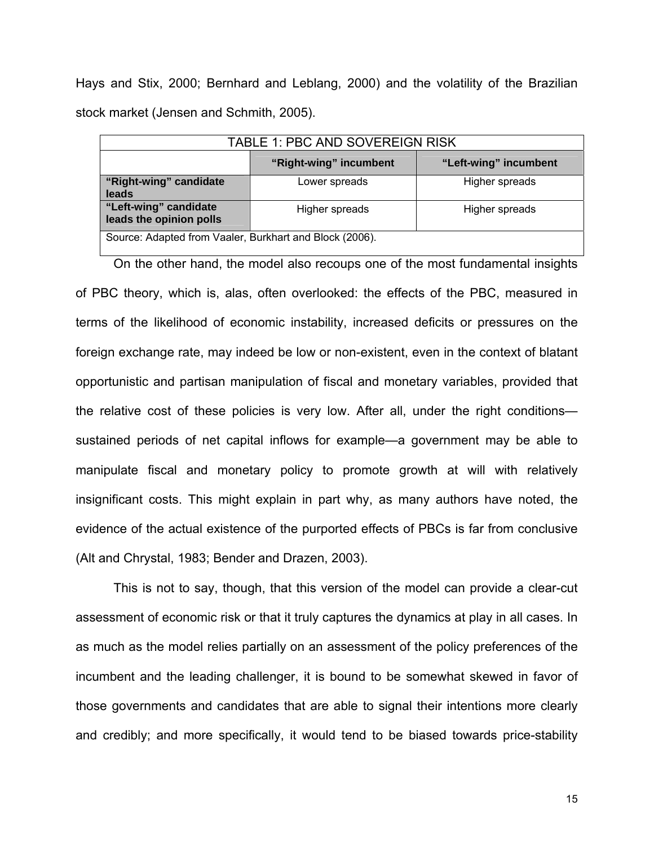Hays and Stix, 2000; Bernhard and Leblang, 2000) and the volatility of the Brazilian stock market (Jensen and Schmith, 2005).

| TABLE 1: PBC AND SOVEREIGN RISK                         |                        |                       |
|---------------------------------------------------------|------------------------|-----------------------|
|                                                         | "Right-wing" incumbent | "Left-wing" incumbent |
| "Right-wing" candidate<br>leads                         | Lower spreads          | Higher spreads        |
| "Left-wing" candidate<br>leads the opinion polls        | Higher spreads         | Higher spreads        |
| Source: Adapted from Vaaler, Burkhart and Block (2006). |                        |                       |

On the other hand, the model also recoups one of the most fundamental insights of PBC theory, which is, alas, often overlooked: the effects of the PBC, measured in terms of the likelihood of economic instability, increased deficits or pressures on the foreign exchange rate, may indeed be low or non-existent, even in the context of blatant opportunistic and partisan manipulation of fiscal and monetary variables, provided that the relative cost of these policies is very low. After all, under the right conditions sustained periods of net capital inflows for example—a government may be able to manipulate fiscal and monetary policy to promote growth at will with relatively insignificant costs. This might explain in part why, as many authors have noted, the evidence of the actual existence of the purported effects of PBCs is far from conclusive (Alt and Chrystal, 1983; Bender and Drazen, 2003).

This is not to say, though, that this version of the model can provide a clear-cut assessment of economic risk or that it truly captures the dynamics at play in all cases. In as much as the model relies partially on an assessment of the policy preferences of the incumbent and the leading challenger, it is bound to be somewhat skewed in favor of those governments and candidates that are able to signal their intentions more clearly and credibly; and more specifically, it would tend to be biased towards price-stability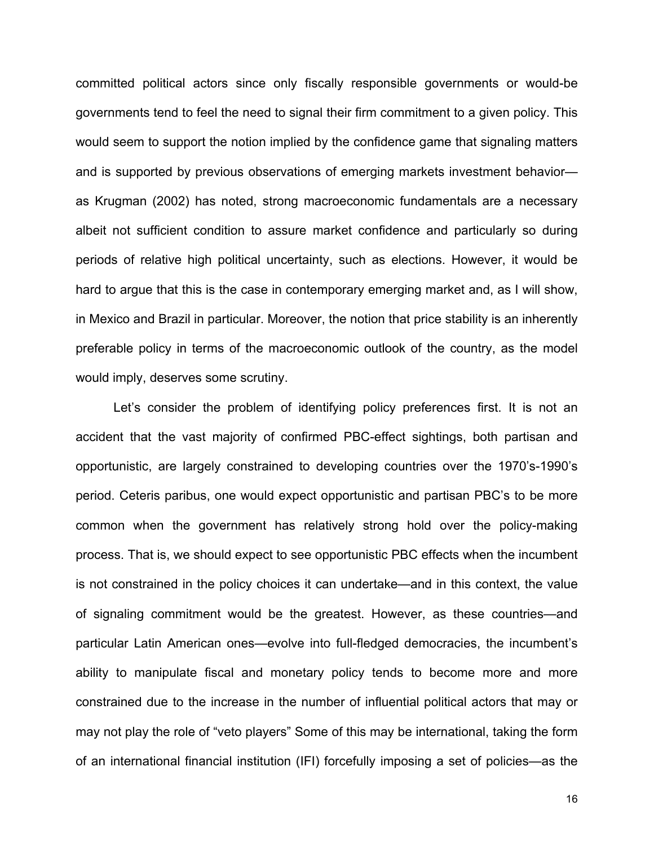committed political actors since only fiscally responsible governments or would-be governments tend to feel the need to signal their firm commitment to a given policy. This would seem to support the notion implied by the confidence game that signaling matters and is supported by previous observations of emerging markets investment behavior as Krugman (2002) has noted, strong macroeconomic fundamentals are a necessary albeit not sufficient condition to assure market confidence and particularly so during periods of relative high political uncertainty, such as elections. However, it would be hard to argue that this is the case in contemporary emerging market and, as I will show, in Mexico and Brazil in particular. Moreover, the notion that price stability is an inherently preferable policy in terms of the macroeconomic outlook of the country, as the model would imply, deserves some scrutiny.

Let's consider the problem of identifying policy preferences first. It is not an accident that the vast majority of confirmed PBC-effect sightings, both partisan and opportunistic, are largely constrained to developing countries over the 1970's-1990's period. Ceteris paribus, one would expect opportunistic and partisan PBC's to be more common when the government has relatively strong hold over the policy-making process. That is, we should expect to see opportunistic PBC effects when the incumbent is not constrained in the policy choices it can undertake—and in this context, the value of signaling commitment would be the greatest. However, as these countries—and particular Latin American ones—evolve into full-fledged democracies, the incumbent's ability to manipulate fiscal and monetary policy tends to become more and more constrained due to the increase in the number of influential political actors that may or may not play the role of "veto players" Some of this may be international, taking the form of an international financial institution (IFI) forcefully imposing a set of policies—as the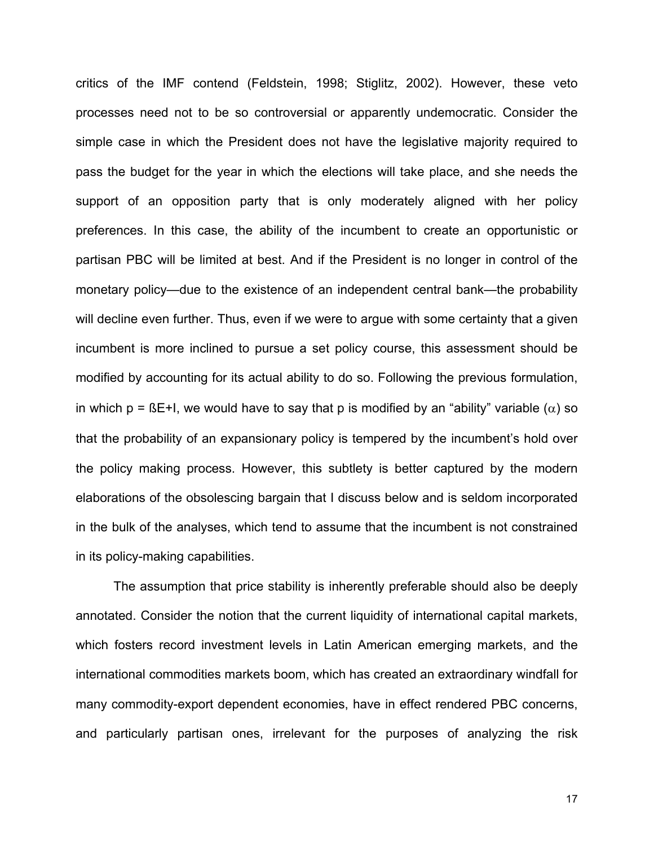critics of the IMF contend (Feldstein, 1998; Stiglitz, 2002). However, these veto processes need not to be so controversial or apparently undemocratic. Consider the simple case in which the President does not have the legislative majority required to pass the budget for the year in which the elections will take place, and she needs the support of an opposition party that is only moderately aligned with her policy preferences. In this case, the ability of the incumbent to create an opportunistic or partisan PBC will be limited at best. And if the President is no longer in control of the monetary policy—due to the existence of an independent central bank—the probability will decline even further. Thus, even if we were to argue with some certainty that a given incumbent is more inclined to pursue a set policy course, this assessment should be modified by accounting for its actual ability to do so. Following the previous formulation, in which p =  $B$ E+I, we would have to say that p is modified by an "ability" variable ( $\alpha$ ) so that the probability of an expansionary policy is tempered by the incumbent's hold over the policy making process. However, this subtlety is better captured by the modern elaborations of the obsolescing bargain that I discuss below and is seldom incorporated in the bulk of the analyses, which tend to assume that the incumbent is not constrained in its policy-making capabilities.

The assumption that price stability is inherently preferable should also be deeply annotated. Consider the notion that the current liquidity of international capital markets, which fosters record investment levels in Latin American emerging markets, and the international commodities markets boom, which has created an extraordinary windfall for many commodity-export dependent economies, have in effect rendered PBC concerns, and particularly partisan ones, irrelevant for the purposes of analyzing the risk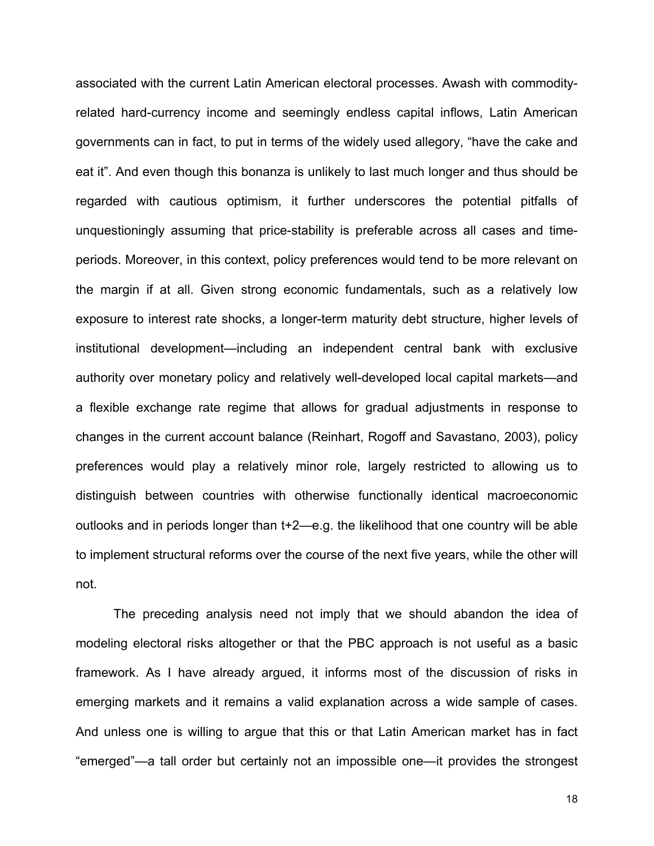associated with the current Latin American electoral processes. Awash with commodityrelated hard-currency income and seemingly endless capital inflows, Latin American governments can in fact, to put in terms of the widely used allegory, "have the cake and eat it". And even though this bonanza is unlikely to last much longer and thus should be regarded with cautious optimism, it further underscores the potential pitfalls of unquestioningly assuming that price-stability is preferable across all cases and timeperiods. Moreover, in this context, policy preferences would tend to be more relevant on the margin if at all. Given strong economic fundamentals, such as a relatively low exposure to interest rate shocks, a longer-term maturity debt structure, higher levels of institutional development—including an independent central bank with exclusive authority over monetary policy and relatively well-developed local capital markets—and a flexible exchange rate regime that allows for gradual adjustments in response to changes in the current account balance (Reinhart, Rogoff and Savastano, 2003), policy preferences would play a relatively minor role, largely restricted to allowing us to distinguish between countries with otherwise functionally identical macroeconomic outlooks and in periods longer than t+2—e.g. the likelihood that one country will be able to implement structural reforms over the course of the next five years, while the other will not.

The preceding analysis need not imply that we should abandon the idea of modeling electoral risks altogether or that the PBC approach is not useful as a basic framework. As I have already argued, it informs most of the discussion of risks in emerging markets and it remains a valid explanation across a wide sample of cases. And unless one is willing to argue that this or that Latin American market has in fact "emerged"—a tall order but certainly not an impossible one—it provides the strongest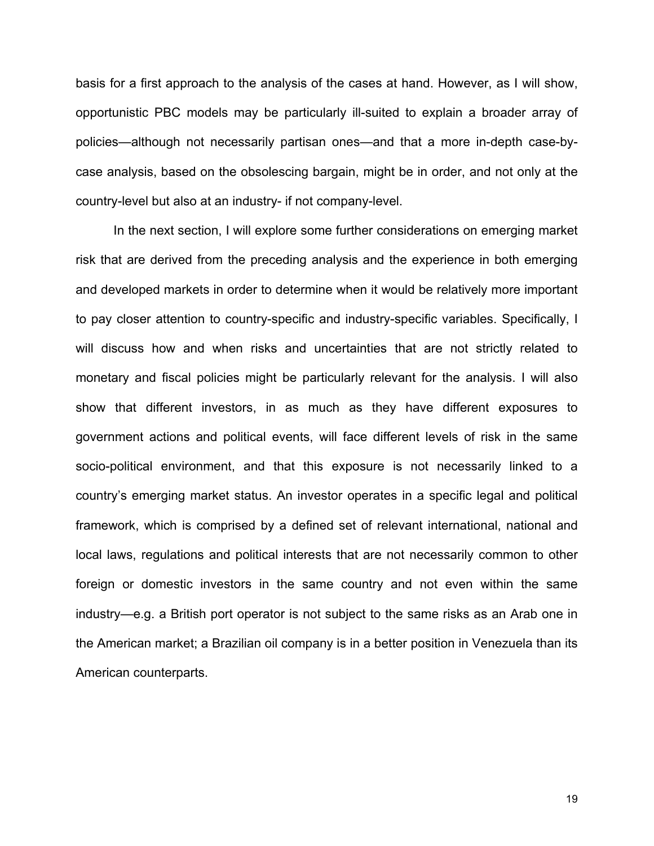basis for a first approach to the analysis of the cases at hand. However, as I will show, opportunistic PBC models may be particularly ill-suited to explain a broader array of policies—although not necessarily partisan ones—and that a more in-depth case-bycase analysis, based on the obsolescing bargain, might be in order, and not only at the country-level but also at an industry- if not company-level.

In the next section, I will explore some further considerations on emerging market risk that are derived from the preceding analysis and the experience in both emerging and developed markets in order to determine when it would be relatively more important to pay closer attention to country-specific and industry-specific variables. Specifically, I will discuss how and when risks and uncertainties that are not strictly related to monetary and fiscal policies might be particularly relevant for the analysis. I will also show that different investors, in as much as they have different exposures to government actions and political events, will face different levels of risk in the same socio-political environment, and that this exposure is not necessarily linked to a country's emerging market status. An investor operates in a specific legal and political framework, which is comprised by a defined set of relevant international, national and local laws, regulations and political interests that are not necessarily common to other foreign or domestic investors in the same country and not even within the same industry—e.g. a British port operator is not subject to the same risks as an Arab one in the American market; a Brazilian oil company is in a better position in Venezuela than its American counterparts.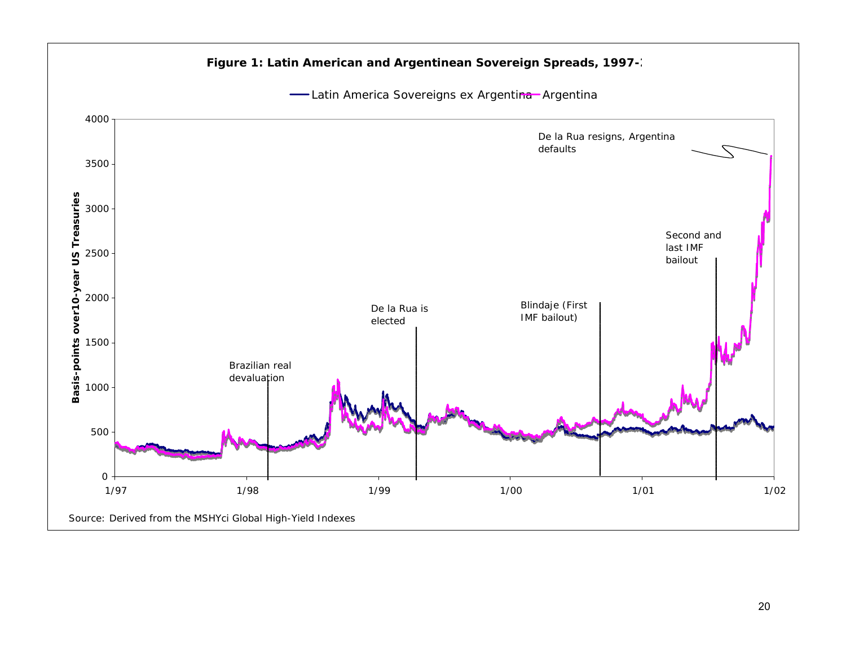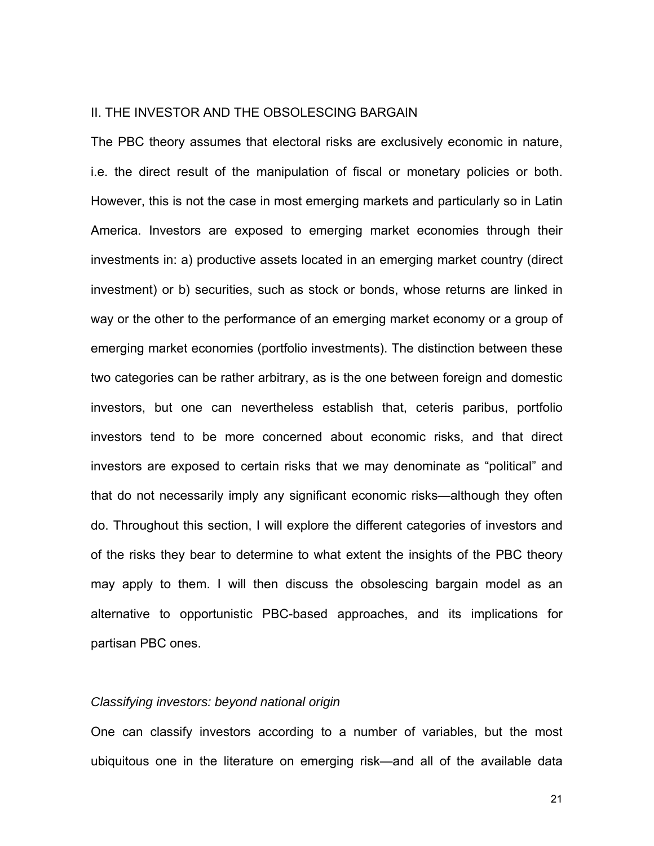## II. THE INVESTOR AND THE OBSOLESCING BARGAIN

The PBC theory assumes that electoral risks are exclusively economic in nature, i.e. the direct result of the manipulation of fiscal or monetary policies or both. However, this is not the case in most emerging markets and particularly so in Latin America. Investors are exposed to emerging market economies through their investments in: a) productive assets located in an emerging market country (direct investment) or b) securities, such as stock or bonds, whose returns are linked in way or the other to the performance of an emerging market economy or a group of emerging market economies (portfolio investments). The distinction between these two categories can be rather arbitrary, as is the one between foreign and domestic investors, but one can nevertheless establish that, ceteris paribus, portfolio investors tend to be more concerned about economic risks, and that direct investors are exposed to certain risks that we may denominate as "political" and that do not necessarily imply any significant economic risks—although they often do. Throughout this section, I will explore the different categories of investors and of the risks they bear to determine to what extent the insights of the PBC theory may apply to them. I will then discuss the obsolescing bargain model as an alternative to opportunistic PBC-based approaches, and its implications for partisan PBC ones.

#### *Classifying investors: beyond national origin*

One can classify investors according to a number of variables, but the most ubiquitous one in the literature on emerging risk—and all of the available data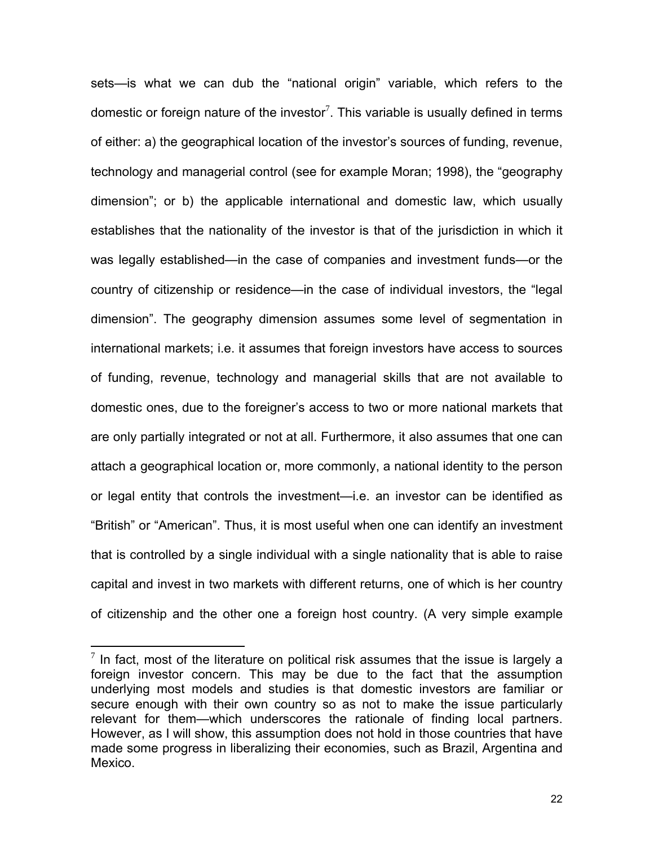sets—is what we can dub the "national origin" variable, which refers to the domestic or foreign nature of the investor<sup>[7](#page-21-0)</sup>. This variable is usually defined in terms of either: a) the geographical location of the investor's sources of funding, revenue, technology and managerial control (see for example Moran; 1998), the "geography dimension"; or b) the applicable international and domestic law, which usually establishes that the nationality of the investor is that of the jurisdiction in which it was legally established—in the case of companies and investment funds—or the country of citizenship or residence—in the case of individual investors, the "legal dimension". The geography dimension assumes some level of segmentation in international markets; i.e. it assumes that foreign investors have access to sources of funding, revenue, technology and managerial skills that are not available to domestic ones, due to the foreigner's access to two or more national markets that are only partially integrated or not at all. Furthermore, it also assumes that one can attach a geographical location or, more commonly, a national identity to the person or legal entity that controls the investment—i.e. an investor can be identified as "British" or "American". Thus, it is most useful when one can identify an investment that is controlled by a single individual with a single nationality that is able to raise capital and invest in two markets with different returns, one of which is her country of citizenship and the other one a foreign host country. (A very simple example

<span id="page-21-0"></span> $<sup>7</sup>$  In fact, most of the literature on political risk assumes that the issue is largely a</sup> foreign investor concern. This may be due to the fact that the assumption underlying most models and studies is that domestic investors are familiar or secure enough with their own country so as not to make the issue particularly relevant for them—which underscores the rationale of finding local partners. However, as I will show, this assumption does not hold in those countries that have made some progress in liberalizing their economies, such as Brazil, Argentina and Mexico.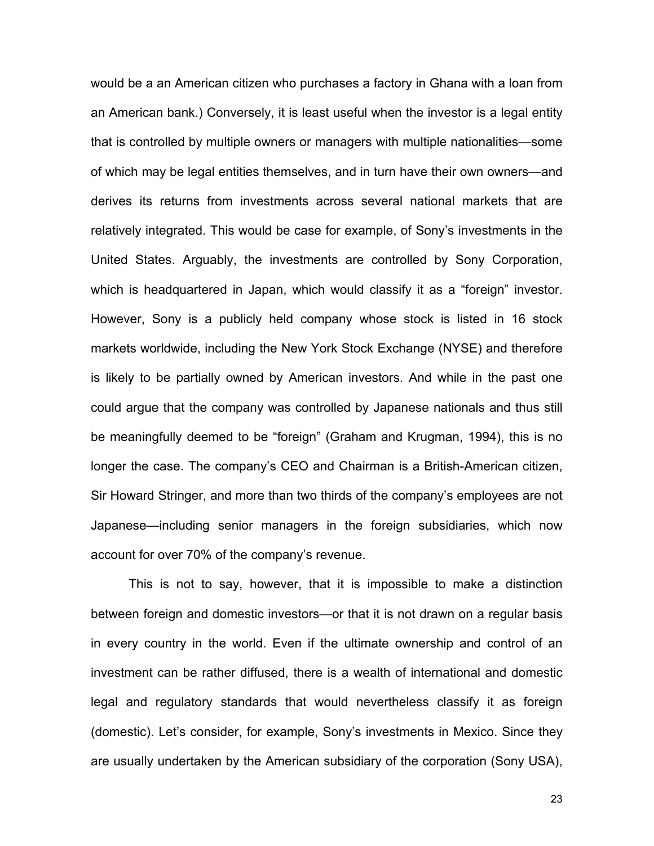would be a an American citizen who purchases a factory in Ghana with a loan from an American bank.) Conversely, it is least useful when the investor is a legal entity that is controlled by multiple owners or managers with multiple nationalities—some of which may be legal entities themselves, and in turn have their own owners—and derives its returns from investments across several national markets that are relatively integrated. This would be case for example, of Sony's investments in the United States. Arguably, the investments are controlled by Sony Corporation, which is headquartered in Japan, which would classify it as a "foreign" investor. However, Sony is a publicly held company whose stock is listed in 16 stock markets worldwide, including the New York Stock Exchange (NYSE) and therefore is likely to be partially owned by American investors. And while in the past one could argue that the company was controlled by Japanese nationals and thus still be meaningfully deemed to be "foreign" (Graham and Krugman, 1994), this is no longer the case. The company's CEO and Chairman is a British-American citizen, Sir Howard Stringer, and more than two thirds of the company's employees are not Japanese—including senior managers in the foreign subsidiaries, which now account for over 70% of the company's revenue.

This is not to say, however, that it is impossible to make a distinction between foreign and domestic investors—or that it is not drawn on a regular basis in every country in the world. Even if the ultimate ownership and control of an investment can be rather diffused, there is a wealth of international and domestic legal and regulatory standards that would nevertheless classify it as foreign (domestic). Let's consider, for example, Sony's investments in Mexico. Since they are usually undertaken by the American subsidiary of the corporation (Sony USA),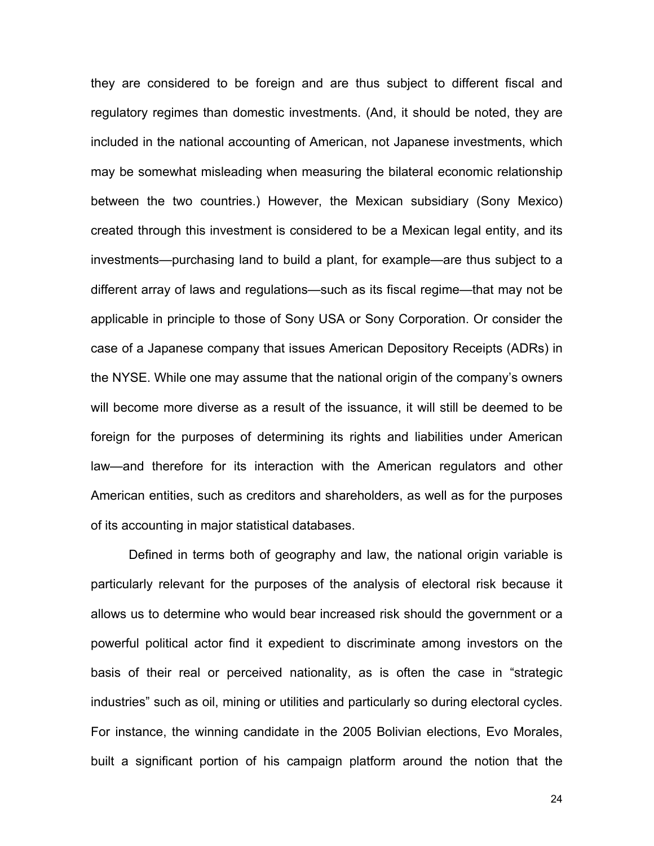they are considered to be foreign and are thus subject to different fiscal and regulatory regimes than domestic investments. (And, it should be noted, they are included in the national accounting of American, not Japanese investments, which may be somewhat misleading when measuring the bilateral economic relationship between the two countries.) However, the Mexican subsidiary (Sony Mexico) created through this investment is considered to be a Mexican legal entity, and its investments—purchasing land to build a plant, for example—are thus subject to a different array of laws and regulations—such as its fiscal regime—that may not be applicable in principle to those of Sony USA or Sony Corporation. Or consider the case of a Japanese company that issues American Depository Receipts (ADRs) in the NYSE. While one may assume that the national origin of the company's owners will become more diverse as a result of the issuance, it will still be deemed to be foreign for the purposes of determining its rights and liabilities under American law—and therefore for its interaction with the American regulators and other American entities, such as creditors and shareholders, as well as for the purposes of its accounting in major statistical databases.

Defined in terms both of geography and law, the national origin variable is particularly relevant for the purposes of the analysis of electoral risk because it allows us to determine who would bear increased risk should the government or a powerful political actor find it expedient to discriminate among investors on the basis of their real or perceived nationality, as is often the case in "strategic industries" such as oil, mining or utilities and particularly so during electoral cycles. For instance, the winning candidate in the 2005 Bolivian elections, Evo Morales, built a significant portion of his campaign platform around the notion that the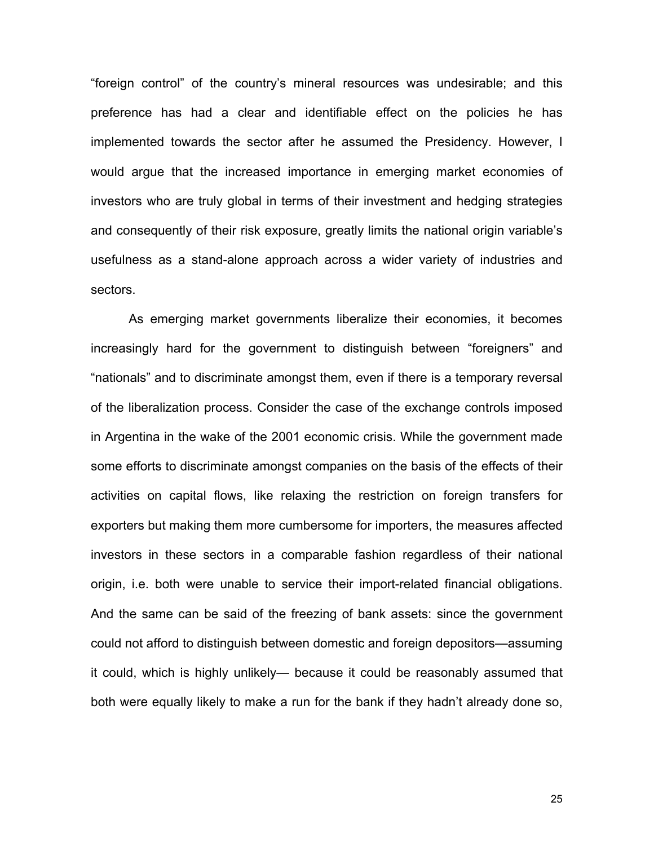"foreign control" of the country's mineral resources was undesirable; and this preference has had a clear and identifiable effect on the policies he has implemented towards the sector after he assumed the Presidency. However, I would argue that the increased importance in emerging market economies of investors who are truly global in terms of their investment and hedging strategies and consequently of their risk exposure, greatly limits the national origin variable's usefulness as a stand-alone approach across a wider variety of industries and sectors.

As emerging market governments liberalize their economies, it becomes increasingly hard for the government to distinguish between "foreigners" and "nationals" and to discriminate amongst them, even if there is a temporary reversal of the liberalization process. Consider the case of the exchange controls imposed in Argentina in the wake of the 2001 economic crisis. While the government made some efforts to discriminate amongst companies on the basis of the effects of their activities on capital flows, like relaxing the restriction on foreign transfers for exporters but making them more cumbersome for importers, the measures affected investors in these sectors in a comparable fashion regardless of their national origin, i.e. both were unable to service their import-related financial obligations. And the same can be said of the freezing of bank assets: since the government could not afford to distinguish between domestic and foreign depositors—assuming it could, which is highly unlikely— because it could be reasonably assumed that both were equally likely to make a run for the bank if they hadn't already done so,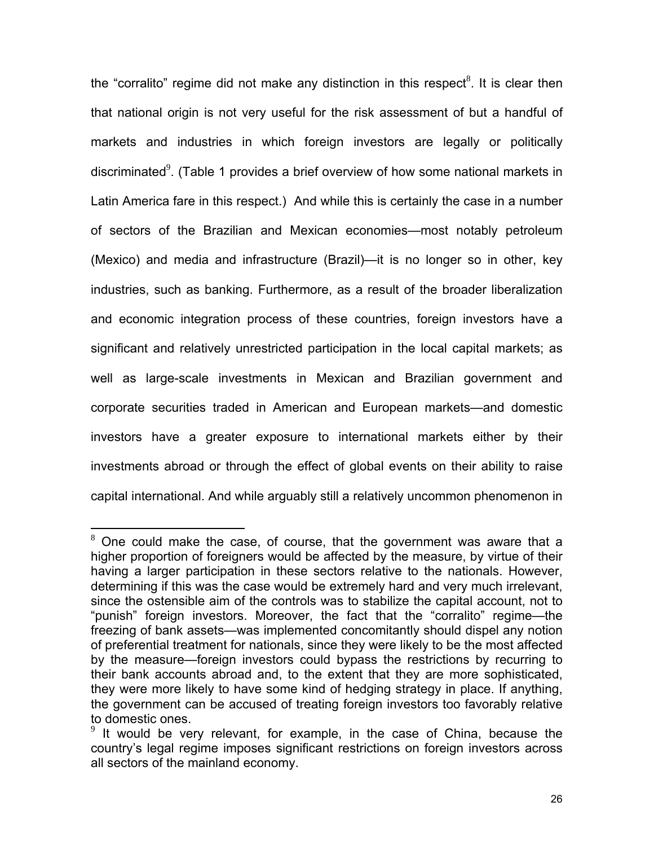the "corralito" regime did not make any distinction in this respect<sup>8</sup>[.](#page-25-0) It is clear then that national origin is not very useful for the risk assessment of but a handful of markets and industries in which foreign investors are legally or politically discriminated $9$ [.](#page-25-1) (Table 1 provides a brief overview of how some national markets in Latin America fare in this respect.) And while this is certainly the case in a number of sectors of the Brazilian and Mexican economies—most notably petroleum (Mexico) and media and infrastructure (Brazil)—it is no longer so in other, key industries, such as banking. Furthermore, as a result of the broader liberalization and economic integration process of these countries, foreign investors have a significant and relatively unrestricted participation in the local capital markets; as well as large-scale investments in Mexican and Brazilian government and corporate securities traded in American and European markets—and domestic investors have a greater exposure to international markets either by their investments abroad or through the effect of global events on their ability to raise capital international. And while arguably still a relatively uncommon phenomenon in

<span id="page-25-0"></span> $8$  One could make the case, of course, that the government was aware that a higher proportion of foreigners would be affected by the measure, by virtue of their having a larger participation in these sectors relative to the nationals. However, determining if this was the case would be extremely hard and very much irrelevant, since the ostensible aim of the controls was to stabilize the capital account, not to "punish" foreign investors. Moreover, the fact that the "corralito" regime—the freezing of bank assets—was implemented concomitantly should dispel any notion of preferential treatment for nationals, since they were likely to be the most affected by the measure—foreign investors could bypass the restrictions by recurring to their bank accounts abroad and, to the extent that they are more sophisticated, they were more likely to have some kind of hedging strategy in place. If anything, the government can be accused of treating foreign investors too favorably relative to domestic ones.

<span id="page-25-1"></span> $9$  It would be very relevant, for example, in the case of China, because the country's legal regime imposes significant restrictions on foreign investors across all sectors of the mainland economy.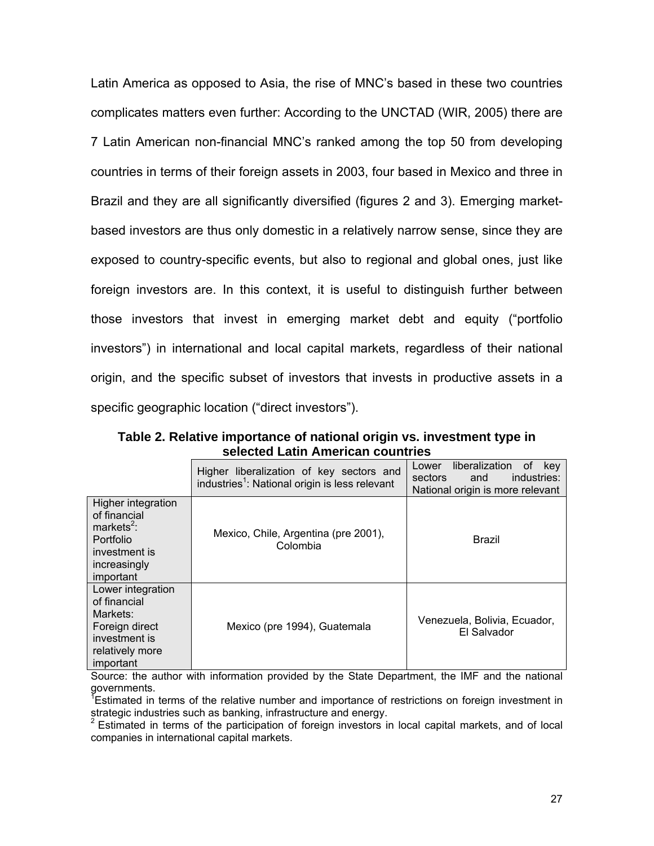Latin America as opposed to Asia, the rise of MNC's based in these two countries complicates matters even further: According to the UNCTAD (WIR, 2005) there are 7 Latin American non-financial MNC's ranked among the top 50 from developing countries in terms of their foreign assets in 2003, four based in Mexico and three in Brazil and they are all significantly diversified (figures 2 and 3). Emerging marketbased investors are thus only domestic in a relatively narrow sense, since they are exposed to country-specific events, but also to regional and global ones, just like foreign investors are. In this context, it is useful to distinguish further between those investors that invest in emerging market debt and equity ("portfolio investors") in international and local capital markets, regardless of their national origin, and the specific subset of investors that invests in productive assets in a specific geographic location ("direct investors").

**Table 2. Relative importance of national origin vs. investment type in selected Latin American countries** 

|                                                                                                                         | Higher liberalization of key sectors and<br>industries <sup>1</sup> : National origin is less relevant | liberalization<br>Lower<br>kev<br>0t<br>industries:<br>sectors<br>and<br>National origin is more relevant |
|-------------------------------------------------------------------------------------------------------------------------|--------------------------------------------------------------------------------------------------------|-----------------------------------------------------------------------------------------------------------|
| Higher integration<br>of financial<br>markets <sup>2</sup> :<br>Portfolio<br>investment is<br>increasingly<br>important | Mexico, Chile, Argentina (pre 2001),<br>Colombia                                                       | Brazil                                                                                                    |
| Lower integration<br>of financial<br>Markets:<br>Foreign direct<br>investment is<br>relatively more<br>important        | Mexico (pre 1994), Guatemala                                                                           | Venezuela, Bolivia, Ecuador,<br>El Salvador                                                               |

Source: the author with information provided by the State Department, the IMF and the national governments.

<sup>Y</sup>Estimated in terms of the relative number and importance of restrictions on foreign investment in strategic industries such as banking, infrastructure and energy.<br><sup>2</sup> Estimated in terms of the participation of foreign investors in local capital markets, and of local

companies in international capital markets.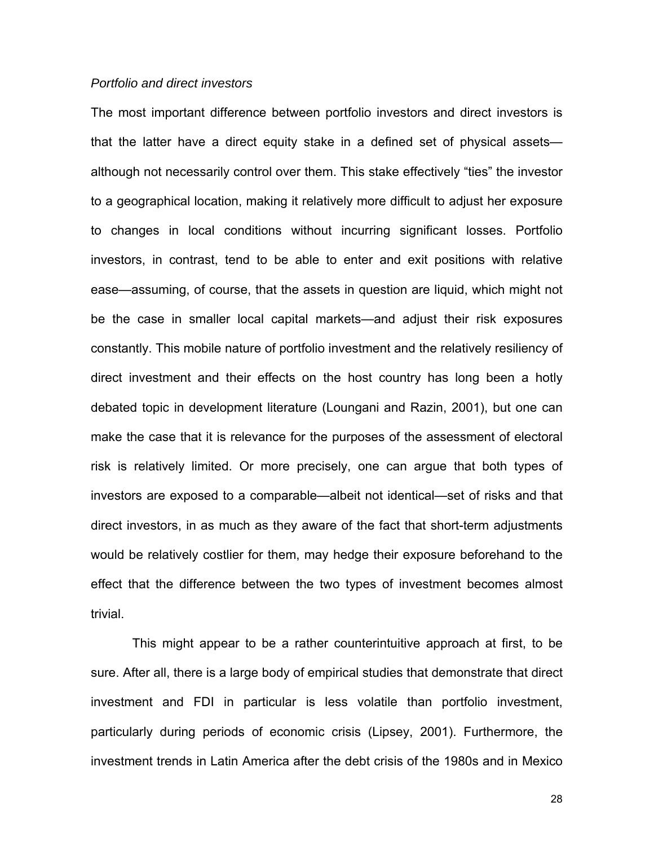### *Portfolio and direct investors*

The most important difference between portfolio investors and direct investors is that the latter have a direct equity stake in a defined set of physical assets although not necessarily control over them. This stake effectively "ties" the investor to a geographical location, making it relatively more difficult to adjust her exposure to changes in local conditions without incurring significant losses. Portfolio investors, in contrast, tend to be able to enter and exit positions with relative ease—assuming, of course, that the assets in question are liquid, which might not be the case in smaller local capital markets—and adjust their risk exposures constantly. This mobile nature of portfolio investment and the relatively resiliency of direct investment and their effects on the host country has long been a hotly debated topic in development literature (Loungani and Razin, 2001), but one can make the case that it is relevance for the purposes of the assessment of electoral risk is relatively limited. Or more precisely, one can argue that both types of investors are exposed to a comparable—albeit not identical—set of risks and that direct investors, in as much as they aware of the fact that short-term adjustments would be relatively costlier for them, may hedge their exposure beforehand to the effect that the difference between the two types of investment becomes almost trivial.

This might appear to be a rather counterintuitive approach at first, to be sure. After all, there is a large body of empirical studies that demonstrate that direct investment and FDI in particular is less volatile than portfolio investment, particularly during periods of economic crisis (Lipsey, 2001). Furthermore, the investment trends in Latin America after the debt crisis of the 1980s and in Mexico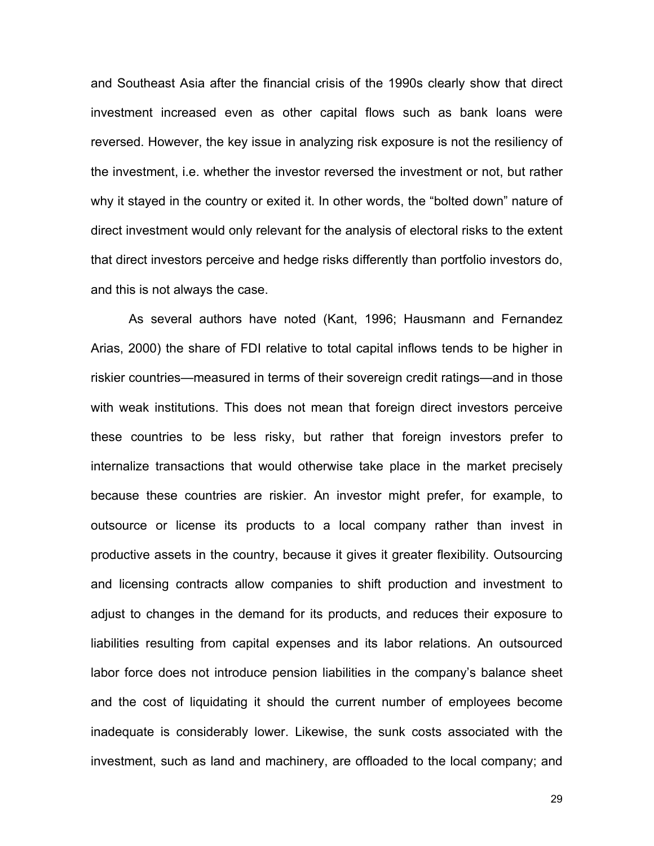and Southeast Asia after the financial crisis of the 1990s clearly show that direct investment increased even as other capital flows such as bank loans were reversed. However, the key issue in analyzing risk exposure is not the resiliency of the investment, i.e. whether the investor reversed the investment or not, but rather why it stayed in the country or exited it. In other words, the "bolted down" nature of direct investment would only relevant for the analysis of electoral risks to the extent that direct investors perceive and hedge risks differently than portfolio investors do, and this is not always the case.

As several authors have noted (Kant, 1996; Hausmann and Fernandez Arias, 2000) the share of FDI relative to total capital inflows tends to be higher in riskier countries—measured in terms of their sovereign credit ratings—and in those with weak institutions. This does not mean that foreign direct investors perceive these countries to be less risky, but rather that foreign investors prefer to internalize transactions that would otherwise take place in the market precisely because these countries are riskier. An investor might prefer, for example, to outsource or license its products to a local company rather than invest in productive assets in the country, because it gives it greater flexibility. Outsourcing and licensing contracts allow companies to shift production and investment to adjust to changes in the demand for its products, and reduces their exposure to liabilities resulting from capital expenses and its labor relations. An outsourced labor force does not introduce pension liabilities in the company's balance sheet and the cost of liquidating it should the current number of employees become inadequate is considerably lower. Likewise, the sunk costs associated with the investment, such as land and machinery, are offloaded to the local company; and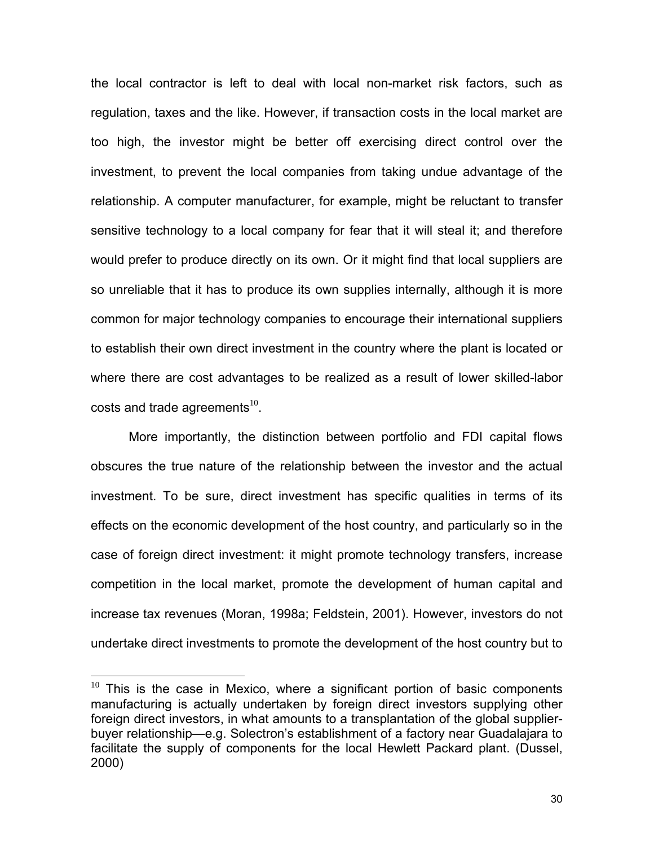the local contractor is left to deal with local non-market risk factors, such as regulation, taxes and the like. However, if transaction costs in the local market are too high, the investor might be better off exercising direct control over the investment, to prevent the local companies from taking undue advantage of the relationship. A computer manufacturer, for example, might be reluctant to transfer sensitive technology to a local company for fear that it will steal it; and therefore would prefer to produce directly on its own. Or it might find that local suppliers are so unreliable that it has to produce its own supplies internally, although it is more common for major technology companies to encourage their international suppliers to establish their own direct investment in the country where the plant is located or where there are cost advantages to be realized as a result of lower skilled-labor costs and trade agreements<sup>[10](#page-29-0)</sup>.

More importantly, the distinction between portfolio and FDI capital flows obscures the true nature of the relationship between the investor and the actual investment. To be sure, direct investment has specific qualities in terms of its effects on the economic development of the host country, and particularly so in the case of foreign direct investment: it might promote technology transfers, increase competition in the local market, promote the development of human capital and increase tax revenues (Moran, 1998a; Feldstein, 2001). However, investors do not undertake direct investments to promote the development of the host country but to

<span id="page-29-0"></span> $10$  This is the case in Mexico, where a significant portion of basic components manufacturing is actually undertaken by foreign direct investors supplying other foreign direct investors, in what amounts to a transplantation of the global supplierbuyer relationship—e.g. Solectron's establishment of a factory near Guadalajara to facilitate the supply of components for the local Hewlett Packard plant. (Dussel, 2000)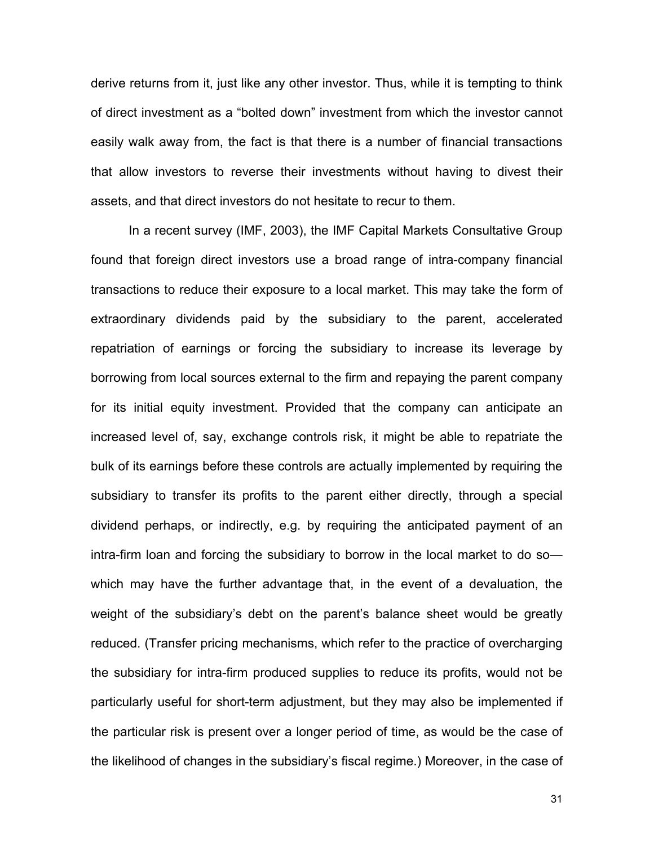derive returns from it, just like any other investor. Thus, while it is tempting to think of direct investment as a "bolted down" investment from which the investor cannot easily walk away from, the fact is that there is a number of financial transactions that allow investors to reverse their investments without having to divest their assets, and that direct investors do not hesitate to recur to them.

In a recent survey (IMF, 2003), the IMF Capital Markets Consultative Group found that foreign direct investors use a broad range of intra-company financial transactions to reduce their exposure to a local market. This may take the form of extraordinary dividends paid by the subsidiary to the parent, accelerated repatriation of earnings or forcing the subsidiary to increase its leverage by borrowing from local sources external to the firm and repaying the parent company for its initial equity investment. Provided that the company can anticipate an increased level of, say, exchange controls risk, it might be able to repatriate the bulk of its earnings before these controls are actually implemented by requiring the subsidiary to transfer its profits to the parent either directly, through a special dividend perhaps, or indirectly, e.g. by requiring the anticipated payment of an intra-firm loan and forcing the subsidiary to borrow in the local market to do so which may have the further advantage that, in the event of a devaluation, the weight of the subsidiary's debt on the parent's balance sheet would be greatly reduced. (Transfer pricing mechanisms, which refer to the practice of overcharging the subsidiary for intra-firm produced supplies to reduce its profits, would not be particularly useful for short-term adjustment, but they may also be implemented if the particular risk is present over a longer period of time, as would be the case of the likelihood of changes in the subsidiary's fiscal regime.) Moreover, in the case of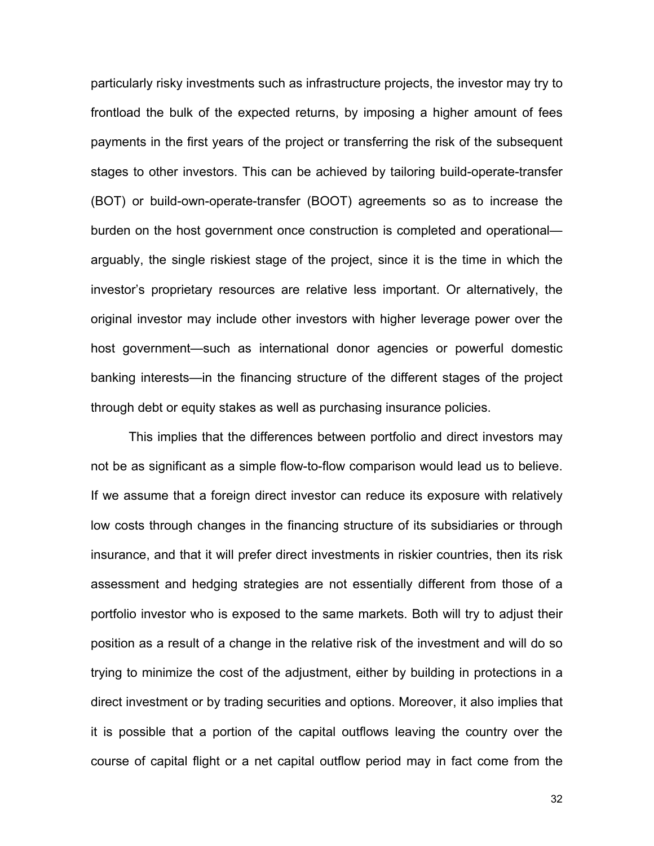particularly risky investments such as infrastructure projects, the investor may try to frontload the bulk of the expected returns, by imposing a higher amount of fees payments in the first years of the project or transferring the risk of the subsequent stages to other investors. This can be achieved by tailoring build-operate-transfer (BOT) or build-own-operate-transfer (BOOT) agreements so as to increase the burden on the host government once construction is completed and operational arguably, the single riskiest stage of the project, since it is the time in which the investor's proprietary resources are relative less important. Or alternatively, the original investor may include other investors with higher leverage power over the host government—such as international donor agencies or powerful domestic banking interests—in the financing structure of the different stages of the project through debt or equity stakes as well as purchasing insurance policies.

This implies that the differences between portfolio and direct investors may not be as significant as a simple flow-to-flow comparison would lead us to believe. If we assume that a foreign direct investor can reduce its exposure with relatively low costs through changes in the financing structure of its subsidiaries or through insurance, and that it will prefer direct investments in riskier countries, then its risk assessment and hedging strategies are not essentially different from those of a portfolio investor who is exposed to the same markets. Both will try to adjust their position as a result of a change in the relative risk of the investment and will do so trying to minimize the cost of the adjustment, either by building in protections in a direct investment or by trading securities and options. Moreover, it also implies that it is possible that a portion of the capital outflows leaving the country over the course of capital flight or a net capital outflow period may in fact come from the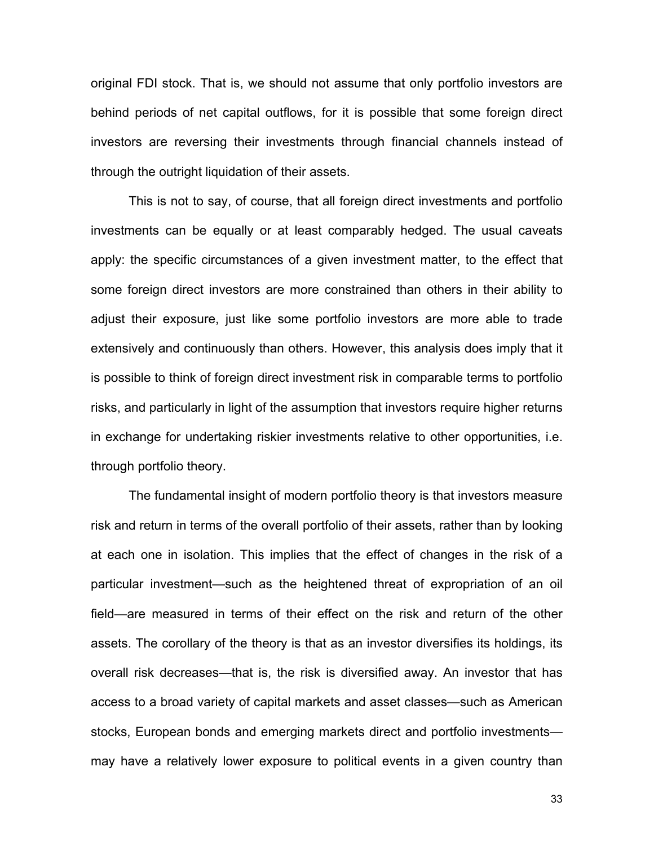original FDI stock. That is, we should not assume that only portfolio investors are behind periods of net capital outflows, for it is possible that some foreign direct investors are reversing their investments through financial channels instead of through the outright liquidation of their assets.

This is not to say, of course, that all foreign direct investments and portfolio investments can be equally or at least comparably hedged. The usual caveats apply: the specific circumstances of a given investment matter, to the effect that some foreign direct investors are more constrained than others in their ability to adjust their exposure, just like some portfolio investors are more able to trade extensively and continuously than others. However, this analysis does imply that it is possible to think of foreign direct investment risk in comparable terms to portfolio risks, and particularly in light of the assumption that investors require higher returns in exchange for undertaking riskier investments relative to other opportunities, i.e. through portfolio theory.

The fundamental insight of modern portfolio theory is that investors measure risk and return in terms of the overall portfolio of their assets, rather than by looking at each one in isolation. This implies that the effect of changes in the risk of a particular investment—such as the heightened threat of expropriation of an oil field—are measured in terms of their effect on the risk and return of the other assets. The corollary of the theory is that as an investor diversifies its holdings, its overall risk decreases—that is, the risk is diversified away. An investor that has access to a broad variety of capital markets and asset classes—such as American stocks, European bonds and emerging markets direct and portfolio investments may have a relatively lower exposure to political events in a given country than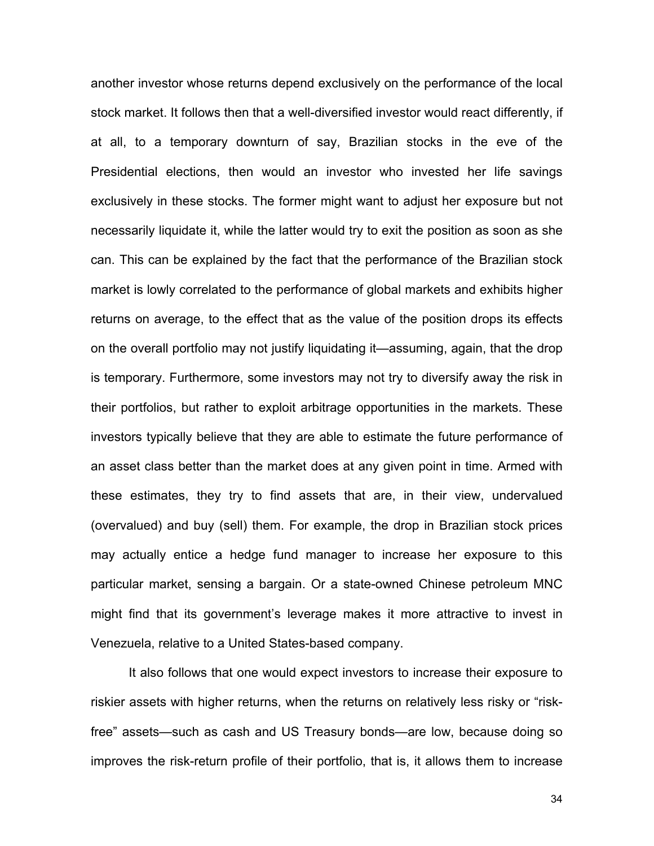another investor whose returns depend exclusively on the performance of the local stock market. It follows then that a well-diversified investor would react differently, if at all, to a temporary downturn of say, Brazilian stocks in the eve of the Presidential elections, then would an investor who invested her life savings exclusively in these stocks. The former might want to adjust her exposure but not necessarily liquidate it, while the latter would try to exit the position as soon as she can. This can be explained by the fact that the performance of the Brazilian stock market is lowly correlated to the performance of global markets and exhibits higher returns on average, to the effect that as the value of the position drops its effects on the overall portfolio may not justify liquidating it—assuming, again, that the drop is temporary. Furthermore, some investors may not try to diversify away the risk in their portfolios, but rather to exploit arbitrage opportunities in the markets. These investors typically believe that they are able to estimate the future performance of an asset class better than the market does at any given point in time. Armed with these estimates, they try to find assets that are, in their view, undervalued (overvalued) and buy (sell) them. For example, the drop in Brazilian stock prices may actually entice a hedge fund manager to increase her exposure to this particular market, sensing a bargain. Or a state-owned Chinese petroleum MNC might find that its government's leverage makes it more attractive to invest in Venezuela, relative to a United States-based company.

It also follows that one would expect investors to increase their exposure to riskier assets with higher returns, when the returns on relatively less risky or "riskfree" assets—such as cash and US Treasury bonds—are low, because doing so improves the risk-return profile of their portfolio, that is, it allows them to increase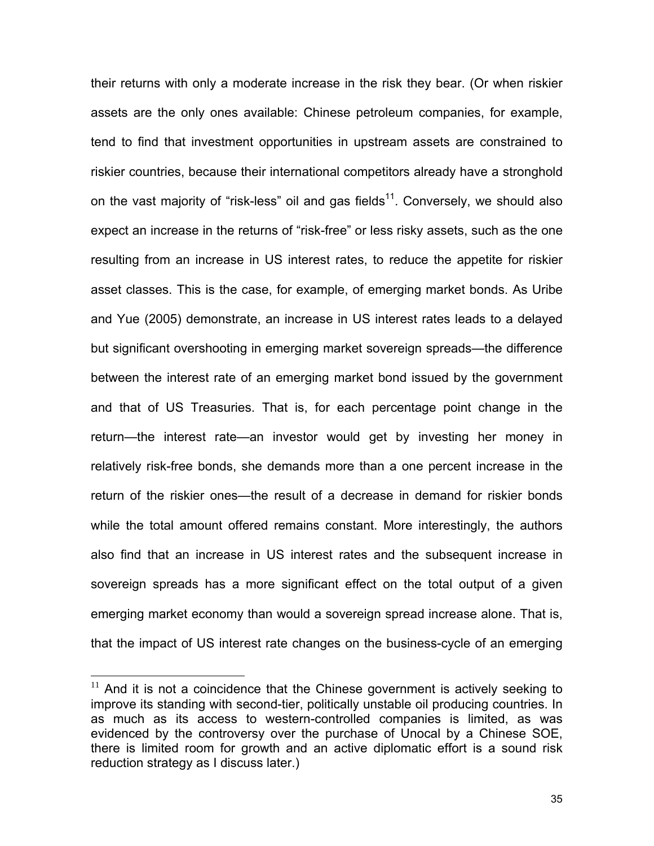their returns with only a moderate increase in the risk they bear. (Or when riskier assets are the only ones available: Chinese petroleum companies, for example, tend to find that investment opportunities in upstream assets are constrained to riskier countries, because their international competitors already have a stronghold on the vast majority of "risk-less" oil and gas fields $11$ . Conversely, we should also expect an increase in the returns of "risk-free" or less risky assets, such as the one resulting from an increase in US interest rates, to reduce the appetite for riskier asset classes. This is the case, for example, of emerging market bonds. As Uribe and Yue (2005) demonstrate, an increase in US interest rates leads to a delayed but significant overshooting in emerging market sovereign spreads—the difference between the interest rate of an emerging market bond issued by the government and that of US Treasuries. That is, for each percentage point change in the return—the interest rate—an investor would get by investing her money in relatively risk-free bonds, she demands more than a one percent increase in the return of the riskier ones—the result of a decrease in demand for riskier bonds while the total amount offered remains constant. More interestingly, the authors also find that an increase in US interest rates and the subsequent increase in sovereign spreads has a more significant effect on the total output of a given emerging market economy than would a sovereign spread increase alone. That is, that the impact of US interest rate changes on the business-cycle of an emerging

<span id="page-34-0"></span> $11$  And it is not a coincidence that the Chinese government is actively seeking to improve its standing with second-tier, politically unstable oil producing countries. In as much as its access to western-controlled companies is limited, as was evidenced by the controversy over the purchase of Unocal by a Chinese SOE, there is limited room for growth and an active diplomatic effort is a sound risk reduction strategy as I discuss later.)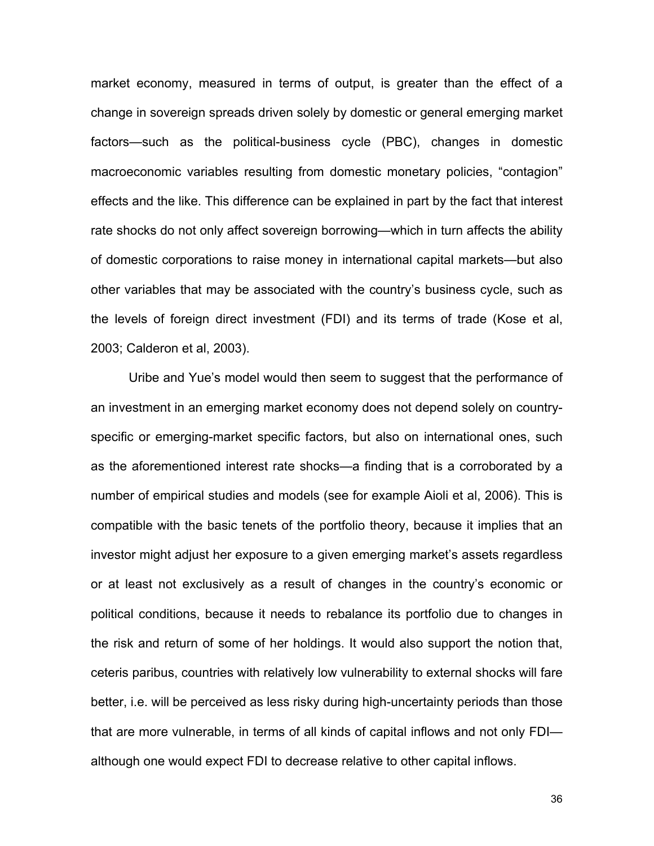market economy, measured in terms of output, is greater than the effect of a change in sovereign spreads driven solely by domestic or general emerging market factors—such as the political-business cycle (PBC), changes in domestic macroeconomic variables resulting from domestic monetary policies, "contagion" effects and the like. This difference can be explained in part by the fact that interest rate shocks do not only affect sovereign borrowing—which in turn affects the ability of domestic corporations to raise money in international capital markets—but also other variables that may be associated with the country's business cycle, such as the levels of foreign direct investment (FDI) and its terms of trade (Kose et al, 2003; Calderon et al, 2003).

Uribe and Yue's model would then seem to suggest that the performance of an investment in an emerging market economy does not depend solely on countryspecific or emerging-market specific factors, but also on international ones, such as the aforementioned interest rate shocks—a finding that is a corroborated by a number of empirical studies and models (see for example Aioli et al, 2006). This is compatible with the basic tenets of the portfolio theory, because it implies that an investor might adjust her exposure to a given emerging market's assets regardless or at least not exclusively as a result of changes in the country's economic or political conditions, because it needs to rebalance its portfolio due to changes in the risk and return of some of her holdings. It would also support the notion that, ceteris paribus, countries with relatively low vulnerability to external shocks will fare better, i.e. will be perceived as less risky during high-uncertainty periods than those that are more vulnerable, in terms of all kinds of capital inflows and not only FDI although one would expect FDI to decrease relative to other capital inflows.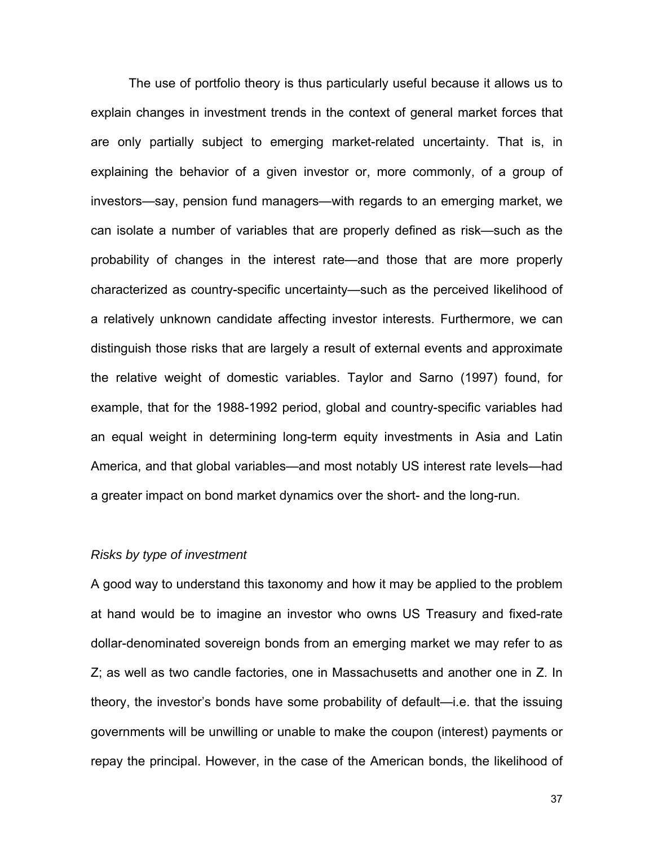The use of portfolio theory is thus particularly useful because it allows us to explain changes in investment trends in the context of general market forces that are only partially subject to emerging market-related uncertainty. That is, in explaining the behavior of a given investor or, more commonly, of a group of investors—say, pension fund managers—with regards to an emerging market, we can isolate a number of variables that are properly defined as risk—such as the probability of changes in the interest rate—and those that are more properly characterized as country-specific uncertainty—such as the perceived likelihood of a relatively unknown candidate affecting investor interests. Furthermore, we can distinguish those risks that are largely a result of external events and approximate the relative weight of domestic variables. Taylor and Sarno (1997) found, for example, that for the 1988-1992 period, global and country-specific variables had an equal weight in determining long-term equity investments in Asia and Latin America, and that global variables—and most notably US interest rate levels—had a greater impact on bond market dynamics over the short- and the long-run.

## *Risks by type of investment*

A good way to understand this taxonomy and how it may be applied to the problem at hand would be to imagine an investor who owns US Treasury and fixed-rate dollar-denominated sovereign bonds from an emerging market we may refer to as Z; as well as two candle factories, one in Massachusetts and another one in Z. In theory, the investor's bonds have some probability of default—i.e. that the issuing governments will be unwilling or unable to make the coupon (interest) payments or repay the principal. However, in the case of the American bonds, the likelihood of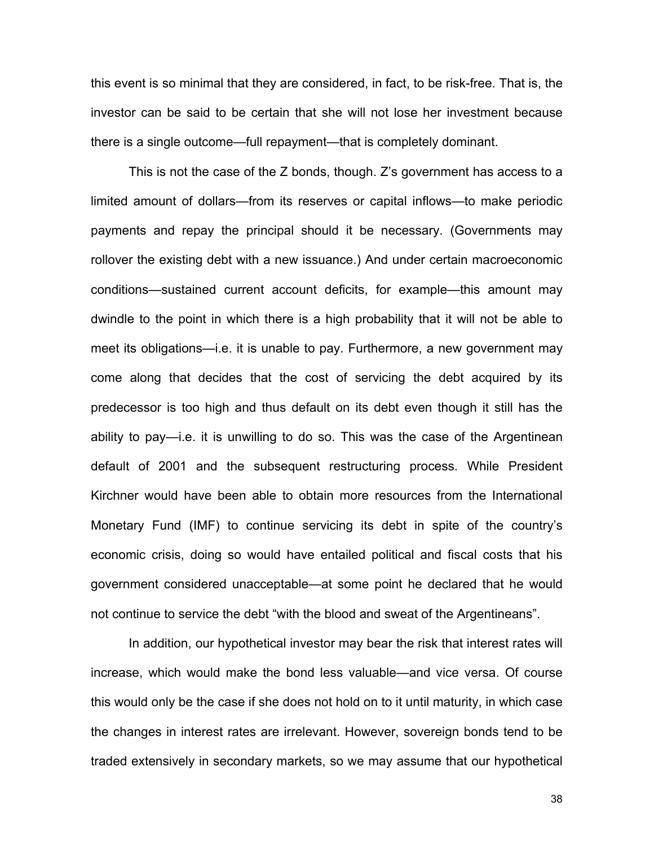this event is so minimal that they are considered, in fact, to be risk-free. That is, the investor can be said to be certain that she will not lose her investment because there is a single outcome—full repayment—that is completely dominant.

This is not the case of the Z bonds, though. Z's government has access to a limited amount of dollars—from its reserves or capital inflows—to make periodic payments and repay the principal should it be necessary. (Governments may rollover the existing debt with a new issuance.) And under certain macroeconomic conditions—sustained current account deficits, for example—this amount may dwindle to the point in which there is a high probability that it will not be able to meet its obligations—i.e. it is unable to pay. Furthermore, a new government may come along that decides that the cost of servicing the debt acquired by its predecessor is too high and thus default on its debt even though it still has the ability to pay—i.e. it is unwilling to do so. This was the case of the Argentinean default of 2001 and the subsequent restructuring process. While President Kirchner would have been able to obtain more resources from the International Monetary Fund (IMF) to continue servicing its debt in spite of the country's economic crisis, doing so would have entailed political and fiscal costs that his government considered unacceptable—at some point he declared that he would not continue to service the debt "with the blood and sweat of the Argentineans".

In addition, our hypothetical investor may bear the risk that interest rates will increase, which would make the bond less valuable—and vice versa. Of course this would only be the case if she does not hold on to it until maturity, in which case the changes in interest rates are irrelevant. However, sovereign bonds tend to be traded extensively in secondary markets, so we may assume that our hypothetical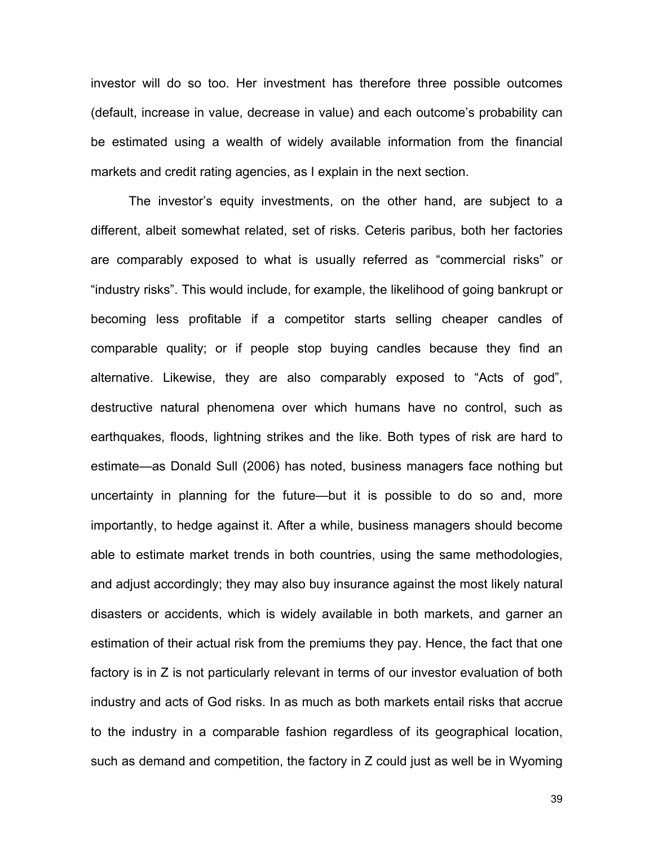investor will do so too. Her investment has therefore three possible outcomes (default, increase in value, decrease in value) and each outcome's probability can be estimated using a wealth of widely available information from the financial markets and credit rating agencies, as I explain in the next section.

The investor's equity investments, on the other hand, are subject to a different, albeit somewhat related, set of risks. Ceteris paribus, both her factories are comparably exposed to what is usually referred as "commercial risks" or "industry risks". This would include, for example, the likelihood of going bankrupt or becoming less profitable if a competitor starts selling cheaper candles of comparable quality; or if people stop buying candles because they find an alternative. Likewise, they are also comparably exposed to "Acts of god", destructive natural phenomena over which humans have no control, such as earthquakes, floods, lightning strikes and the like. Both types of risk are hard to estimate—as Donald Sull (2006) has noted, business managers face nothing but uncertainty in planning for the future—but it is possible to do so and, more importantly, to hedge against it. After a while, business managers should become able to estimate market trends in both countries, using the same methodologies, and adjust accordingly; they may also buy insurance against the most likely natural disasters or accidents, which is widely available in both markets, and garner an estimation of their actual risk from the premiums they pay. Hence, the fact that one factory is in Z is not particularly relevant in terms of our investor evaluation of both industry and acts of God risks. In as much as both markets entail risks that accrue to the industry in a comparable fashion regardless of its geographical location, such as demand and competition, the factory in Z could just as well be in Wyoming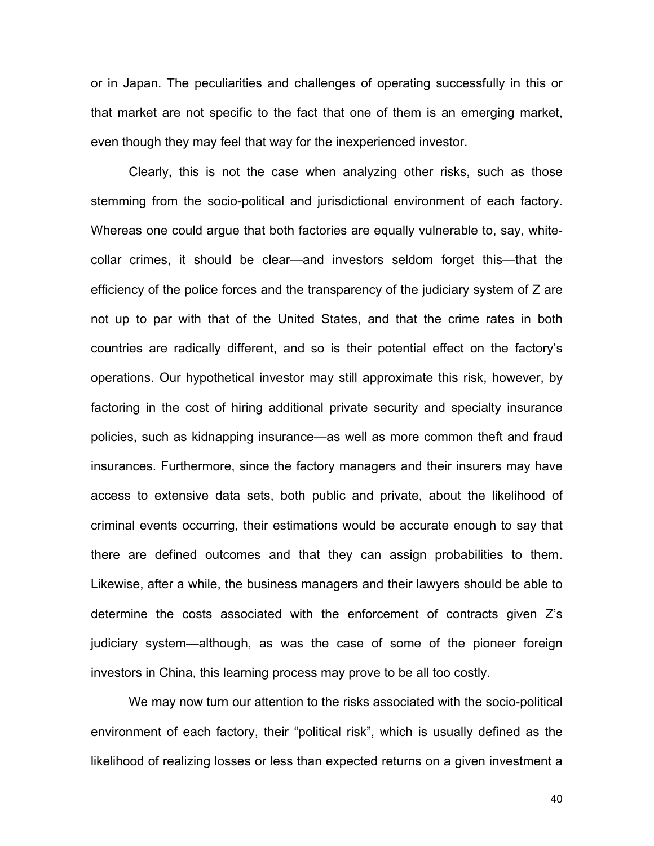or in Japan. The peculiarities and challenges of operating successfully in this or that market are not specific to the fact that one of them is an emerging market, even though they may feel that way for the inexperienced investor.

Clearly, this is not the case when analyzing other risks, such as those stemming from the socio-political and jurisdictional environment of each factory. Whereas one could argue that both factories are equally vulnerable to, say, whitecollar crimes, it should be clear—and investors seldom forget this—that the efficiency of the police forces and the transparency of the judiciary system of Z are not up to par with that of the United States, and that the crime rates in both countries are radically different, and so is their potential effect on the factory's operations. Our hypothetical investor may still approximate this risk, however, by factoring in the cost of hiring additional private security and specialty insurance policies, such as kidnapping insurance—as well as more common theft and fraud insurances. Furthermore, since the factory managers and their insurers may have access to extensive data sets, both public and private, about the likelihood of criminal events occurring, their estimations would be accurate enough to say that there are defined outcomes and that they can assign probabilities to them. Likewise, after a while, the business managers and their lawyers should be able to determine the costs associated with the enforcement of contracts given Z's judiciary system—although, as was the case of some of the pioneer foreign investors in China, this learning process may prove to be all too costly.

We may now turn our attention to the risks associated with the socio-political environment of each factory, their "political risk", which is usually defined as the likelihood of realizing losses or less than expected returns on a given investment a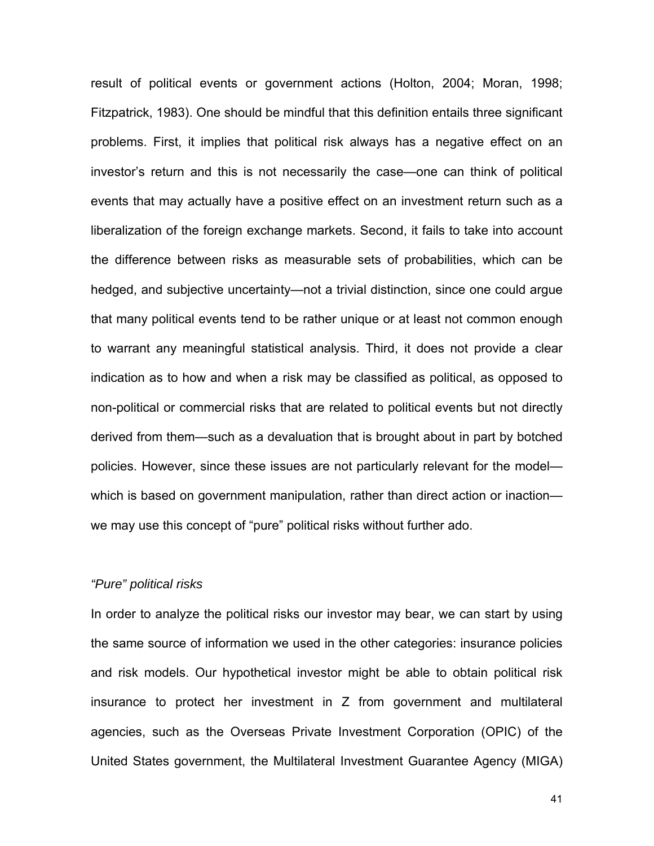result of political events or government actions (Holton, 2004; Moran, 1998; Fitzpatrick, 1983). One should be mindful that this definition entails three significant problems. First, it implies that political risk always has a negative effect on an investor's return and this is not necessarily the case—one can think of political events that may actually have a positive effect on an investment return such as a liberalization of the foreign exchange markets. Second, it fails to take into account the difference between risks as measurable sets of probabilities, which can be hedged, and subjective uncertainty—not a trivial distinction, since one could argue that many political events tend to be rather unique or at least not common enough to warrant any meaningful statistical analysis. Third, it does not provide a clear indication as to how and when a risk may be classified as political, as opposed to non-political or commercial risks that are related to political events but not directly derived from them—such as a devaluation that is brought about in part by botched policies. However, since these issues are not particularly relevant for the model which is based on government manipulation, rather than direct action or inaction we may use this concept of "pure" political risks without further ado.

## *"Pure" political risks*

In order to analyze the political risks our investor may bear, we can start by using the same source of information we used in the other categories: insurance policies and risk models. Our hypothetical investor might be able to obtain political risk insurance to protect her investment in Z from government and multilateral agencies, such as the Overseas Private Investment Corporation (OPIC) of the United States government, the Multilateral Investment Guarantee Agency (MIGA)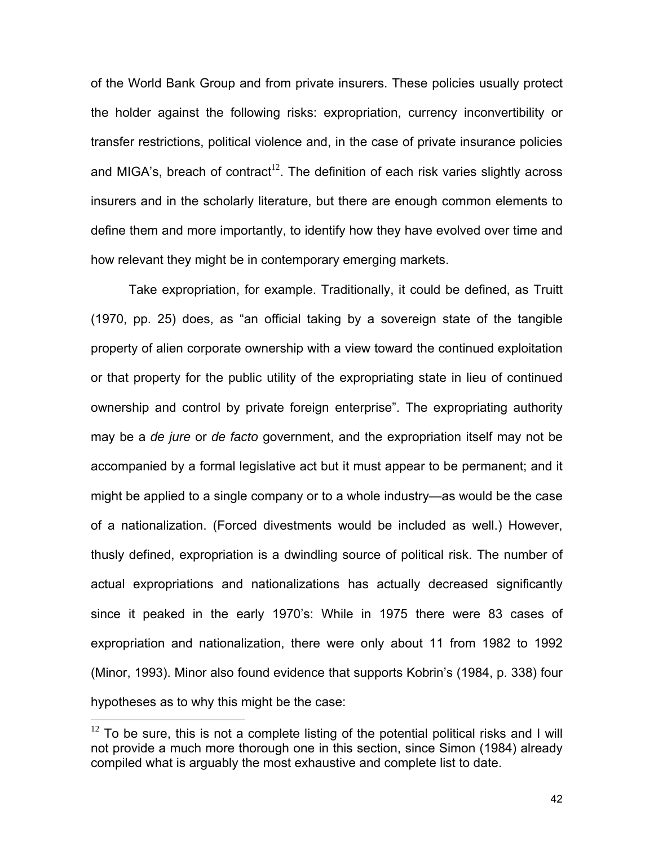of the World Bank Group and from private insurers. These policies usually protect the holder against the following risks: expropriation, currency inconvertibility or transfer restrictions, political violence and, in the case of private insurance policies and MIGA's, breach of contract<sup>[12](#page-41-0)</sup>. The definition of each risk varies slightly across insurers and in the scholarly literature, but there are enough common elements to define them and more importantly, to identify how they have evolved over time and how relevant they might be in contemporary emerging markets.

Take expropriation, for example. Traditionally, it could be defined, as Truitt (1970, pp. 25) does, as "an official taking by a sovereign state of the tangible property of alien corporate ownership with a view toward the continued exploitation or that property for the public utility of the expropriating state in lieu of continued ownership and control by private foreign enterprise". The expropriating authority may be a *de jure* or *de facto* government, and the expropriation itself may not be accompanied by a formal legislative act but it must appear to be permanent; and it might be applied to a single company or to a whole industry—as would be the case of a nationalization. (Forced divestments would be included as well.) However, thusly defined, expropriation is a dwindling source of political risk. The number of actual expropriations and nationalizations has actually decreased significantly since it peaked in the early 1970's: While in 1975 there were 83 cases of expropriation and nationalization, there were only about 11 from 1982 to 1992 (Minor, 1993). Minor also found evidence that supports Kobrin's (1984, p. 338) four hypotheses as to why this might be the case:

<span id="page-41-0"></span> $12$  To be sure, this is not a complete listing of the potential political risks and I will not provide a much more thorough one in this section, since Simon (1984) already compiled what is arguably the most exhaustive and complete list to date.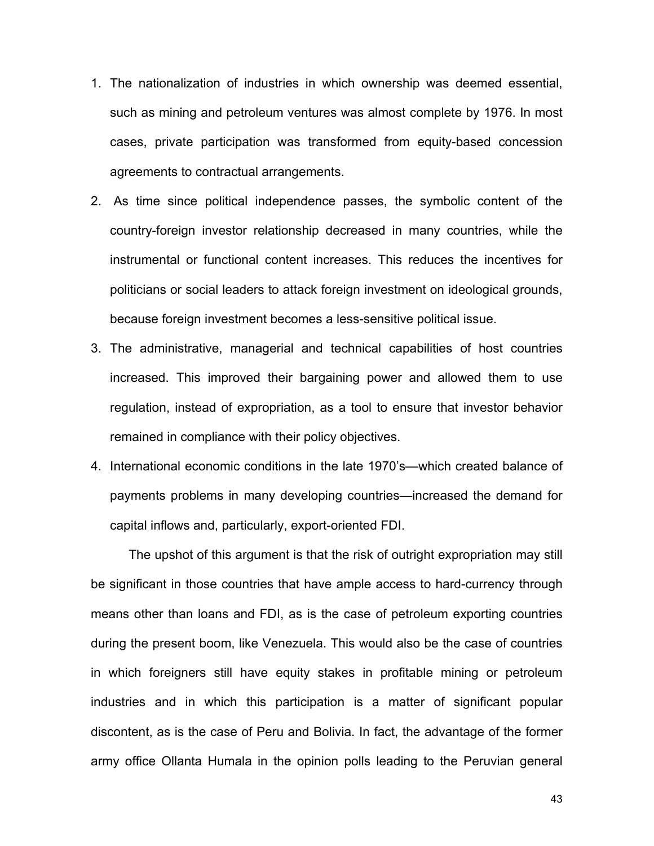- 1. The nationalization of industries in which ownership was deemed essential, such as mining and petroleum ventures was almost complete by 1976. In most cases, private participation was transformed from equity-based concession agreements to contractual arrangements.
- 2. As time since political independence passes, the symbolic content of the country-foreign investor relationship decreased in many countries, while the instrumental or functional content increases. This reduces the incentives for politicians or social leaders to attack foreign investment on ideological grounds, because foreign investment becomes a less-sensitive political issue.
- 3. The administrative, managerial and technical capabilities of host countries increased. This improved their bargaining power and allowed them to use regulation, instead of expropriation, as a tool to ensure that investor behavior remained in compliance with their policy objectives.
- 4. International economic conditions in the late 1970's—which created balance of payments problems in many developing countries—increased the demand for capital inflows and, particularly, export-oriented FDI.

The upshot of this argument is that the risk of outright expropriation may still be significant in those countries that have ample access to hard-currency through means other than loans and FDI, as is the case of petroleum exporting countries during the present boom, like Venezuela. This would also be the case of countries in which foreigners still have equity stakes in profitable mining or petroleum industries and in which this participation is a matter of significant popular discontent, as is the case of Peru and Bolivia. In fact, the advantage of the former army office Ollanta Humala in the opinion polls leading to the Peruvian general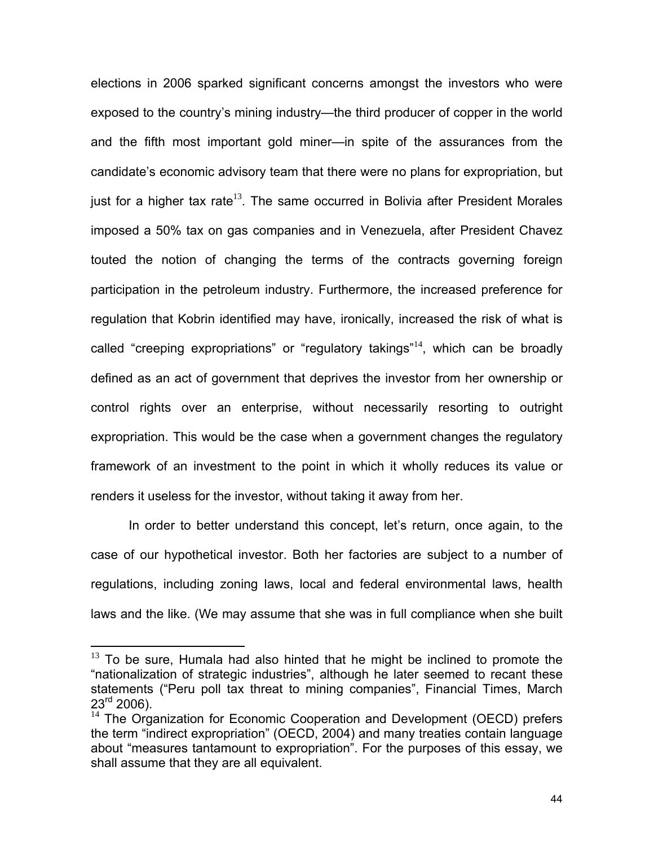elections in 2006 sparked significant concerns amongst the investors who were exposed to the country's mining industry—the third producer of copper in the world and the fifth most important gold miner—in spite of the assurances from the candidate's economic advisory team that there were no plans for expropriation, but just for a higher tax rate<sup>[13](#page-43-0)</sup>. The same occurred in Bolivia after President Morales imposed a 50% tax on gas companies and in Venezuela, after President Chavez touted the notion of changing the terms of the contracts governing foreign participation in the petroleum industry. Furthermore, the increased preference for regulation that Kobrin identified may have, ironically, increased the risk of what is called "creeping expropriations" or "regulatory takings"[14](#page-43-1), which can be broadly defined as an act of government that deprives the investor from her ownership or control rights over an enterprise, without necessarily resorting to outright expropriation. This would be the case when a government changes the regulatory framework of an investment to the point in which it wholly reduces its value or renders it useless for the investor, without taking it away from her.

In order to better understand this concept, let's return, once again, to the case of our hypothetical investor. Both her factories are subject to a number of regulations, including zoning laws, local and federal environmental laws, health laws and the like. (We may assume that she was in full compliance when she built

<span id="page-43-0"></span> $13$  To be sure, Humala had also hinted that he might be inclined to promote the "nationalization of strategic industries", although he later seemed to recant these statements ("Peru poll tax threat to mining companies", Financial Times, March  $23^{\text{rd}}$  2006).

<span id="page-43-1"></span><sup>&</sup>lt;sup>14</sup> The Organization for Economic Cooperation and Development (OECD) prefers the term "indirect expropriation" (OECD, 2004) and many treaties contain language about "measures tantamount to expropriation". For the purposes of this essay, we shall assume that they are all equivalent.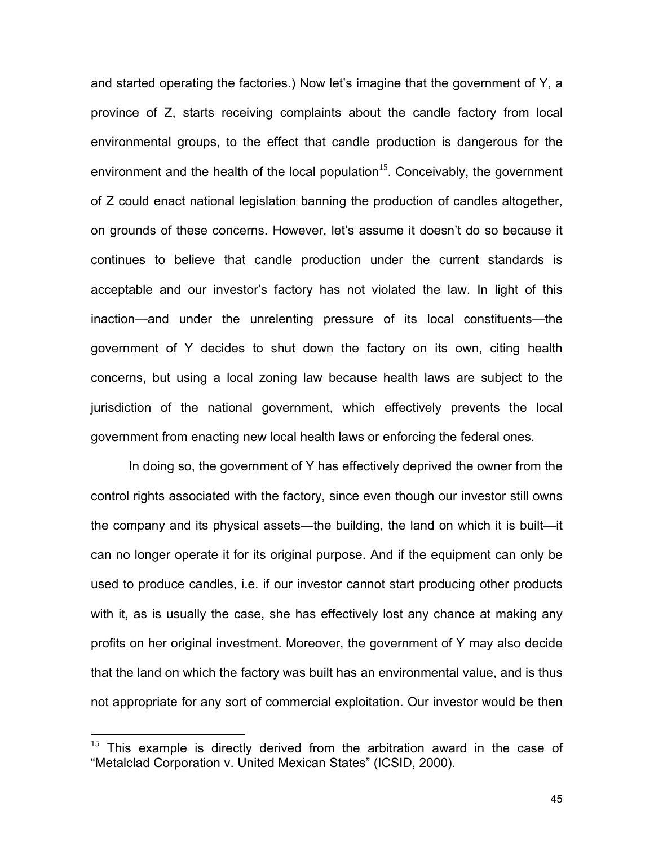and started operating the factories.) Now let's imagine that the government of Y, a province of Z, starts receiving complaints about the candle factory from local environmental groups, to the effect that candle production is dangerous for the environment and the health of the local population<sup>[15](#page-44-0)</sup>. Conceivably, the government of Z could enact national legislation banning the production of candles altogether, on grounds of these concerns. However, let's assume it doesn't do so because it continues to believe that candle production under the current standards is acceptable and our investor's factory has not violated the law. In light of this inaction—and under the unrelenting pressure of its local constituents—the government of Y decides to shut down the factory on its own, citing health concerns, but using a local zoning law because health laws are subject to the jurisdiction of the national government, which effectively prevents the local government from enacting new local health laws or enforcing the federal ones.

In doing so, the government of Y has effectively deprived the owner from the control rights associated with the factory, since even though our investor still owns the company and its physical assets—the building, the land on which it is built—it can no longer operate it for its original purpose. And if the equipment can only be used to produce candles, i.e. if our investor cannot start producing other products with it, as is usually the case, she has effectively lost any chance at making any profits on her original investment. Moreover, the government of Y may also decide that the land on which the factory was built has an environmental value, and is thus not appropriate for any sort of commercial exploitation. Our investor would be then

<u>.</u>

<span id="page-44-0"></span> $15$  This example is directly derived from the arbitration award in the case of "Metalclad Corporation v. United Mexican States" (ICSID, 2000).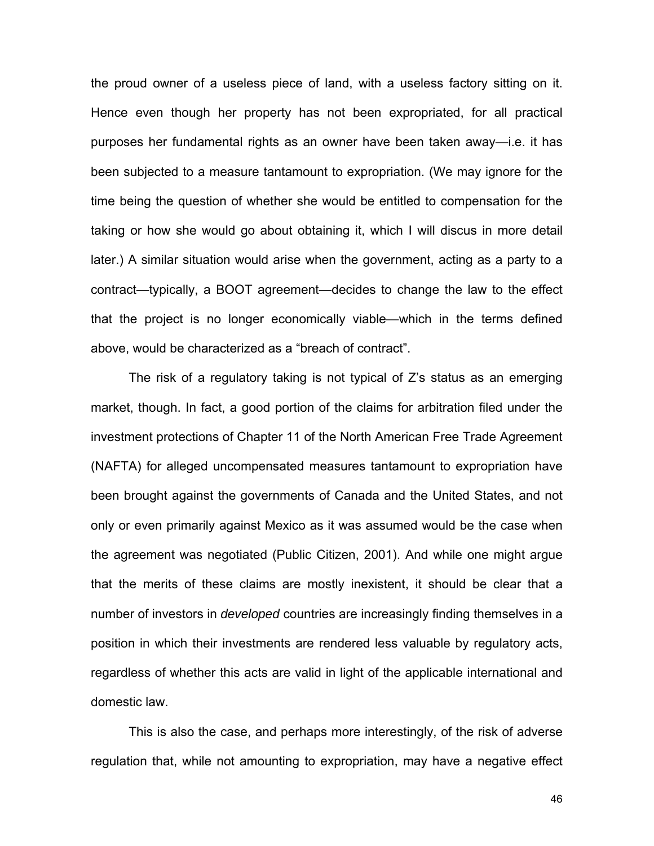the proud owner of a useless piece of land, with a useless factory sitting on it. Hence even though her property has not been expropriated, for all practical purposes her fundamental rights as an owner have been taken away—i.e. it has been subjected to a measure tantamount to expropriation. (We may ignore for the time being the question of whether she would be entitled to compensation for the taking or how she would go about obtaining it, which I will discus in more detail later.) A similar situation would arise when the government, acting as a party to a contract—typically, a BOOT agreement—decides to change the law to the effect that the project is no longer economically viable—which in the terms defined above, would be characterized as a "breach of contract".

The risk of a regulatory taking is not typical of Z's status as an emerging market, though. In fact, a good portion of the claims for arbitration filed under the investment protections of Chapter 11 of the North American Free Trade Agreement (NAFTA) for alleged uncompensated measures tantamount to expropriation have been brought against the governments of Canada and the United States, and not only or even primarily against Mexico as it was assumed would be the case when the agreement was negotiated (Public Citizen, 2001). And while one might argue that the merits of these claims are mostly inexistent, it should be clear that a number of investors in *developed* countries are increasingly finding themselves in a position in which their investments are rendered less valuable by regulatory acts, regardless of whether this acts are valid in light of the applicable international and domestic law.

This is also the case, and perhaps more interestingly, of the risk of adverse regulation that, while not amounting to expropriation, may have a negative effect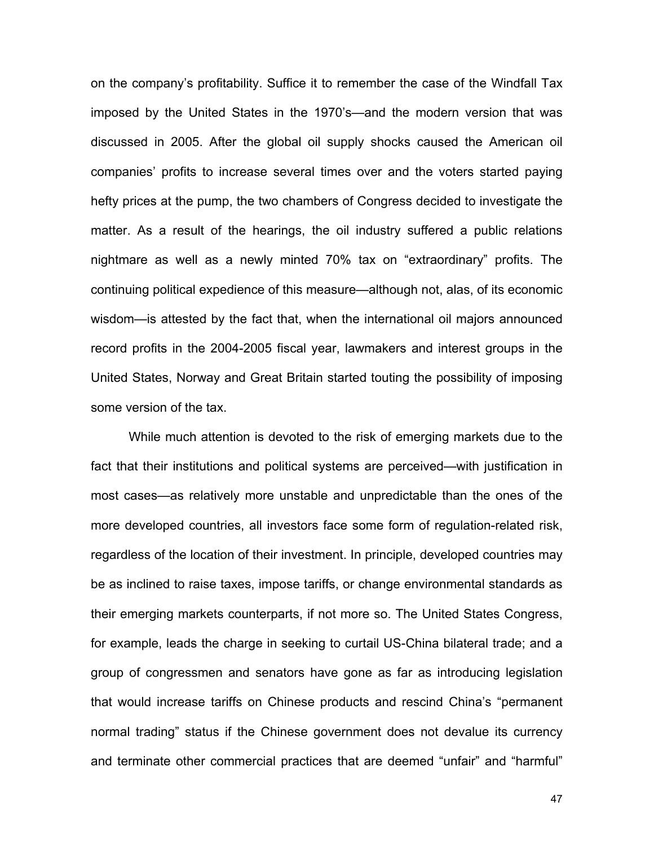on the company's profitability. Suffice it to remember the case of the Windfall Tax imposed by the United States in the 1970's—and the modern version that was discussed in 2005. After the global oil supply shocks caused the American oil companies' profits to increase several times over and the voters started paying hefty prices at the pump, the two chambers of Congress decided to investigate the matter. As a result of the hearings, the oil industry suffered a public relations nightmare as well as a newly minted 70% tax on "extraordinary" profits. The continuing political expedience of this measure—although not, alas, of its economic wisdom—is attested by the fact that, when the international oil majors announced record profits in the 2004-2005 fiscal year, lawmakers and interest groups in the United States, Norway and Great Britain started touting the possibility of imposing some version of the tax.

While much attention is devoted to the risk of emerging markets due to the fact that their institutions and political systems are perceived—with justification in most cases—as relatively more unstable and unpredictable than the ones of the more developed countries, all investors face some form of regulation-related risk, regardless of the location of their investment. In principle, developed countries may be as inclined to raise taxes, impose tariffs, or change environmental standards as their emerging markets counterparts, if not more so. The United States Congress, for example, leads the charge in seeking to curtail US-China bilateral trade; and a group of congressmen and senators have gone as far as introducing legislation that would increase tariffs on Chinese products and rescind China's "permanent normal trading" status if the Chinese government does not devalue its currency and terminate other commercial practices that are deemed "unfair" and "harmful"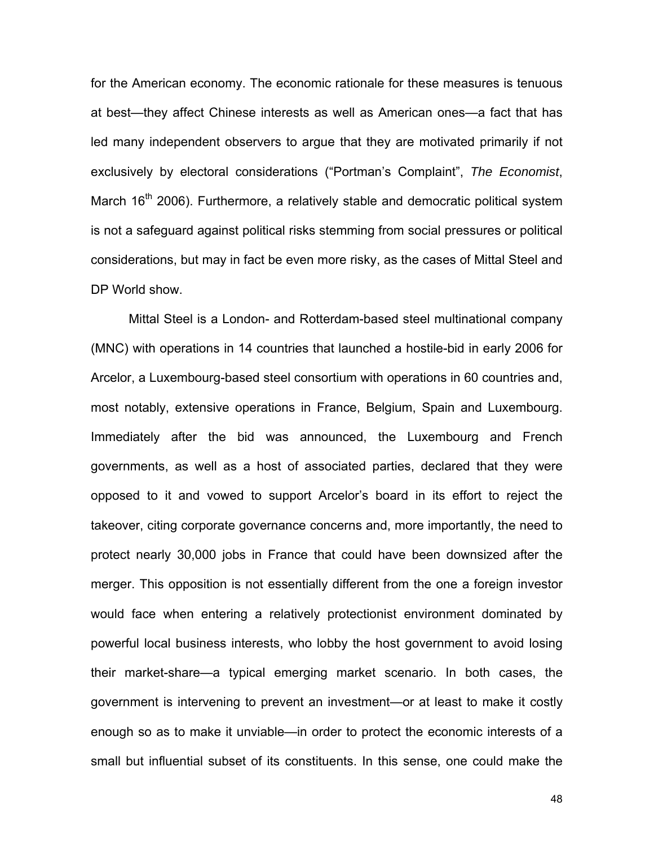for the American economy. The economic rationale for these measures is tenuous at best—they affect Chinese interests as well as American ones—a fact that has led many independent observers to argue that they are motivated primarily if not exclusively by electoral considerations ("Portman's Complaint", *The Economist*, March  $16<sup>th</sup>$  2006). Furthermore, a relatively stable and democratic political system is not a safeguard against political risks stemming from social pressures or political considerations, but may in fact be even more risky, as the cases of Mittal Steel and DP World show.

Mittal Steel is a London- and Rotterdam-based steel multinational company (MNC) with operations in 14 countries that launched a hostile-bid in early 2006 for Arcelor, a Luxembourg-based steel consortium with operations in 60 countries and, most notably, extensive operations in France, Belgium, Spain and Luxembourg. Immediately after the bid was announced, the Luxembourg and French governments, as well as a host of associated parties, declared that they were opposed to it and vowed to support Arcelor's board in its effort to reject the takeover, citing corporate governance concerns and, more importantly, the need to protect nearly 30,000 jobs in France that could have been downsized after the merger. This opposition is not essentially different from the one a foreign investor would face when entering a relatively protectionist environment dominated by powerful local business interests, who lobby the host government to avoid losing their market-share—a typical emerging market scenario. In both cases, the government is intervening to prevent an investment—or at least to make it costly enough so as to make it unviable—in order to protect the economic interests of a small but influential subset of its constituents. In this sense, one could make the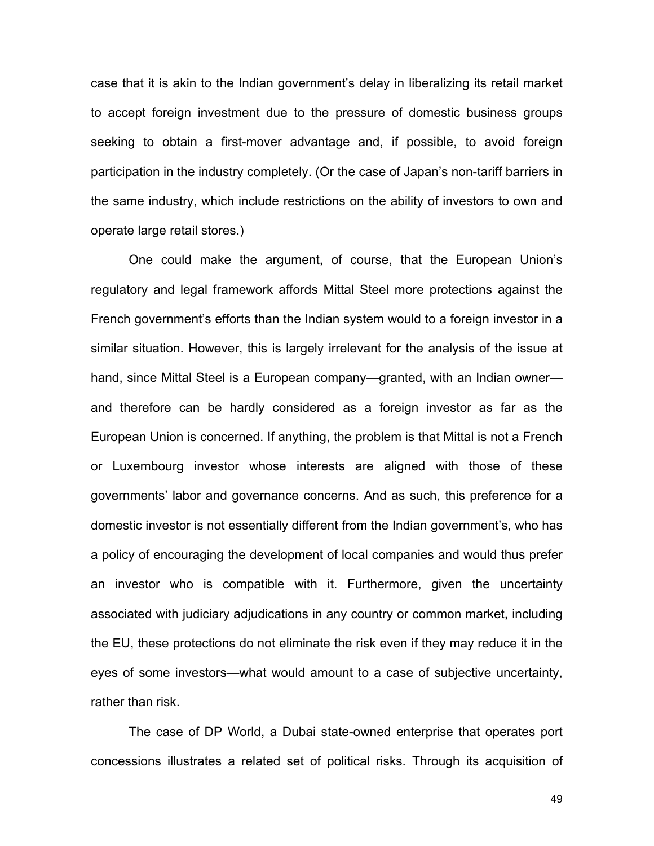case that it is akin to the Indian government's delay in liberalizing its retail market to accept foreign investment due to the pressure of domestic business groups seeking to obtain a first-mover advantage and, if possible, to avoid foreign participation in the industry completely. (Or the case of Japan's non-tariff barriers in the same industry, which include restrictions on the ability of investors to own and operate large retail stores.)

One could make the argument, of course, that the European Union's regulatory and legal framework affords Mittal Steel more protections against the French government's efforts than the Indian system would to a foreign investor in a similar situation. However, this is largely irrelevant for the analysis of the issue at hand, since Mittal Steel is a European company—granted, with an Indian owner and therefore can be hardly considered as a foreign investor as far as the European Union is concerned. If anything, the problem is that Mittal is not a French or Luxembourg investor whose interests are aligned with those of these governments' labor and governance concerns. And as such, this preference for a domestic investor is not essentially different from the Indian government's, who has a policy of encouraging the development of local companies and would thus prefer an investor who is compatible with it. Furthermore, given the uncertainty associated with judiciary adjudications in any country or common market, including the EU, these protections do not eliminate the risk even if they may reduce it in the eyes of some investors—what would amount to a case of subjective uncertainty, rather than risk.

The case of DP World, a Dubai state-owned enterprise that operates port concessions illustrates a related set of political risks. Through its acquisition of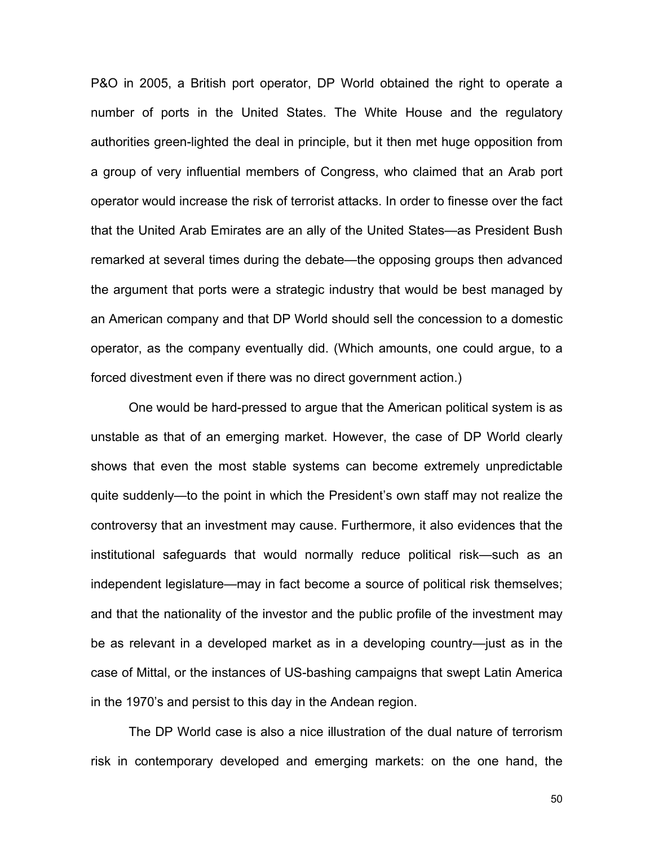P&O in 2005, a British port operator, DP World obtained the right to operate a number of ports in the United States. The White House and the regulatory authorities green-lighted the deal in principle, but it then met huge opposition from a group of very influential members of Congress, who claimed that an Arab port operator would increase the risk of terrorist attacks. In order to finesse over the fact that the United Arab Emirates are an ally of the United States—as President Bush remarked at several times during the debate—the opposing groups then advanced the argument that ports were a strategic industry that would be best managed by an American company and that DP World should sell the concession to a domestic operator, as the company eventually did. (Which amounts, one could argue, to a forced divestment even if there was no direct government action.)

One would be hard-pressed to argue that the American political system is as unstable as that of an emerging market. However, the case of DP World clearly shows that even the most stable systems can become extremely unpredictable quite suddenly—to the point in which the President's own staff may not realize the controversy that an investment may cause. Furthermore, it also evidences that the institutional safeguards that would normally reduce political risk—such as an independent legislature—may in fact become a source of political risk themselves; and that the nationality of the investor and the public profile of the investment may be as relevant in a developed market as in a developing country—just as in the case of Mittal, or the instances of US-bashing campaigns that swept Latin America in the 1970's and persist to this day in the Andean region.

The DP World case is also a nice illustration of the dual nature of terrorism risk in contemporary developed and emerging markets: on the one hand, the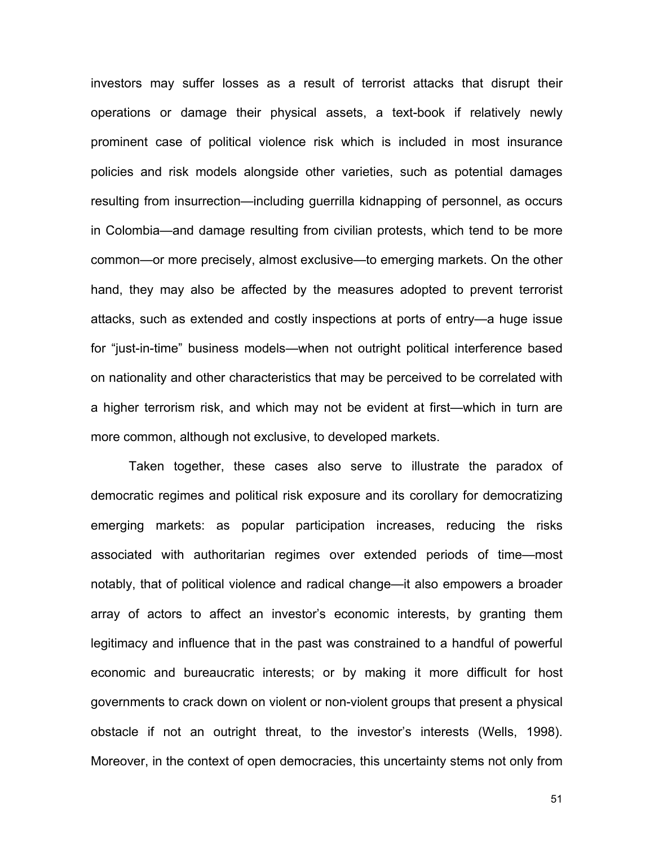investors may suffer losses as a result of terrorist attacks that disrupt their operations or damage their physical assets, a text-book if relatively newly prominent case of political violence risk which is included in most insurance policies and risk models alongside other varieties, such as potential damages resulting from insurrection—including guerrilla kidnapping of personnel, as occurs in Colombia—and damage resulting from civilian protests, which tend to be more common—or more precisely, almost exclusive—to emerging markets. On the other hand, they may also be affected by the measures adopted to prevent terrorist attacks, such as extended and costly inspections at ports of entry—a huge issue for "just-in-time" business models—when not outright political interference based on nationality and other characteristics that may be perceived to be correlated with a higher terrorism risk, and which may not be evident at first—which in turn are more common, although not exclusive, to developed markets.

Taken together, these cases also serve to illustrate the paradox of democratic regimes and political risk exposure and its corollary for democratizing emerging markets: as popular participation increases, reducing the risks associated with authoritarian regimes over extended periods of time—most notably, that of political violence and radical change—it also empowers a broader array of actors to affect an investor's economic interests, by granting them legitimacy and influence that in the past was constrained to a handful of powerful economic and bureaucratic interests; or by making it more difficult for host governments to crack down on violent or non-violent groups that present a physical obstacle if not an outright threat, to the investor's interests (Wells, 1998). Moreover, in the context of open democracies, this uncertainty stems not only from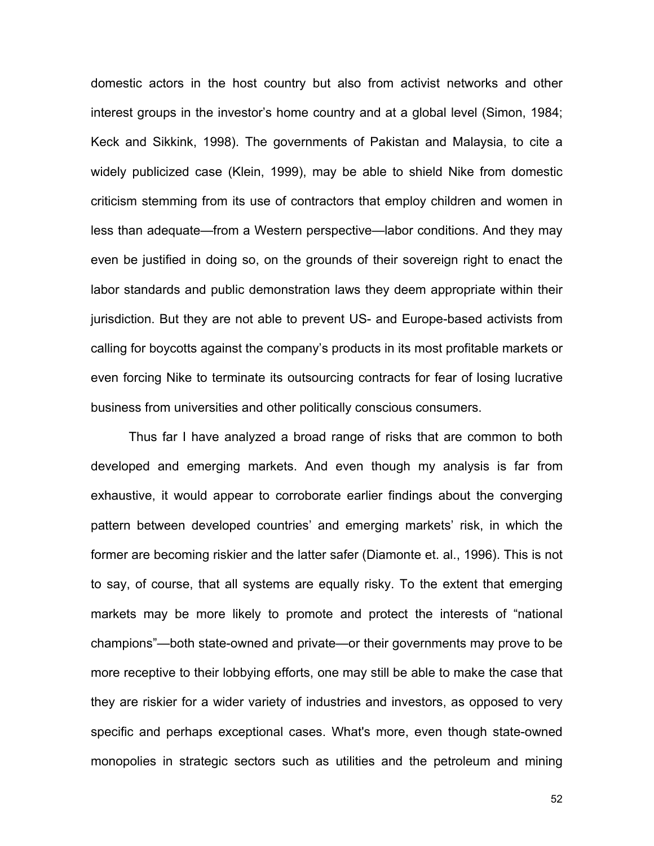domestic actors in the host country but also from activist networks and other interest groups in the investor's home country and at a global level (Simon, 1984; Keck and Sikkink, 1998). The governments of Pakistan and Malaysia, to cite a widely publicized case (Klein, 1999), may be able to shield Nike from domestic criticism stemming from its use of contractors that employ children and women in less than adequate—from a Western perspective—labor conditions. And they may even be justified in doing so, on the grounds of their sovereign right to enact the labor standards and public demonstration laws they deem appropriate within their jurisdiction. But they are not able to prevent US- and Europe-based activists from calling for boycotts against the company's products in its most profitable markets or even forcing Nike to terminate its outsourcing contracts for fear of losing lucrative business from universities and other politically conscious consumers.

Thus far I have analyzed a broad range of risks that are common to both developed and emerging markets. And even though my analysis is far from exhaustive, it would appear to corroborate earlier findings about the converging pattern between developed countries' and emerging markets' risk, in which the former are becoming riskier and the latter safer (Diamonte et. al., 1996). This is not to say, of course, that all systems are equally risky. To the extent that emerging markets may be more likely to promote and protect the interests of "national champions"—both state-owned and private—or their governments may prove to be more receptive to their lobbying efforts, one may still be able to make the case that they are riskier for a wider variety of industries and investors, as opposed to very specific and perhaps exceptional cases. What's more, even though state-owned monopolies in strategic sectors such as utilities and the petroleum and mining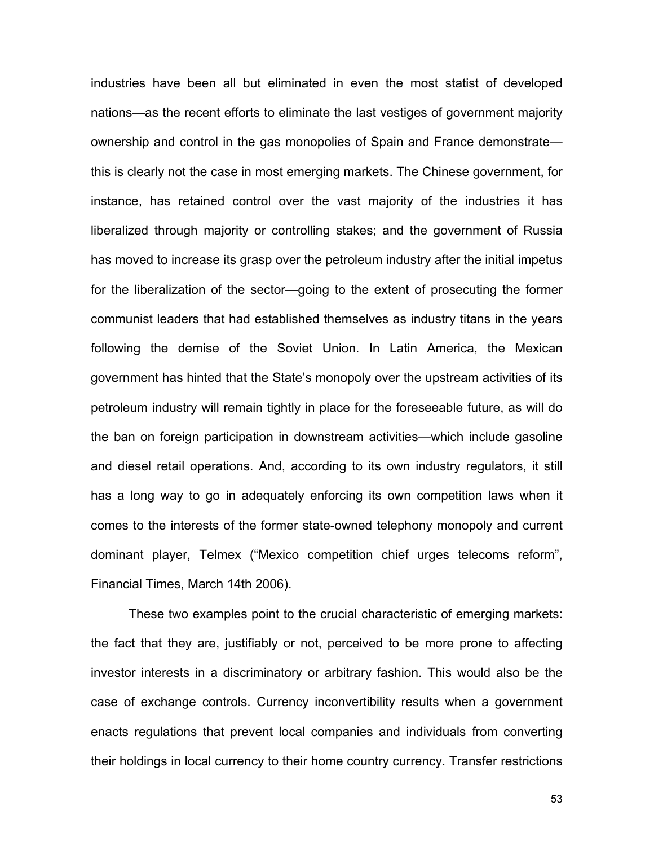industries have been all but eliminated in even the most statist of developed nations—as the recent efforts to eliminate the last vestiges of government majority ownership and control in the gas monopolies of Spain and France demonstrate this is clearly not the case in most emerging markets. The Chinese government, for instance, has retained control over the vast majority of the industries it has liberalized through majority or controlling stakes; and the government of Russia has moved to increase its grasp over the petroleum industry after the initial impetus for the liberalization of the sector—going to the extent of prosecuting the former communist leaders that had established themselves as industry titans in the years following the demise of the Soviet Union. In Latin America, the Mexican government has hinted that the State's monopoly over the upstream activities of its petroleum industry will remain tightly in place for the foreseeable future, as will do the ban on foreign participation in downstream activities—which include gasoline and diesel retail operations. And, according to its own industry regulators, it still has a long way to go in adequately enforcing its own competition laws when it comes to the interests of the former state-owned telephony monopoly and current dominant player, Telmex ("Mexico competition chief urges telecoms reform", Financial Times, March 14th 2006).

These two examples point to the crucial characteristic of emerging markets: the fact that they are, justifiably or not, perceived to be more prone to affecting investor interests in a discriminatory or arbitrary fashion. This would also be the case of exchange controls. Currency inconvertibility results when a government enacts regulations that prevent local companies and individuals from converting their holdings in local currency to their home country currency. Transfer restrictions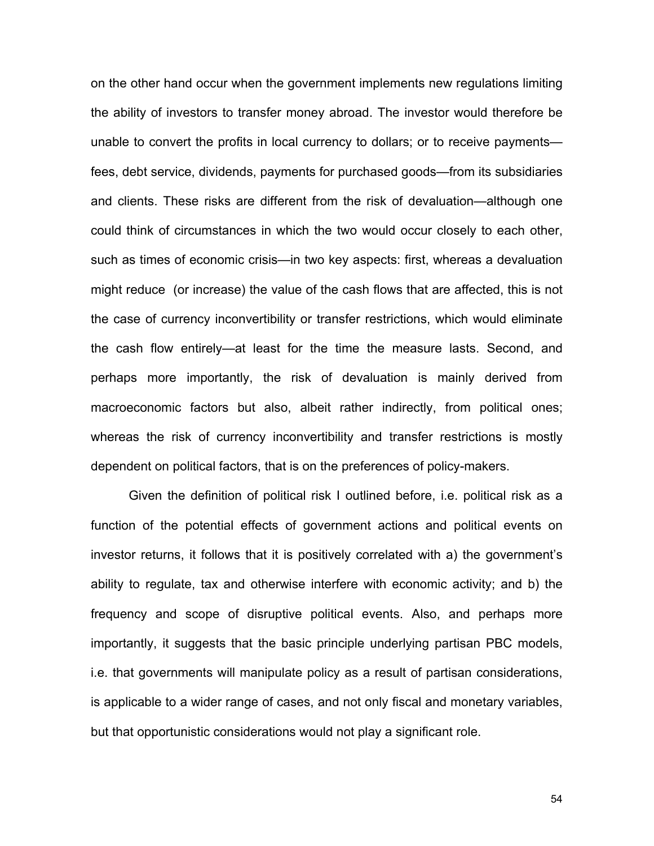on the other hand occur when the government implements new regulations limiting the ability of investors to transfer money abroad. The investor would therefore be unable to convert the profits in local currency to dollars; or to receive payments fees, debt service, dividends, payments for purchased goods—from its subsidiaries and clients. These risks are different from the risk of devaluation—although one could think of circumstances in which the two would occur closely to each other, such as times of economic crisis—in two key aspects: first, whereas a devaluation might reduce (or increase) the value of the cash flows that are affected, this is not the case of currency inconvertibility or transfer restrictions, which would eliminate the cash flow entirely—at least for the time the measure lasts. Second, and perhaps more importantly, the risk of devaluation is mainly derived from macroeconomic factors but also, albeit rather indirectly, from political ones; whereas the risk of currency inconvertibility and transfer restrictions is mostly dependent on political factors, that is on the preferences of policy-makers.

Given the definition of political risk I outlined before, i.e. political risk as a function of the potential effects of government actions and political events on investor returns, it follows that it is positively correlated with a) the government's ability to regulate, tax and otherwise interfere with economic activity; and b) the frequency and scope of disruptive political events. Also, and perhaps more importantly, it suggests that the basic principle underlying partisan PBC models, i.e. that governments will manipulate policy as a result of partisan considerations, is applicable to a wider range of cases, and not only fiscal and monetary variables, but that opportunistic considerations would not play a significant role.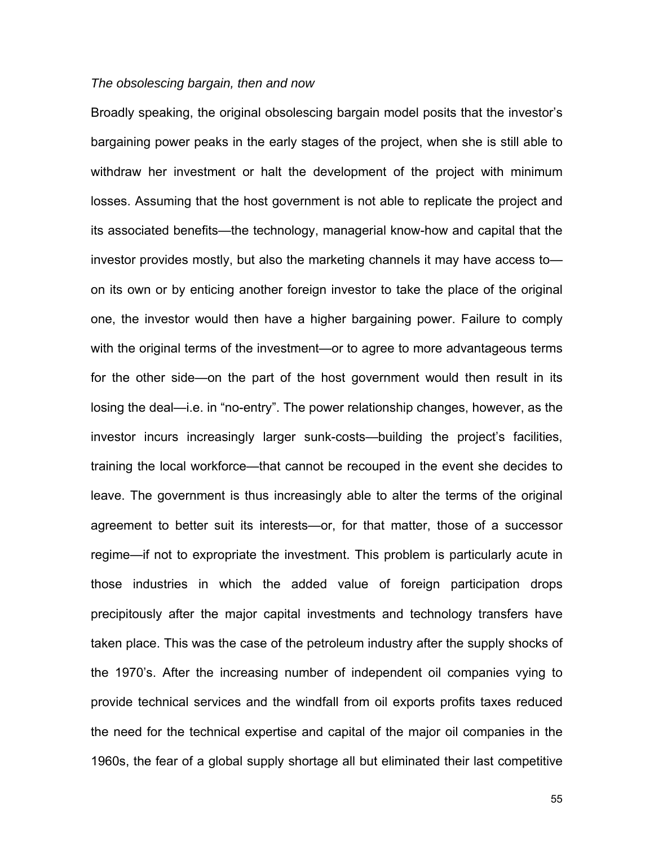## *The obsolescing bargain, then and now*

Broadly speaking, the original obsolescing bargain model posits that the investor's bargaining power peaks in the early stages of the project, when she is still able to withdraw her investment or halt the development of the project with minimum losses. Assuming that the host government is not able to replicate the project and its associated benefits—the technology, managerial know-how and capital that the investor provides mostly, but also the marketing channels it may have access to on its own or by enticing another foreign investor to take the place of the original one, the investor would then have a higher bargaining power. Failure to comply with the original terms of the investment—or to agree to more advantageous terms for the other side—on the part of the host government would then result in its losing the deal—i.e. in "no-entry". The power relationship changes, however, as the investor incurs increasingly larger sunk-costs—building the project's facilities, training the local workforce—that cannot be recouped in the event she decides to leave. The government is thus increasingly able to alter the terms of the original agreement to better suit its interests—or, for that matter, those of a successor regime—if not to expropriate the investment. This problem is particularly acute in those industries in which the added value of foreign participation drops precipitously after the major capital investments and technology transfers have taken place. This was the case of the petroleum industry after the supply shocks of the 1970's. After the increasing number of independent oil companies vying to provide technical services and the windfall from oil exports profits taxes reduced the need for the technical expertise and capital of the major oil companies in the 1960s, the fear of a global supply shortage all but eliminated their last competitive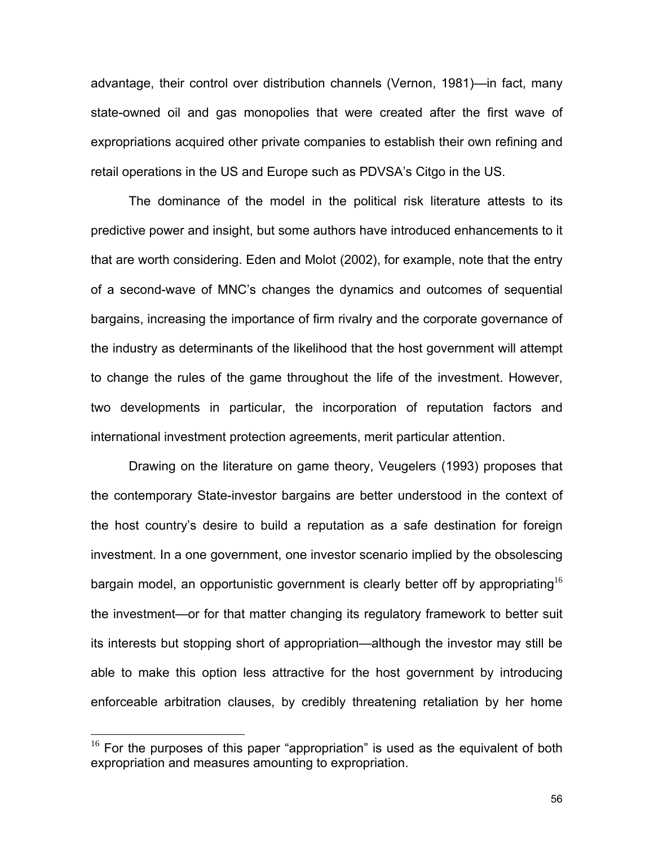advantage, their control over distribution channels (Vernon, 1981)—in fact, many state-owned oil and gas monopolies that were created after the first wave of expropriations acquired other private companies to establish their own refining and retail operations in the US and Europe such as PDVSA's Citgo in the US.

The dominance of the model in the political risk literature attests to its predictive power and insight, but some authors have introduced enhancements to it that are worth considering. Eden and Molot (2002), for example, note that the entry of a second-wave of MNC's changes the dynamics and outcomes of sequential bargains, increasing the importance of firm rivalry and the corporate governance of the industry as determinants of the likelihood that the host government will attempt to change the rules of the game throughout the life of the investment. However, two developments in particular, the incorporation of reputation factors and international investment protection agreements, merit particular attention.

Drawing on the literature on game theory, Veugelers (1993) proposes that the contemporary State-investor bargains are better understood in the context of the host country's desire to build a reputation as a safe destination for foreign investment. In a one government, one investor scenario implied by the obsolescing bargain model, an opportunistic government is clearly better off by appropriating  $16$ the investment—or for that matter changing its regulatory framework to better suit its interests but stopping short of appropriation—although the investor may still be able to make this option less attractive for the host government by introducing enforceable arbitration clauses, by credibly threatening retaliation by her home

<u>.</u>

<span id="page-55-0"></span> $16$  For the purposes of this paper "appropriation" is used as the equivalent of both expropriation and measures amounting to expropriation.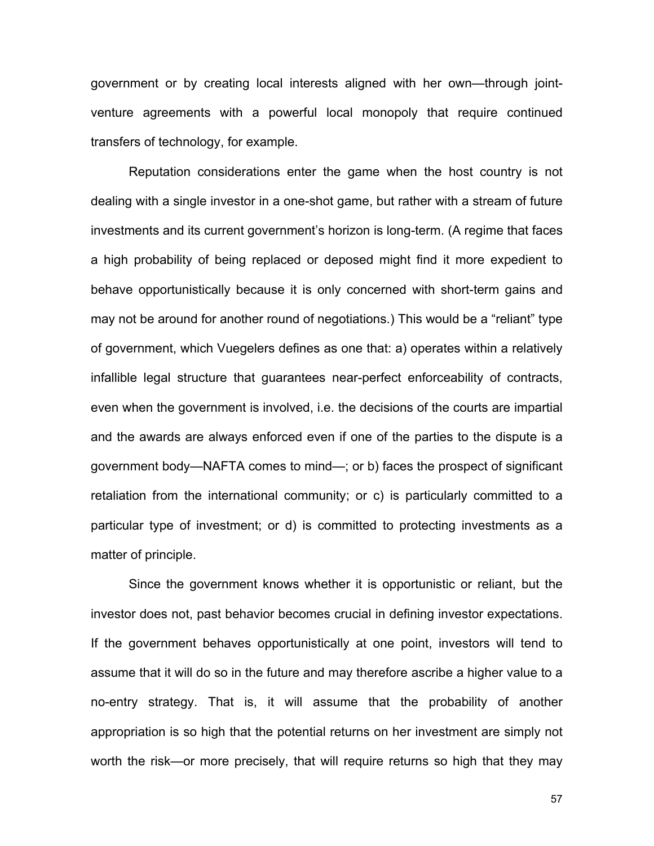government or by creating local interests aligned with her own—through jointventure agreements with a powerful local monopoly that require continued transfers of technology, for example.

Reputation considerations enter the game when the host country is not dealing with a single investor in a one-shot game, but rather with a stream of future investments and its current government's horizon is long-term. (A regime that faces a high probability of being replaced or deposed might find it more expedient to behave opportunistically because it is only concerned with short-term gains and may not be around for another round of negotiations.) This would be a "reliant" type of government, which Vuegelers defines as one that: a) operates within a relatively infallible legal structure that guarantees near-perfect enforceability of contracts, even when the government is involved, i.e. the decisions of the courts are impartial and the awards are always enforced even if one of the parties to the dispute is a government body—NAFTA comes to mind—; or b) faces the prospect of significant retaliation from the international community; or c) is particularly committed to a particular type of investment; or d) is committed to protecting investments as a matter of principle.

Since the government knows whether it is opportunistic or reliant, but the investor does not, past behavior becomes crucial in defining investor expectations. If the government behaves opportunistically at one point, investors will tend to assume that it will do so in the future and may therefore ascribe a higher value to a no-entry strategy. That is, it will assume that the probability of another appropriation is so high that the potential returns on her investment are simply not worth the risk—or more precisely, that will require returns so high that they may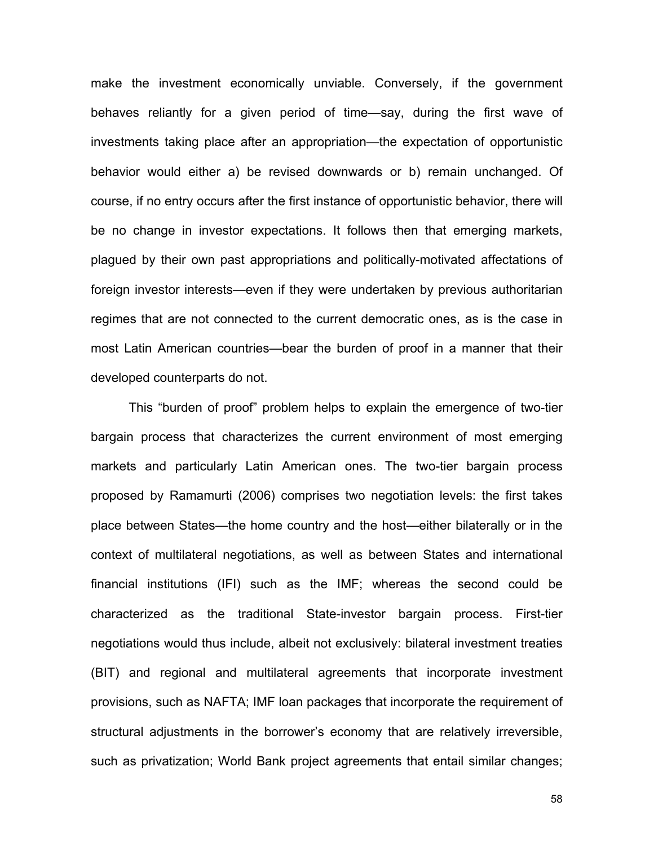make the investment economically unviable. Conversely, if the government behaves reliantly for a given period of time—say, during the first wave of investments taking place after an appropriation—the expectation of opportunistic behavior would either a) be revised downwards or b) remain unchanged. Of course, if no entry occurs after the first instance of opportunistic behavior, there will be no change in investor expectations. It follows then that emerging markets, plagued by their own past appropriations and politically-motivated affectations of foreign investor interests—even if they were undertaken by previous authoritarian regimes that are not connected to the current democratic ones, as is the case in most Latin American countries—bear the burden of proof in a manner that their developed counterparts do not.

This "burden of proof" problem helps to explain the emergence of two-tier bargain process that characterizes the current environment of most emerging markets and particularly Latin American ones. The two-tier bargain process proposed by Ramamurti (2006) comprises two negotiation levels: the first takes place between States—the home country and the host—either bilaterally or in the context of multilateral negotiations, as well as between States and international financial institutions (IFI) such as the IMF; whereas the second could be characterized as the traditional State-investor bargain process. First-tier negotiations would thus include, albeit not exclusively: bilateral investment treaties (BIT) and regional and multilateral agreements that incorporate investment provisions, such as NAFTA; IMF loan packages that incorporate the requirement of structural adjustments in the borrower's economy that are relatively irreversible, such as privatization; World Bank project agreements that entail similar changes;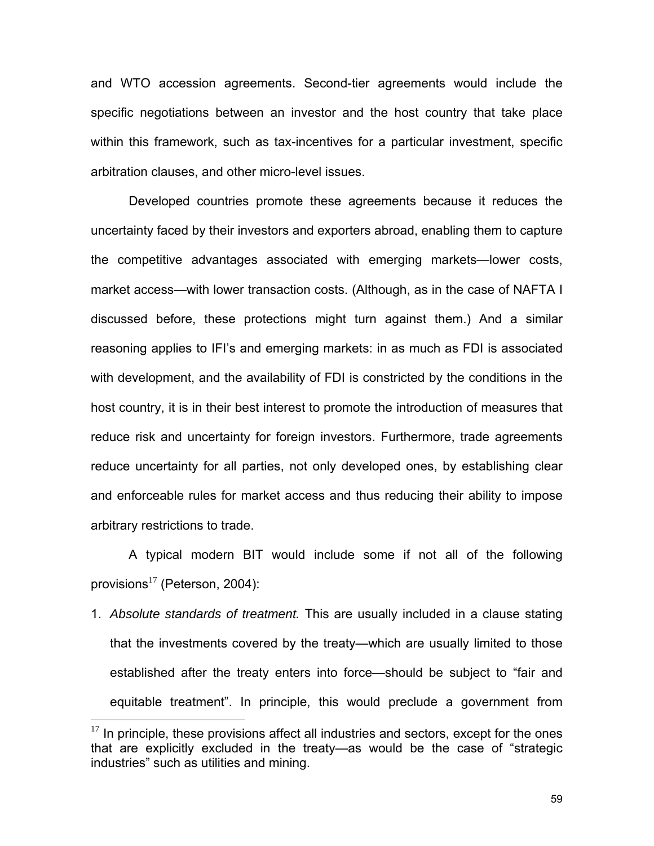and WTO accession agreements. Second-tier agreements would include the specific negotiations between an investor and the host country that take place within this framework, such as tax-incentives for a particular investment, specific arbitration clauses, and other micro-level issues.

Developed countries promote these agreements because it reduces the uncertainty faced by their investors and exporters abroad, enabling them to capture the competitive advantages associated with emerging markets—lower costs, market access—with lower transaction costs. (Although, as in the case of NAFTA I discussed before, these protections might turn against them.) And a similar reasoning applies to IFI's and emerging markets: in as much as FDI is associated with development, and the availability of FDI is constricted by the conditions in the host country, it is in their best interest to promote the introduction of measures that reduce risk and uncertainty for foreign investors. Furthermore, trade agreements reduce uncertainty for all parties, not only developed ones, by establishing clear and enforceable rules for market access and thus reducing their ability to impose arbitrary restrictions to trade.

A typical modern BIT would include some if not all of the following provisions $^{17}$  $^{17}$  $^{17}$  (Peterson, 2004):

1. *Absolute standards of treatment.* This are usually included in a clause stating that the investments covered by the treaty—which are usually limited to those established after the treaty enters into force—should be subject to "fair and equitable treatment". In principle, this would preclude a government from

1

<span id="page-58-0"></span> $17$  In principle, these provisions affect all industries and sectors, except for the ones that are explicitly excluded in the treaty—as would be the case of "strategic industries" such as utilities and mining.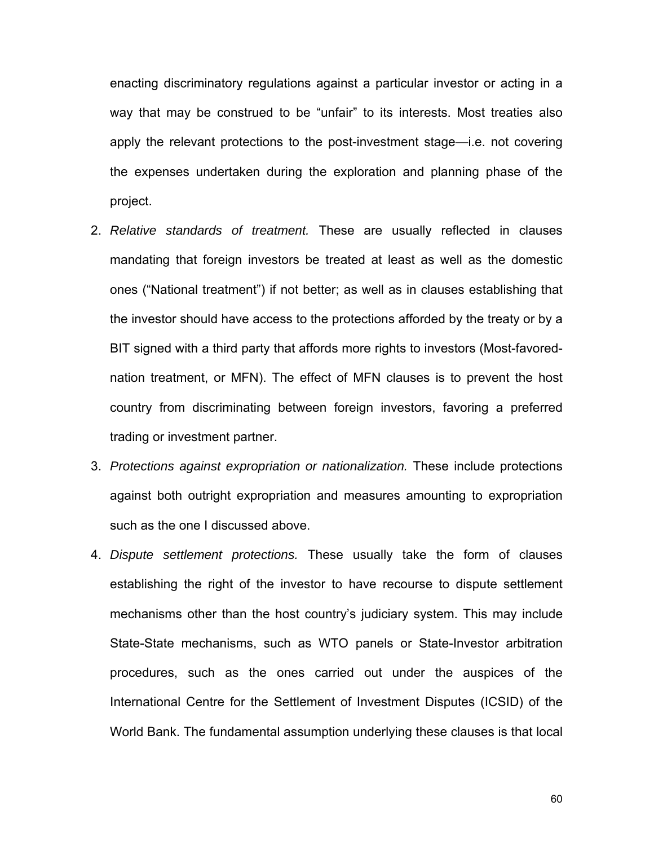enacting discriminatory regulations against a particular investor or acting in a way that may be construed to be "unfair" to its interests. Most treaties also apply the relevant protections to the post-investment stage—i.e. not covering the expenses undertaken during the exploration and planning phase of the project.

- 2. *Relative standards of treatment.* These are usually reflected in clauses mandating that foreign investors be treated at least as well as the domestic ones ("National treatment") if not better; as well as in clauses establishing that the investor should have access to the protections afforded by the treaty or by a BIT signed with a third party that affords more rights to investors (Most-favorednation treatment, or MFN). The effect of MFN clauses is to prevent the host country from discriminating between foreign investors, favoring a preferred trading or investment partner.
- 3. *Protections against expropriation or nationalization.* These include protections against both outright expropriation and measures amounting to expropriation such as the one I discussed above.
- 4. *Dispute settlement protections.* These usually take the form of clauses establishing the right of the investor to have recourse to dispute settlement mechanisms other than the host country's judiciary system. This may include State-State mechanisms, such as WTO panels or State-Investor arbitration procedures, such as the ones carried out under the auspices of the International Centre for the Settlement of Investment Disputes (ICSID) of the World Bank. The fundamental assumption underlying these clauses is that local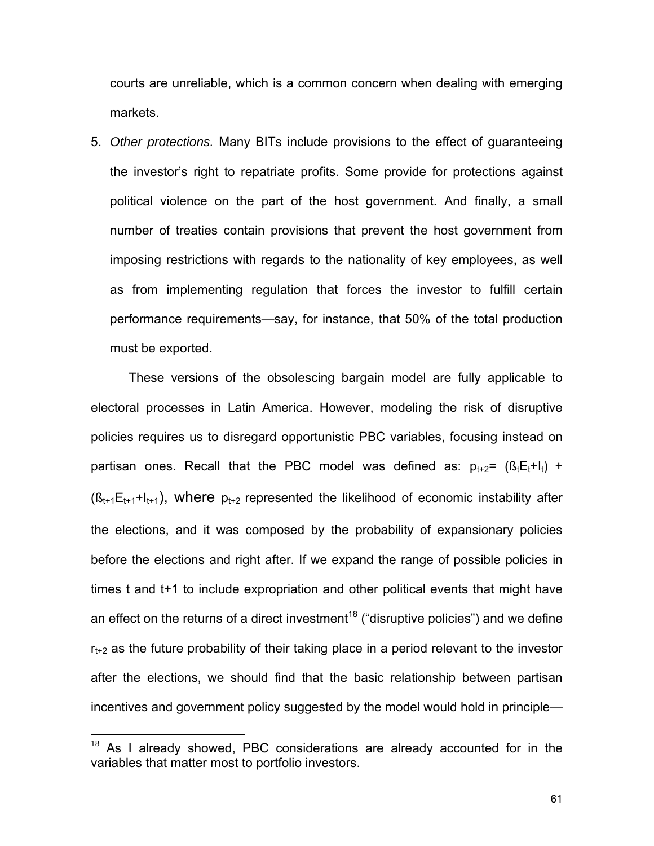courts are unreliable, which is a common concern when dealing with emerging markets.

5. *Other protections.* Many BITs include provisions to the effect of guaranteeing the investor's right to repatriate profits. Some provide for protections against political violence on the part of the host government. And finally, a small number of treaties contain provisions that prevent the host government from imposing restrictions with regards to the nationality of key employees, as well as from implementing regulation that forces the investor to fulfill certain performance requirements—say, for instance, that 50% of the total production must be exported.

These versions of the obsolescing bargain model are fully applicable to electoral processes in Latin America. However, modeling the risk of disruptive policies requires us to disregard opportunistic PBC variables, focusing instead on partisan ones. Recall that the PBC model was defined as:  $p_{t+2} = (B_t E_t + I_t) +$  $(S_{t+1}E_{t+1}+I_{t+1})$ , where  $p_{t+2}$  represented the likelihood of economic instability after the elections, and it was composed by the probability of expansionary policies before the elections and right after. If we expand the range of possible policies in times t and t+1 to include expropriation and other political events that might have an effect on the returns of a direct investment<sup>18</sup> ("disruptive policies") and we define  $r_{t+2}$  as the future probability of their taking place in a period relevant to the investor after the elections, we should find that the basic relationship between partisan incentives and government policy suggested by the model would hold in principle—

<u>.</u>

<span id="page-60-0"></span> $18$  As I already showed, PBC considerations are already accounted for in the variables that matter most to portfolio investors.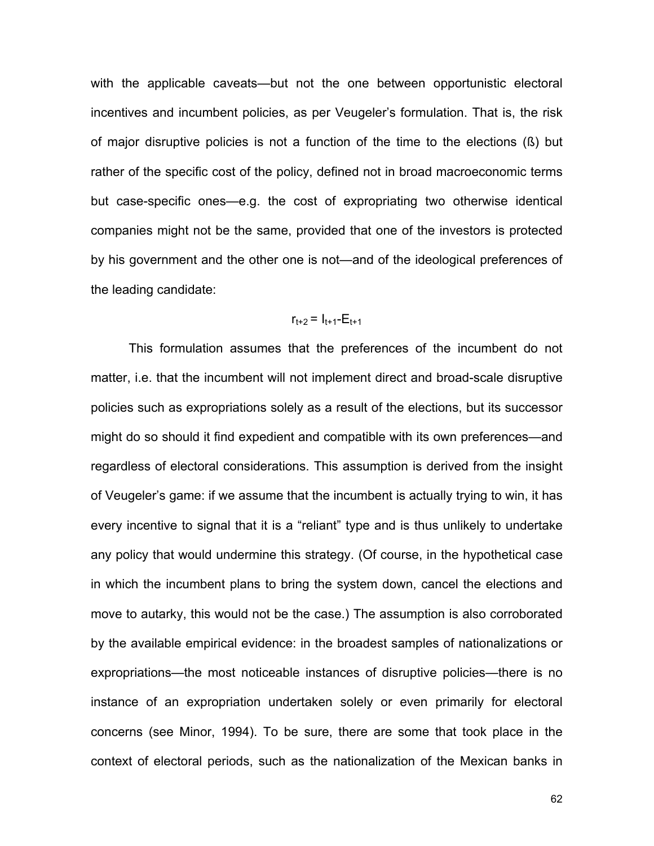with the applicable caveats—but not the one between opportunistic electoral incentives and incumbent policies, as per Veugeler's formulation. That is, the risk of major disruptive policies is not a function of the time to the elections (ß) but rather of the specific cost of the policy, defined not in broad macroeconomic terms but case-specific ones—e.g. the cost of expropriating two otherwise identical companies might not be the same, provided that one of the investors is protected by his government and the other one is not—and of the ideological preferences of the leading candidate:

# $r_{t+2} = I_{t+1} - E_{t+1}$

This formulation assumes that the preferences of the incumbent do not matter, i.e. that the incumbent will not implement direct and broad-scale disruptive policies such as expropriations solely as a result of the elections, but its successor might do so should it find expedient and compatible with its own preferences—and regardless of electoral considerations. This assumption is derived from the insight of Veugeler's game: if we assume that the incumbent is actually trying to win, it has every incentive to signal that it is a "reliant" type and is thus unlikely to undertake any policy that would undermine this strategy. (Of course, in the hypothetical case in which the incumbent plans to bring the system down, cancel the elections and move to autarky, this would not be the case.) The assumption is also corroborated by the available empirical evidence: in the broadest samples of nationalizations or expropriations—the most noticeable instances of disruptive policies—there is no instance of an expropriation undertaken solely or even primarily for electoral concerns (see Minor, 1994). To be sure, there are some that took place in the context of electoral periods, such as the nationalization of the Mexican banks in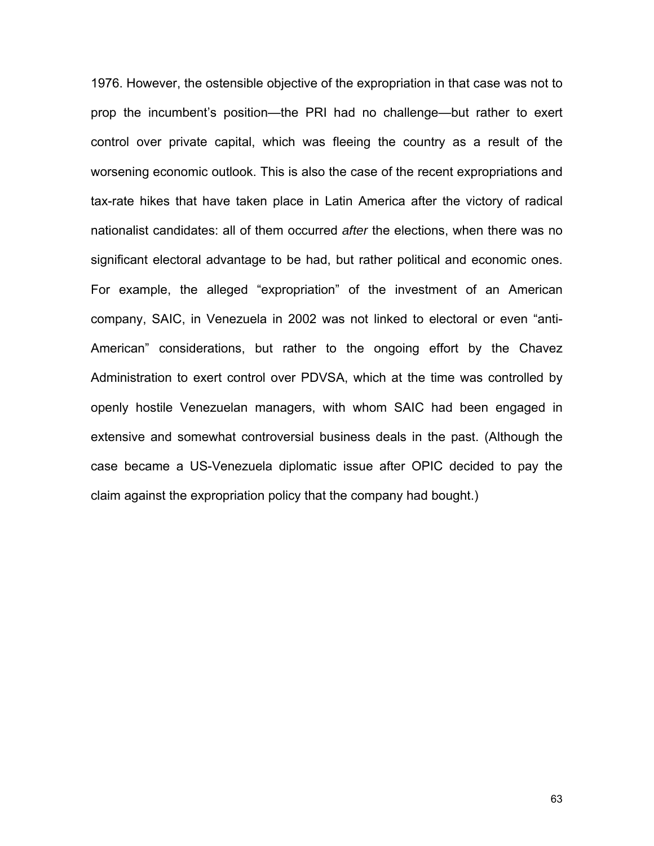1976. However, the ostensible objective of the expropriation in that case was not to prop the incumbent's position—the PRI had no challenge—but rather to exert control over private capital, which was fleeing the country as a result of the worsening economic outlook. This is also the case of the recent expropriations and tax-rate hikes that have taken place in Latin America after the victory of radical nationalist candidates: all of them occurred *after* the elections, when there was no significant electoral advantage to be had, but rather political and economic ones. For example, the alleged "expropriation" of the investment of an American company, SAIC, in Venezuela in 2002 was not linked to electoral or even "anti-American" considerations, but rather to the ongoing effort by the Chavez Administration to exert control over PDVSA, which at the time was controlled by openly hostile Venezuelan managers, with whom SAIC had been engaged in extensive and somewhat controversial business deals in the past. (Although the case became a US-Venezuela diplomatic issue after OPIC decided to pay the claim against the expropriation policy that the company had bought.)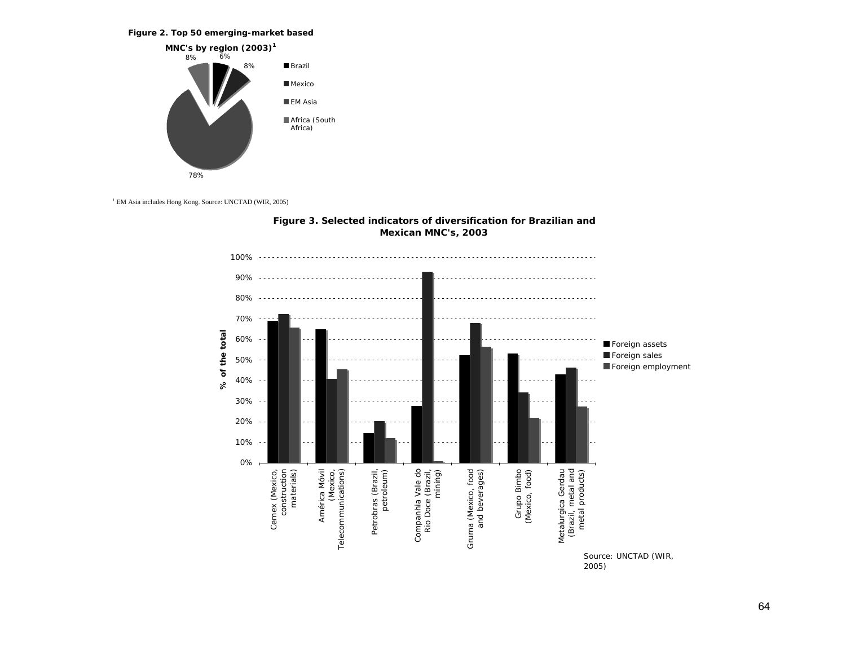#### **Figure 2. Top 50 emerging-market based**



<sup>1</sup> EM Asia includes Hong Kong. Source: UNCTAD (WIR, 2005)



### **Figure 3. Selected indicators of diversification for Brazilian and Mexican MNC's, 2003**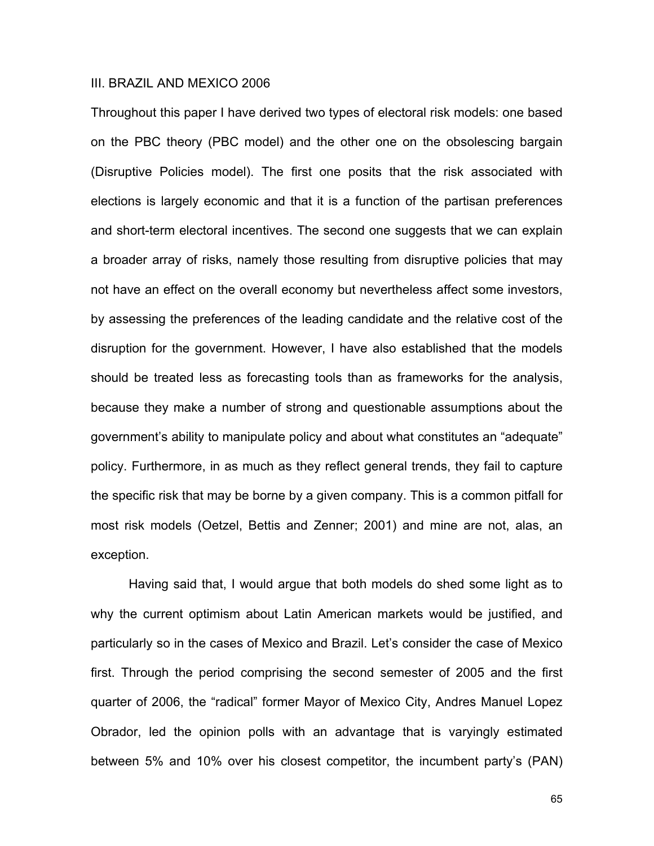# III. BRAZIL AND MEXICO 2006

Throughout this paper I have derived two types of electoral risk models: one based on the PBC theory (PBC model) and the other one on the obsolescing bargain (Disruptive Policies model). The first one posits that the risk associated with elections is largely economic and that it is a function of the partisan preferences and short-term electoral incentives. The second one suggests that we can explain a broader array of risks, namely those resulting from disruptive policies that may not have an effect on the overall economy but nevertheless affect some investors, by assessing the preferences of the leading candidate and the relative cost of the disruption for the government. However, I have also established that the models should be treated less as forecasting tools than as frameworks for the analysis, because they make a number of strong and questionable assumptions about the government's ability to manipulate policy and about what constitutes an "adequate" policy. Furthermore, in as much as they reflect general trends, they fail to capture the specific risk that may be borne by a given company. This is a common pitfall for most risk models (Oetzel, Bettis and Zenner; 2001) and mine are not, alas, an exception.

Having said that, I would argue that both models do shed some light as to why the current optimism about Latin American markets would be justified, and particularly so in the cases of Mexico and Brazil. Let's consider the case of Mexico first. Through the period comprising the second semester of 2005 and the first quarter of 2006, the "radical" former Mayor of Mexico City, Andres Manuel Lopez Obrador, led the opinion polls with an advantage that is varyingly estimated between 5% and 10% over his closest competitor, the incumbent party's (PAN)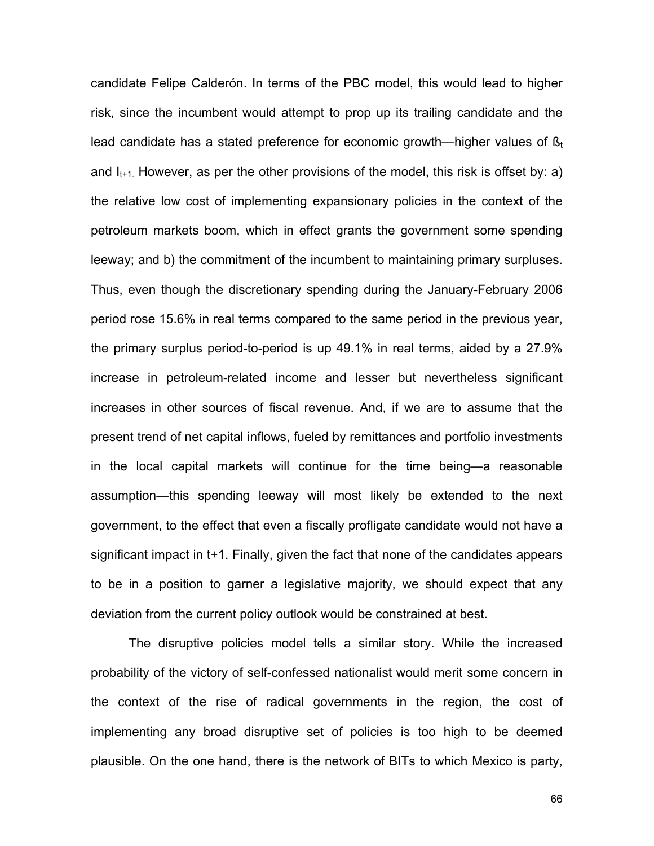candidate Felipe Calderón. In terms of the PBC model, this would lead to higher risk, since the incumbent would attempt to prop up its trailing candidate and the lead candidate has a stated preference for economic growth—higher values of  $\beta_t$ and  $I_{t+1}$ . However, as per the other provisions of the model, this risk is offset by: a) the relative low cost of implementing expansionary policies in the context of the petroleum markets boom, which in effect grants the government some spending leeway; and b) the commitment of the incumbent to maintaining primary surpluses. Thus, even though the discretionary spending during the January-February 2006 period rose 15.6% in real terms compared to the same period in the previous year, the primary surplus period-to-period is up 49.1% in real terms, aided by a 27.9% increase in petroleum-related income and lesser but nevertheless significant increases in other sources of fiscal revenue. And, if we are to assume that the present trend of net capital inflows, fueled by remittances and portfolio investments in the local capital markets will continue for the time being—a reasonable assumption—this spending leeway will most likely be extended to the next government, to the effect that even a fiscally profligate candidate would not have a significant impact in t+1. Finally, given the fact that none of the candidates appears to be in a position to garner a legislative majority, we should expect that any deviation from the current policy outlook would be constrained at best.

The disruptive policies model tells a similar story. While the increased probability of the victory of self-confessed nationalist would merit some concern in the context of the rise of radical governments in the region, the cost of implementing any broad disruptive set of policies is too high to be deemed plausible. On the one hand, there is the network of BITs to which Mexico is party,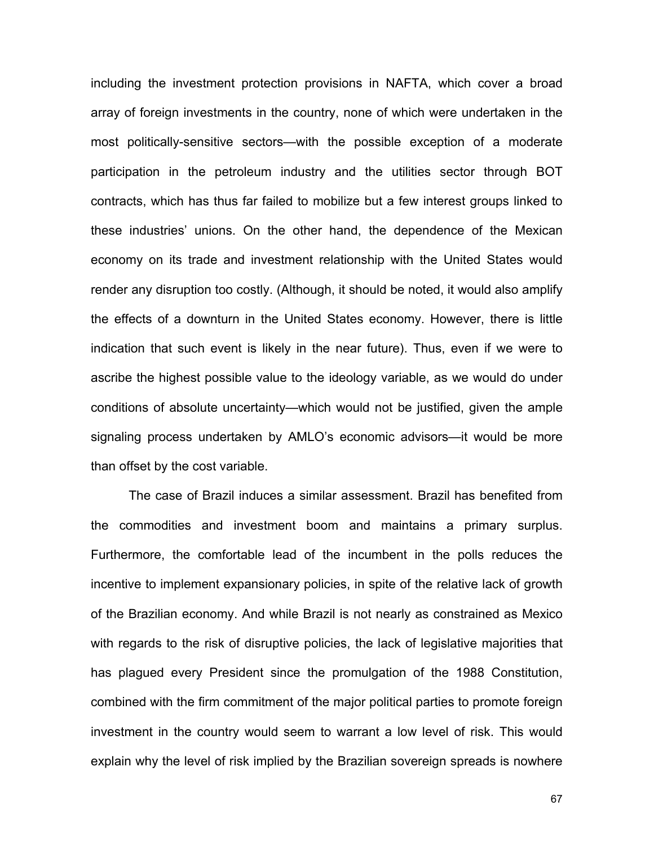including the investment protection provisions in NAFTA, which cover a broad array of foreign investments in the country, none of which were undertaken in the most politically-sensitive sectors—with the possible exception of a moderate participation in the petroleum industry and the utilities sector through BOT contracts, which has thus far failed to mobilize but a few interest groups linked to these industries' unions. On the other hand, the dependence of the Mexican economy on its trade and investment relationship with the United States would render any disruption too costly. (Although, it should be noted, it would also amplify the effects of a downturn in the United States economy. However, there is little indication that such event is likely in the near future). Thus, even if we were to ascribe the highest possible value to the ideology variable, as we would do under conditions of absolute uncertainty—which would not be justified, given the ample signaling process undertaken by AMLO's economic advisors—it would be more than offset by the cost variable.

The case of Brazil induces a similar assessment. Brazil has benefited from the commodities and investment boom and maintains a primary surplus. Furthermore, the comfortable lead of the incumbent in the polls reduces the incentive to implement expansionary policies, in spite of the relative lack of growth of the Brazilian economy. And while Brazil is not nearly as constrained as Mexico with regards to the risk of disruptive policies, the lack of legislative majorities that has plagued every President since the promulgation of the 1988 Constitution, combined with the firm commitment of the major political parties to promote foreign investment in the country would seem to warrant a low level of risk. This would explain why the level of risk implied by the Brazilian sovereign spreads is nowhere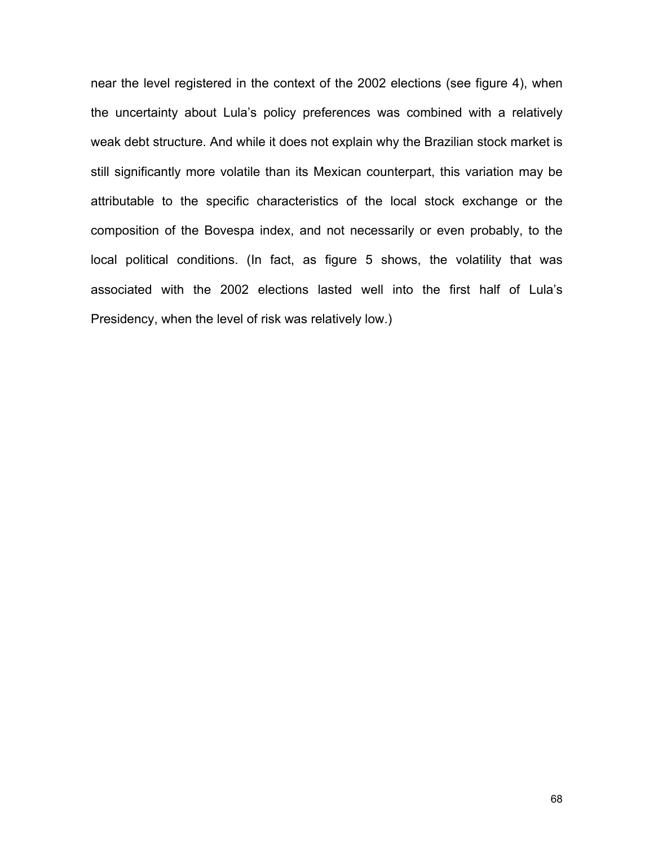near the level registered in the context of the 2002 elections (see figure 4), when the uncertainty about Lula's policy preferences was combined with a relatively weak debt structure. And while it does not explain why the Brazilian stock market is still significantly more volatile than its Mexican counterpart, this variation may be attributable to the specific characteristics of the local stock exchange or the composition of the Bovespa index, and not necessarily or even probably, to the local political conditions. (In fact, as figure 5 shows, the volatility that was associated with the 2002 elections lasted well into the first half of Lula's Presidency, when the level of risk was relatively low.)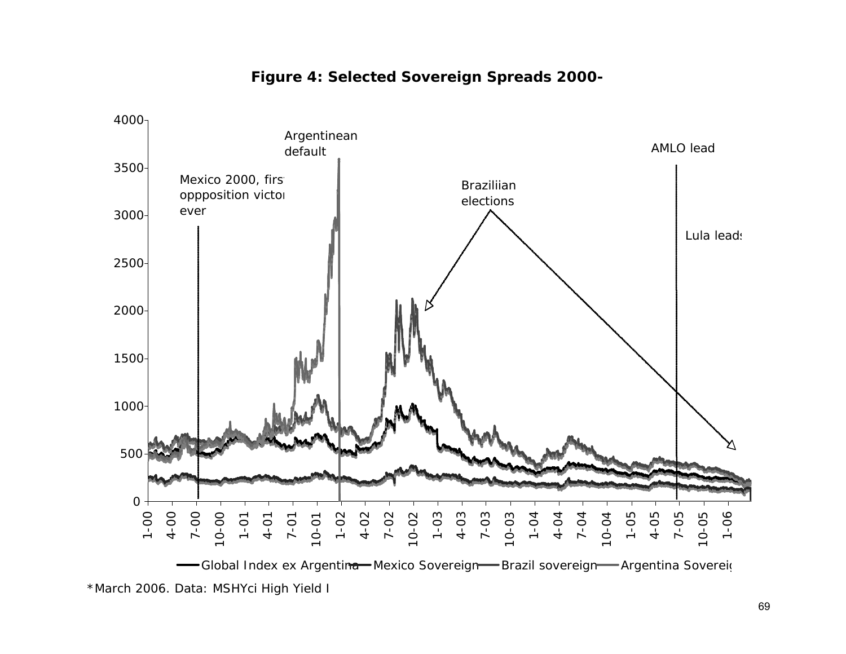

# **Figure 4: Selected Sovereign Spreads 2000-**

\*March 2006. Data: MSHYci High Yield I Global Index ex Argentina Mexico Sovereign Brazil sovereign Argentina Sovereign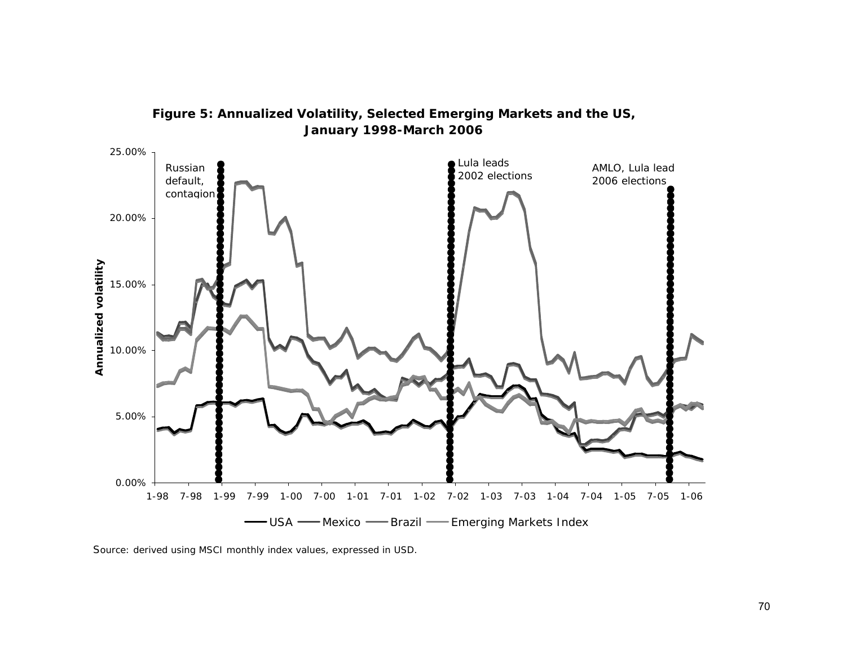



Source: derived using MSCI monthly index values, expressed in USD.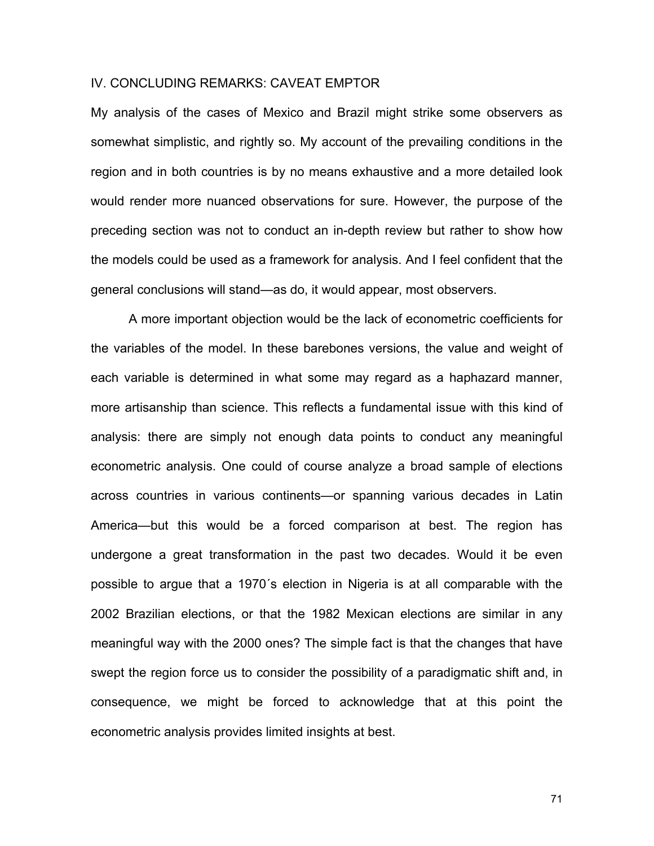# IV. CONCLUDING REMARKS: CAVEAT EMPTOR

My analysis of the cases of Mexico and Brazil might strike some observers as somewhat simplistic, and rightly so. My account of the prevailing conditions in the region and in both countries is by no means exhaustive and a more detailed look would render more nuanced observations for sure. However, the purpose of the preceding section was not to conduct an in-depth review but rather to show how the models could be used as a framework for analysis. And I feel confident that the general conclusions will stand—as do, it would appear, most observers.

A more important objection would be the lack of econometric coefficients for the variables of the model. In these barebones versions, the value and weight of each variable is determined in what some may regard as a haphazard manner, more artisanship than science. This reflects a fundamental issue with this kind of analysis: there are simply not enough data points to conduct any meaningful econometric analysis. One could of course analyze a broad sample of elections across countries in various continents—or spanning various decades in Latin America—but this would be a forced comparison at best. The region has undergone a great transformation in the past two decades. Would it be even possible to argue that a 1970´s election in Nigeria is at all comparable with the 2002 Brazilian elections, or that the 1982 Mexican elections are similar in any meaningful way with the 2000 ones? The simple fact is that the changes that have swept the region force us to consider the possibility of a paradigmatic shift and, in consequence, we might be forced to acknowledge that at this point the econometric analysis provides limited insights at best.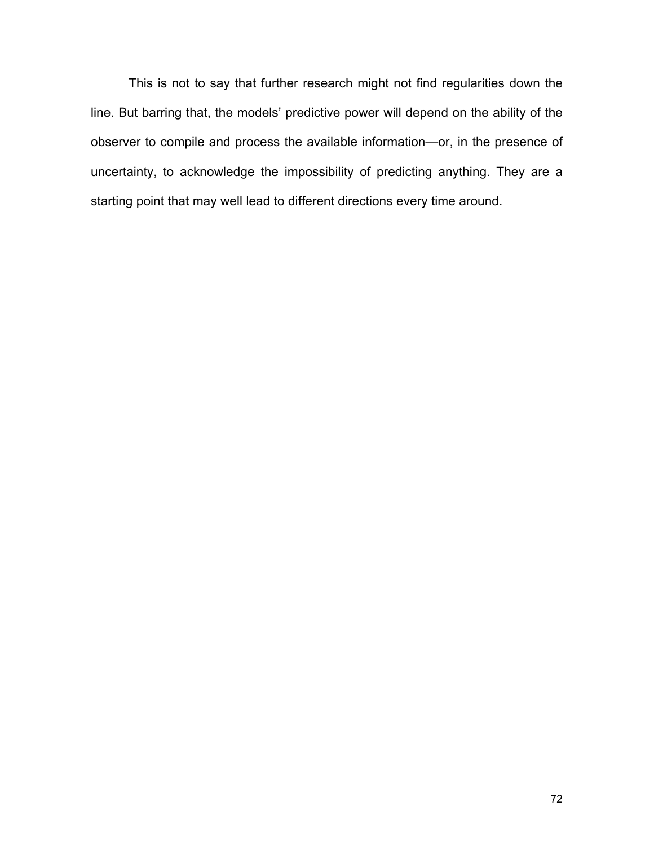This is not to say that further research might not find regularities down the line. But barring that, the models' predictive power will depend on the ability of the observer to compile and process the available information—or, in the presence of uncertainty, to acknowledge the impossibility of predicting anything. They are a starting point that may well lead to different directions every time around.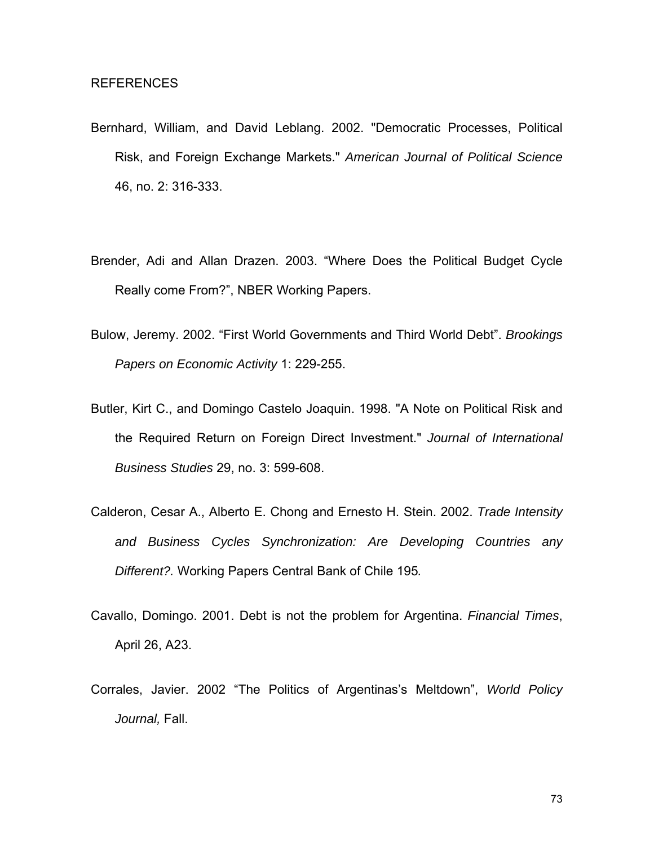- Bernhard, William, and David Leblang. 2002. "Democratic Processes, Political Risk, and Foreign Exchange Markets." *American Journal of Political Science* 46, no. 2: 316-333.
- Brender, Adi and Allan Drazen. 2003. "Where Does the Political Budget Cycle Really come From?", NBER Working Papers.
- Bulow, Jeremy. 2002. "First World Governments and Third World Debt". *Brookings Papers on Economic Activity* 1: 229-255.
- Butler, Kirt C., and Domingo Castelo Joaquin. 1998. "A Note on Political Risk and the Required Return on Foreign Direct Investment." *Journal of International Business Studies* 29, no. 3: 599-608.
- Calderon, Cesar A., Alberto E. Chong and Ernesto H. Stein. 2002. *Trade Intensity and Business Cycles Synchronization: Are Developing Countries any Different?.* Working Papers Central Bank of Chile 195*.*
- Cavallo, Domingo. 2001. Debt is not the problem for Argentina. *Financial Times*, April 26, A23.
- Corrales, Javier. 2002 "The Politics of Argentinas's Meltdown", *World Policy Journal,* Fall.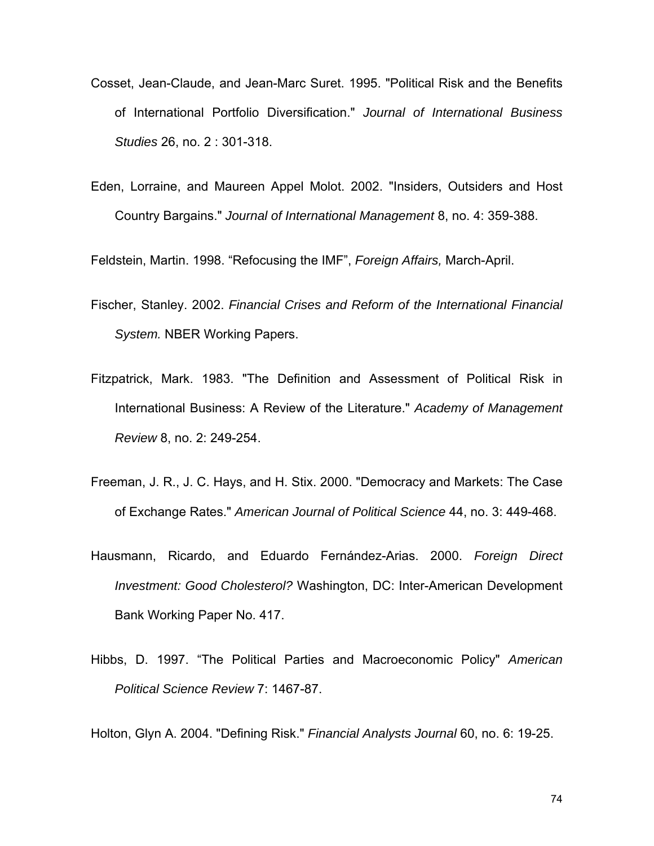- Cosset, Jean-Claude, and Jean-Marc Suret. 1995. "Political Risk and the Benefits of International Portfolio Diversification." *Journal of International Business Studies* 26, no. 2 : 301-318.
- Eden, Lorraine, and Maureen Appel Molot. 2002. "Insiders, Outsiders and Host Country Bargains." *Journal of International Management* 8, no. 4: 359-388.

Feldstein, Martin. 1998. "Refocusing the IMF", *Foreign Affairs,* March-April.

- Fischer, Stanley. 2002. *Financial Crises and Reform of the International Financial System.* NBER Working Papers.
- Fitzpatrick, Mark. 1983. "The Definition and Assessment of Political Risk in International Business: A Review of the Literature." *Academy of Management Review* 8, no. 2: 249-254.
- Freeman, J. R., J. C. Hays, and H. Stix. 2000. "Democracy and Markets: The Case of Exchange Rates." *American Journal of Political Science* 44, no. 3: 449-468.
- Hausmann, Ricardo, and Eduardo Fernández-Arias. 2000. *Foreign Direct Investment: Good Cholesterol?* Washington, DC: Inter-American Development Bank Working Paper No. 417.
- Hibbs, D. 1997. "The Political Parties and Macroeconomic Policy" *American Political Science Review* 7: 1467-87.

Holton, Glyn A. 2004. "Defining Risk." *Financial Analysts Journal* 60, no. 6: 19-25.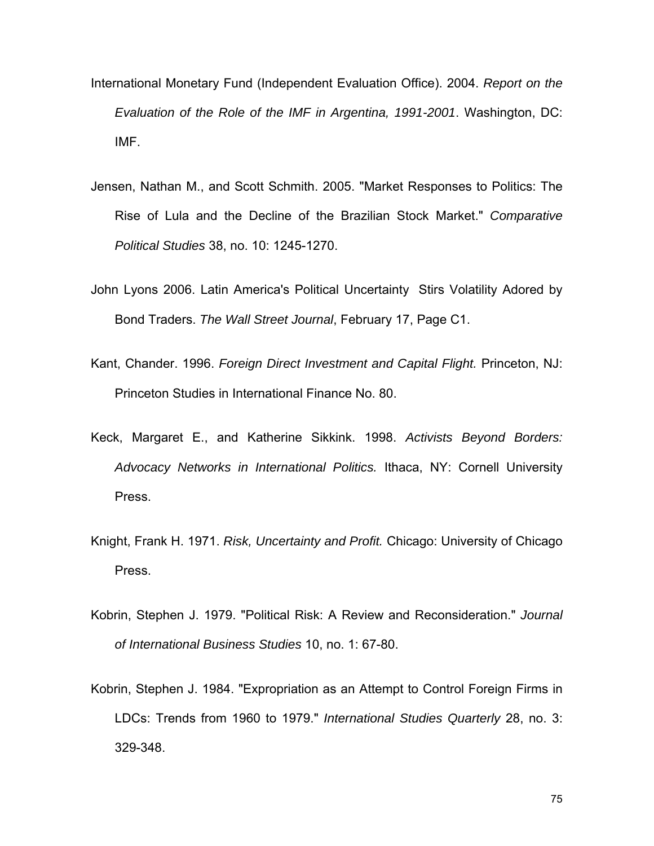- International Monetary Fund (Independent Evaluation Office). 2004. *Report on the Evaluation of the Role of the IMF in Argentina, 1991-2001*. Washington, DC: IMF.
- Jensen, Nathan M., and Scott Schmith. 2005. "Market Responses to Politics: The Rise of Lula and the Decline of the Brazilian Stock Market." *Comparative Political Studies* 38, no. 10: 1245-1270.
- John Lyons 2006. Latin America's Political Uncertainty Stirs Volatility Adored by Bond Traders. *The Wall Street Journal*, February 17, Page C1.
- Kant, Chander. 1996. *Foreign Direct Investment and Capital Flight.* Princeton, NJ: Princeton Studies in International Finance No. 80.
- Keck, Margaret E., and Katherine Sikkink. 1998. *Activists Beyond Borders: Advocacy Networks in International Politics.* Ithaca, NY: Cornell University Press.
- Knight, Frank H. 1971. *Risk, Uncertainty and Profit.* Chicago: University of Chicago Press.
- Kobrin, Stephen J. 1979. "Political Risk: A Review and Reconsideration." *Journal of International Business Studies* 10, no. 1: 67-80.
- Kobrin, Stephen J. 1984. "Expropriation as an Attempt to Control Foreign Firms in LDCs: Trends from 1960 to 1979." *International Studies Quarterly* 28, no. 3: 329-348.

75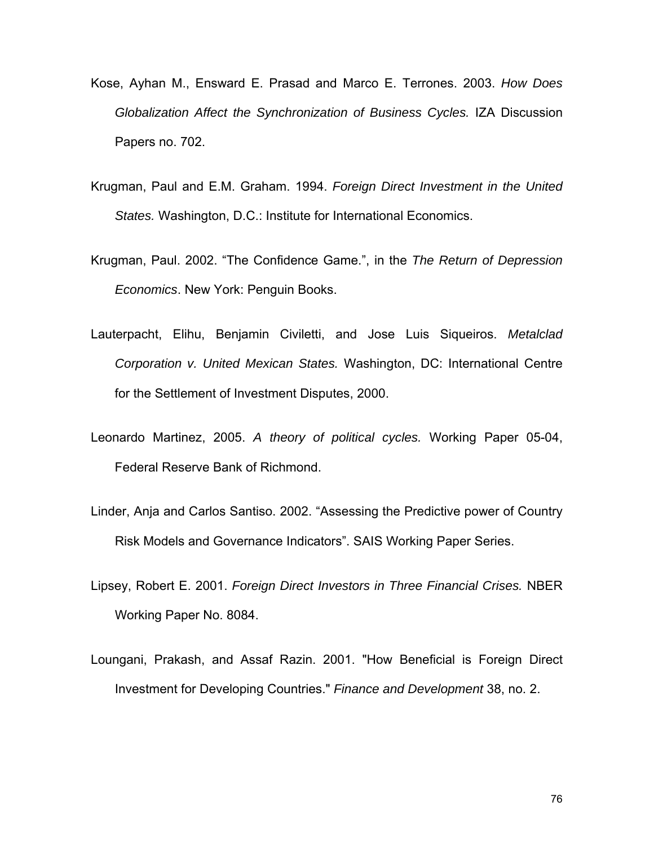- Kose, Ayhan M., Ensward E. Prasad and Marco E. Terrones. 2003. *How Does Globalization Affect the Synchronization of Business Cycles.* IZA Discussion Papers no. 702.
- Krugman, Paul and E.M. Graham. 1994. *Foreign Direct Investment in the United States.* Washington, D.C.: Institute for International Economics.
- Krugman, Paul. 2002. "The Confidence Game.", in the *The Return of Depression Economics*. New York: Penguin Books.
- Lauterpacht, Elihu, Benjamin Civiletti, and Jose Luis Siqueiros. *Metalclad Corporation v. United Mexican States.* Washington, DC: International Centre for the Settlement of Investment Disputes, 2000.
- Leonardo Martinez, 2005. *A theory of political cycles.* Working Paper 05-04, Federal Reserve Bank of Richmond.
- Linder, Anja and Carlos Santiso. 2002. "Assessing the Predictive power of Country Risk Models and Governance Indicators". SAIS Working Paper Series.
- Lipsey, Robert E. 2001. *Foreign Direct Investors in Three Financial Crises.* NBER Working Paper No. 8084.
- Loungani, Prakash, and Assaf Razin. 2001. "How Beneficial is Foreign Direct Investment for Developing Countries." *Finance and Development* 38, no. 2.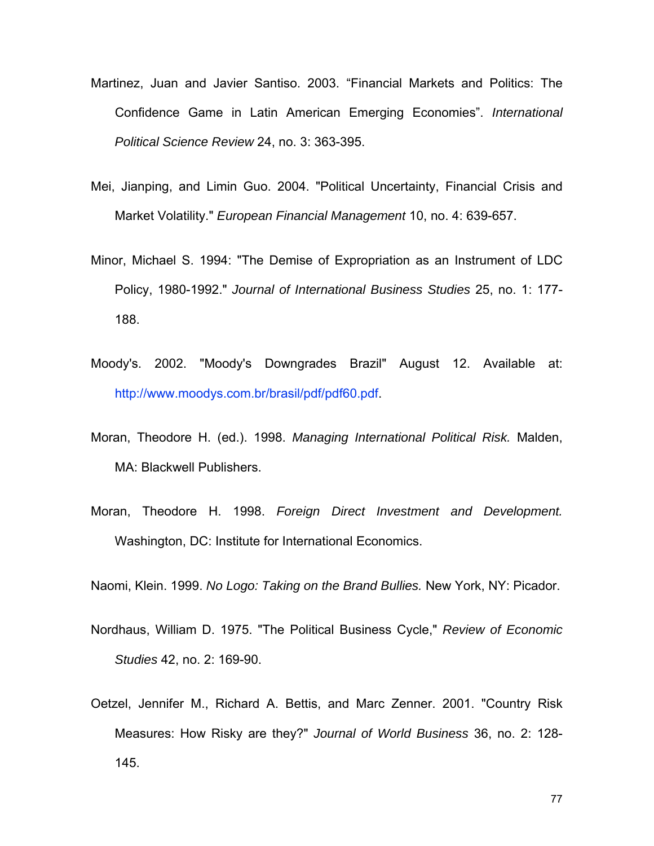- Martinez, Juan and Javier Santiso. 2003. "Financial Markets and Politics: The Confidence Game in Latin American Emerging Economies". *International Political Science Review* 24, no. 3: 363-395.
- Mei, Jianping, and Limin Guo. 2004. "Political Uncertainty, Financial Crisis and Market Volatility." *European Financial Management* 10, no. 4: 639-657.
- Minor, Michael S. 1994: "The Demise of Expropriation as an Instrument of LDC Policy, 1980-1992." *Journal of International Business Studies* 25, no. 1: 177- 188.
- Moody's. 2002. "Moody's Downgrades Brazil" August 12. Available at: <http://www.moodys.com.br/brasil/pdf/pdf60.pdf>.
- Moran, Theodore H. (ed.). 1998. *Managing International Political Risk.* Malden, MA: Blackwell Publishers.
- Moran, Theodore H. 1998. *Foreign Direct Investment and Development.* Washington, DC: Institute for International Economics.

Naomi, Klein. 1999. *No Logo: Taking on the Brand Bullies.* New York, NY: Picador.

- Nordhaus, William D. 1975. "The Political Business Cycle," *Review of Economic Studies* 42, no. 2: 169-90.
- Oetzel, Jennifer M., Richard A. Bettis, and Marc Zenner. 2001. "Country Risk Measures: How Risky are they?" *Journal of World Business* 36, no. 2: 128- 145.

77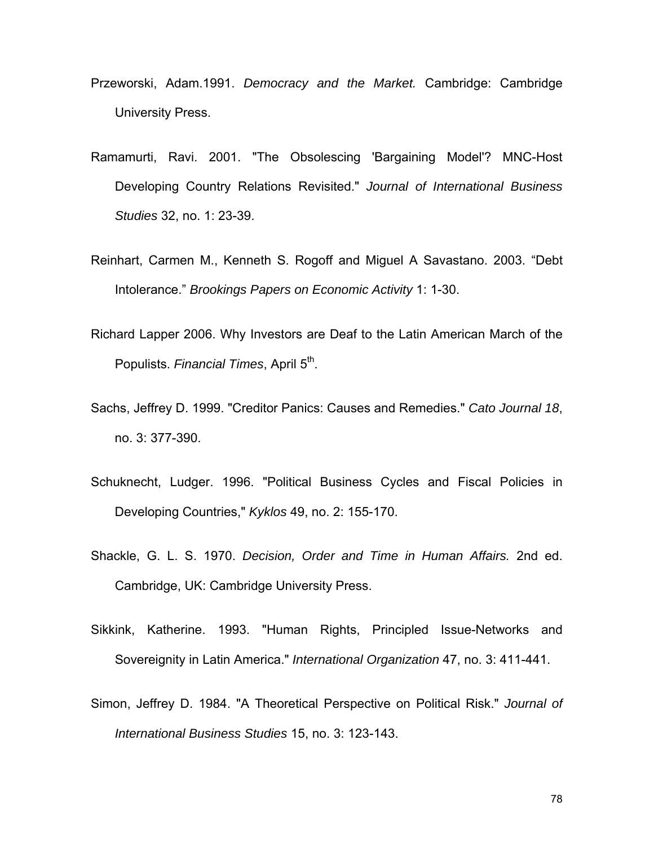- Przeworski, Adam.1991. *Democracy and the Market.* Cambridge: Cambridge University Press.
- Ramamurti, Ravi. 2001. "The Obsolescing 'Bargaining Model'? MNC-Host Developing Country Relations Revisited." *Journal of International Business Studies* 32, no. 1: 23-39.
- Reinhart, Carmen M., Kenneth S. Rogoff and Miguel A Savastano. 2003. "Debt Intolerance." *Brookings Papers on Economic Activity* 1: 1-30.
- Richard Lapper 2006. Why Investors are Deaf to the Latin American March of the Populists. *Financial Times*, April 5<sup>th</sup>.
- Sachs, Jeffrey D. 1999. "Creditor Panics: Causes and Remedies." *Cato Journal 18*, no. 3: 377-390.
- Schuknecht, Ludger. 1996. "Political Business Cycles and Fiscal Policies in Developing Countries," *Kyklos* 49, no. 2: 155-170.
- Shackle, G. L. S. 1970. *Decision, Order and Time in Human Affairs.* 2nd ed. Cambridge, UK: Cambridge University Press.
- Sikkink, Katherine. 1993. "Human Rights, Principled Issue-Networks and Sovereignity in Latin America." *International Organization* 47, no. 3: 411-441.
- Simon, Jeffrey D. 1984. "A Theoretical Perspective on Political Risk." *Journal of International Business Studies* 15, no. 3: 123-143.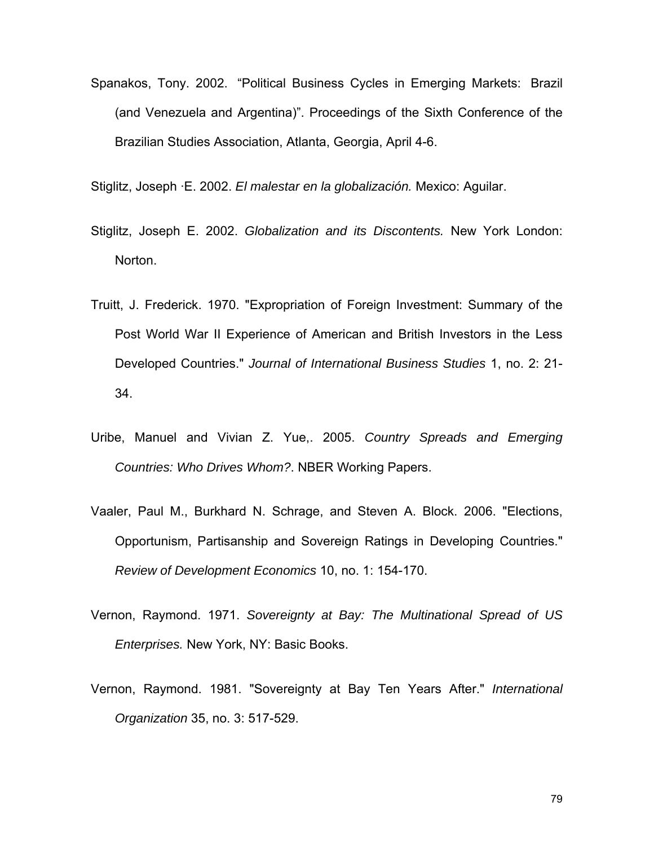Spanakos, Tony. 2002. "Political Business Cycles in Emerging Markets: Brazil (and Venezuela and Argentina)". Proceedings of the Sixth Conference of the Brazilian Studies Association, Atlanta, Georgia, April 4-6.

Stiglitz, Joseph ·E. 2002. *El malestar en la globalización.* Mexico: Aguilar.

- Stiglitz, Joseph E. 2002. *Globalization and its Discontents.* New York London: Norton.
- Truitt, J. Frederick. 1970. "Expropriation of Foreign Investment: Summary of the Post World War II Experience of American and British Investors in the Less Developed Countries." *Journal of International Business Studies* 1, no. 2: 21- 34.
- Uribe, Manuel and Vivian Z. Yue,. 2005. *Country Spreads and Emerging Countries: Who Drives Whom?*. NBER Working Papers.
- Vaaler, Paul M., Burkhard N. Schrage, and Steven A. Block. 2006. "Elections, Opportunism, Partisanship and Sovereign Ratings in Developing Countries." *Review of Development Economics* 10, no. 1: 154-170.
- Vernon, Raymond. 1971. *Sovereignty at Bay: The Multinational Spread of US Enterprises.* New York, NY: Basic Books.
- Vernon, Raymond. 1981. "Sovereignty at Bay Ten Years After." *International Organization* 35, no. 3: 517-529.

79